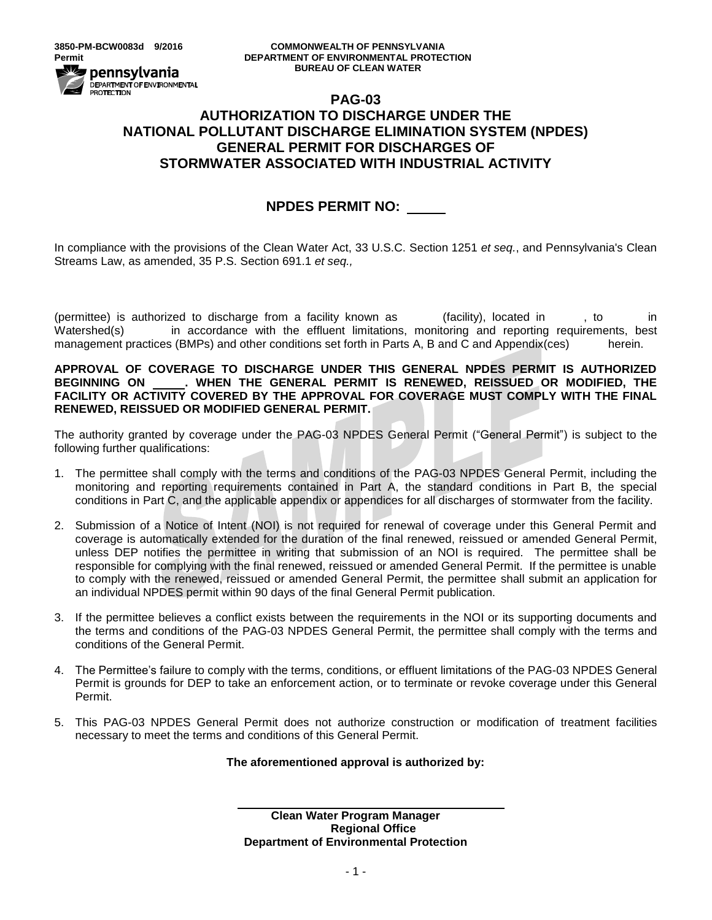#### **3850-PM-BCW0083d 9/2016 COMMONWEALTH OF PENNSYLVANIA Permit DEPARTMENT OF ENVIRONMENTAL PROTECTION BUREAU OF CLEAN WATER**

# DEPARTMENT OF ENVIRONMENTAL<br>PROTECTION **PAG-03 AUTHORIZATION TO DISCHARGE UNDER THE NATIONAL POLLUTANT DISCHARGE ELIMINATION SYSTEM (NPDES) GENERAL PERMIT FOR DISCHARGES OF STORMWATER ASSOCIATED WITH INDUSTRIAL ACTIVITY**

# **NPDES PERMIT NO:**

In compliance with the provisions of the Clean Water Act, 33 U.S.C. Section 1251 *et seq.*, and Pennsylvania's Clean Streams Law, as amended, 35 P.S. Section 691.1 *et seq.,*

(permittee) is authorized to discharge from a facility known as (facility), located in , to in Watershed(s) in accordance with the effluent limitations, monitoring and reporting requirements, best management practices (BMPs) and other conditions set forth in Parts A, B and C and Appendix(ces) herein.

**APPROVAL OF COVERAGE TO DISCHARGE UNDER THIS GENERAL NPDES PERMIT IS AUTHORIZED BEGINNING ON . WHEN THE GENERAL PERMIT IS RENEWED, REISSUED OR MODIFIED, THE FACILITY OR ACTIVITY COVERED BY THE APPROVAL FOR COVERAGE MUST COMPLY WITH THE FINAL RENEWED, REISSUED OR MODIFIED GENERAL PERMIT.**

The authority granted by coverage under the PAG-03 NPDES General Permit ("General Permit") is subject to the following further qualifications:

- 1. The permittee shall comply with the terms and conditions of the PAG-03 NPDES General Permit, including the monitoring and reporting requirements contained in Part A, the standard conditions in Part B, the special conditions in Part C, and the applicable appendix or appendices for all discharges of stormwater from the facility.
- 2. Submission of a Notice of Intent (NOI) is not required for renewal of coverage under this General Permit and coverage is automatically extended for the duration of the final renewed, reissued or amended General Permit, unless DEP notifies the permittee in writing that submission of an NOI is required. The permittee shall be responsible for complying with the final renewed, reissued or amended General Permit. If the permittee is unable to comply with the renewed, reissued or amended General Permit, the permittee shall submit an application for an individual NPDES permit within 90 days of the final General Permit publication.
- 3. If the permittee believes a conflict exists between the requirements in the NOI or its supporting documents and the terms and conditions of the PAG-03 NPDES General Permit, the permittee shall comply with the terms and conditions of the General Permit.
- 4. The Permittee's failure to comply with the terms, conditions, or effluent limitations of the PAG-03 NPDES General Permit is grounds for DEP to take an enforcement action, or to terminate or revoke coverage under this General Permit.
- 5. This PAG-03 NPDES General Permit does not authorize construction or modification of treatment facilities necessary to meet the terms and conditions of this General Permit.

# **The aforementioned approval is authorized by:**

**Clean Water Program Manager Regional Office Department of Environmental Protection**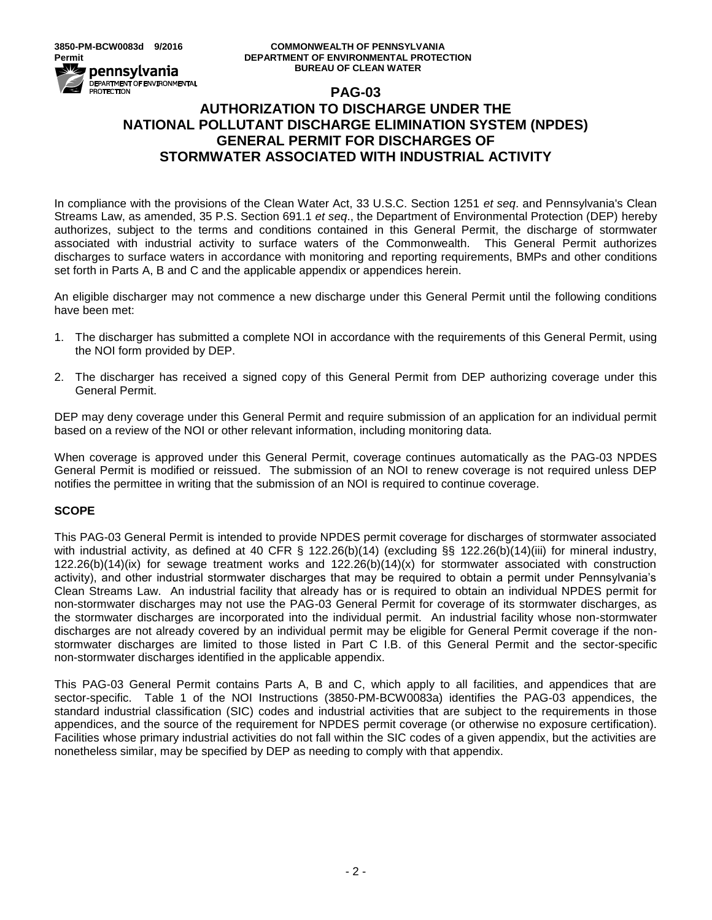#### **3850-PM-BCW0083d 9/2016 COMMONWEALTH OF PENNSYLVANIA Permit DEPARTMENT OF ENVIRONMENTAL PROTECTION BUREAU OF CLEAN WATER**

# **PAG-03 AUTHORIZATION TO DISCHARGE UNDER THE NATIONAL POLLUTANT DISCHARGE ELIMINATION SYSTEM (NPDES) GENERAL PERMIT FOR DISCHARGES OF STORMWATER ASSOCIATED WITH INDUSTRIAL ACTIVITY**

In compliance with the provisions of the Clean Water Act, 33 U.S.C. Section 1251 *et seq*. and Pennsylvania's Clean Streams Law, as amended, 35 P.S. Section 691.1 *et seq*., the Department of Environmental Protection (DEP) hereby authorizes, subject to the terms and conditions contained in this General Permit, the discharge of stormwater associated with industrial activity to surface waters of the Commonwealth. This General Permit authorizes discharges to surface waters in accordance with monitoring and reporting requirements, BMPs and other conditions set forth in Parts A, B and C and the applicable appendix or appendices herein.

An eligible discharger may not commence a new discharge under this General Permit until the following conditions have been met:

- 1. The discharger has submitted a complete NOI in accordance with the requirements of this General Permit, using the NOI form provided by DEP.
- 2. The discharger has received a signed copy of this General Permit from DEP authorizing coverage under this General Permit.

DEP may deny coverage under this General Permit and require submission of an application for an individual permit based on a review of the NOI or other relevant information, including monitoring data.

When coverage is approved under this General Permit, coverage continues automatically as the PAG-03 NPDES General Permit is modified or reissued. The submission of an NOI to renew coverage is not required unless DEP notifies the permittee in writing that the submission of an NOI is required to continue coverage.

# **SCOPE**

This PAG-03 General Permit is intended to provide NPDES permit coverage for discharges of stormwater associated with industrial activity, as defined at 40 CFR § 122.26(b)(14) (excluding §§ 122.26(b)(14)(iii) for mineral industry, 122.26(b)(14)(ix) for sewage treatment works and 122.26(b)(14)(x) for stormwater associated with construction activity), and other industrial stormwater discharges that may be required to obtain a permit under Pennsylvania's Clean Streams Law. An industrial facility that already has or is required to obtain an individual NPDES permit for non-stormwater discharges may not use the PAG-03 General Permit for coverage of its stormwater discharges, as the stormwater discharges are incorporated into the individual permit. An industrial facility whose non-stormwater discharges are not already covered by an individual permit may be eligible for General Permit coverage if the nonstormwater discharges are limited to those listed in Part C I.B. of this General Permit and the sector-specific non-stormwater discharges identified in the applicable appendix.

This PAG-03 General Permit contains Parts A, B and C, which apply to all facilities, and appendices that are sector-specific. Table 1 of the NOI Instructions (3850-PM-BCW0083a) identifies the PAG-03 appendices, the standard industrial classification (SIC) codes and industrial activities that are subject to the requirements in those appendices, and the source of the requirement for NPDES permit coverage (or otherwise no exposure certification). Facilities whose primary industrial activities do not fall within the SIC codes of a given appendix, but the activities are nonetheless similar, may be specified by DEP as needing to comply with that appendix.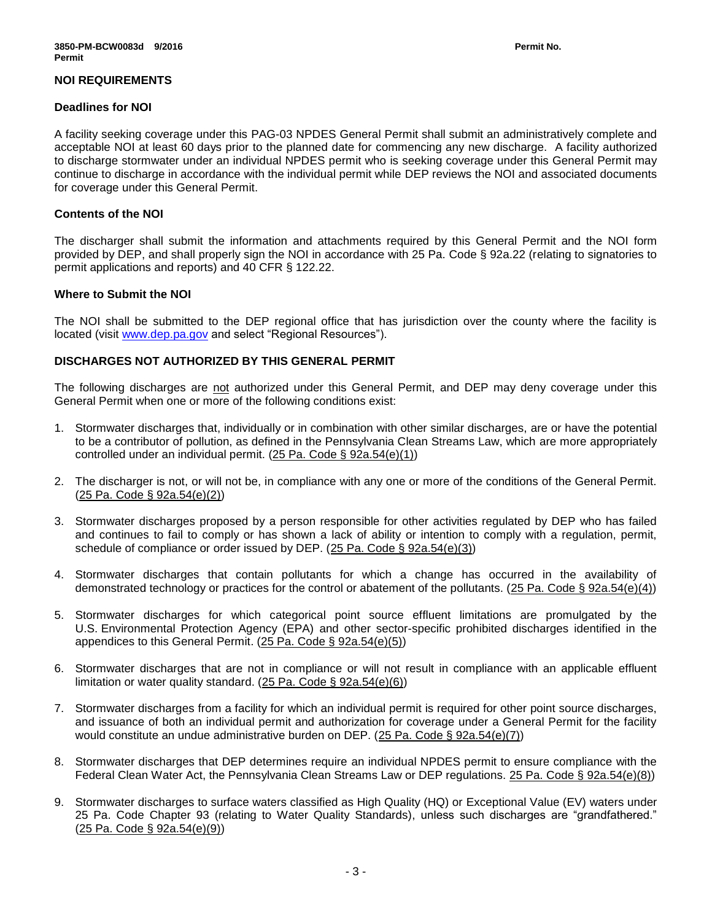### **NOI REQUIREMENTS**

#### **Deadlines for NOI**

A facility seeking coverage under this PAG-03 NPDES General Permit shall submit an administratively complete and acceptable NOI at least 60 days prior to the planned date for commencing any new discharge. A facility authorized to discharge stormwater under an individual NPDES permit who is seeking coverage under this General Permit may continue to discharge in accordance with the individual permit while DEP reviews the NOI and associated documents for coverage under this General Permit.

### **Contents of the NOI**

The discharger shall submit the information and attachments required by this General Permit and the NOI form provided by DEP, and shall properly sign the NOI in accordance with 25 Pa. Code § 92a.22 (relating to signatories to permit applications and reports) and 40 CFR § 122.22.

### **Where to Submit the NOI**

The NOI shall be submitted to the DEP regional office that has jurisdiction over the county where the facility is located (visit [www.dep.pa.gov](http://www.dep.pa.gov/) and select "Regional Resources").

# **DISCHARGES NOT AUTHORIZED BY THIS GENERAL PERMIT**

The following discharges are not authorized under this General Permit, and DEP may deny coverage under this General Permit when one or more of the following conditions exist:

- 1. Stormwater discharges that, individually or in combination with other similar discharges, are or have the potential to be a contributor of pollution, as defined in the Pennsylvania Clean Streams Law, which are more appropriately controlled under an individual permit. (25 Pa. Code § 92a.54(e)(1))
- 2. The discharger is not, or will not be, in compliance with any one or more of the conditions of the General Permit. (25 Pa. Code § 92a.54(e)(2))
- 3. Stormwater discharges proposed by a person responsible for other activities regulated by DEP who has failed and continues to fail to comply or has shown a lack of ability or intention to comply with a regulation, permit, schedule of compliance or order issued by DEP. (25 Pa. Code § 92a.54(e)(3))
- 4. Stormwater discharges that contain pollutants for which a change has occurred in the availability of demonstrated technology or practices for the control or abatement of the pollutants. ( $25$  Pa. Code § 92a.54(e)(4))
- 5. Stormwater discharges for which categorical point source effluent limitations are promulgated by the U.S. Environmental Protection Agency (EPA) and other sector-specific prohibited discharges identified in the appendices to this General Permit. (25 Pa. Code § 92a.54(e)(5))
- 6. Stormwater discharges that are not in compliance or will not result in compliance with an applicable effluent limitation or water quality standard.  $(25 \text{ Pa. Code } \S$  92a.54(e)(6))
- 7. Stormwater discharges from a facility for which an individual permit is required for other point source discharges, and issuance of both an individual permit and authorization for coverage under a General Permit for the facility would constitute an undue administrative burden on DEP. (25 Pa. Code § 92a.54(e)(7))
- 8. Stormwater discharges that DEP determines require an individual NPDES permit to ensure compliance with the Federal Clean Water Act, the Pennsylvania Clean Streams Law or DEP regulations. 25 Pa. Code § 92a.54(e)(8))
- 9. Stormwater discharges to surface waters classified as High Quality (HQ) or Exceptional Value (EV) waters under 25 Pa. Code Chapter 93 (relating to Water Quality Standards), unless such discharges are "grandfathered." (25 Pa. Code § 92a.54(e)(9))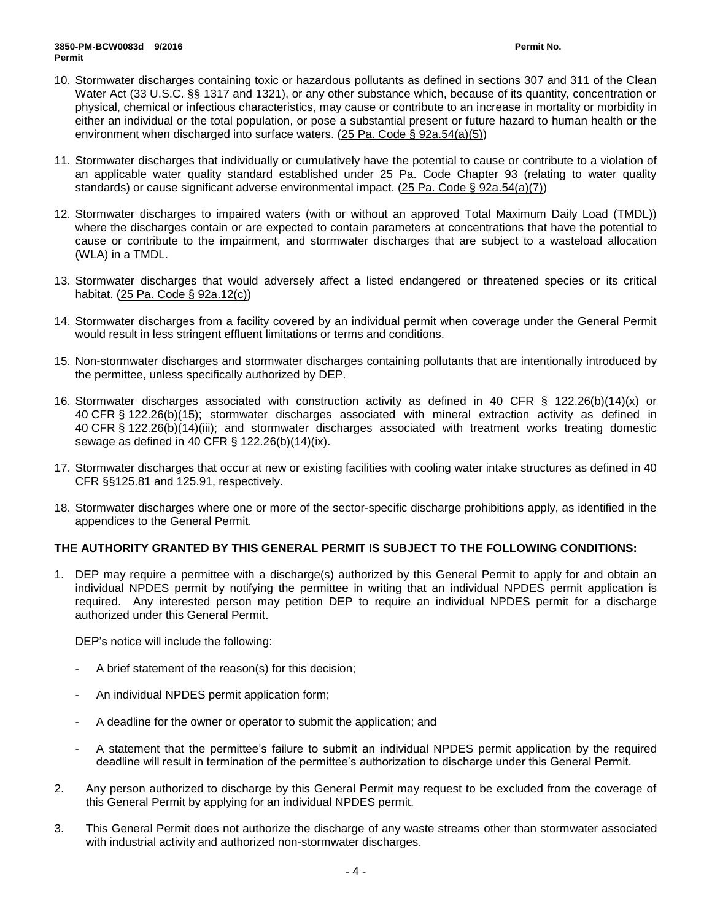- 10. Stormwater discharges containing toxic or hazardous pollutants as defined in sections 307 and 311 of the Clean Water Act (33 U.S.C. §§ 1317 and 1321), or any other substance which, because of its quantity, concentration or physical, chemical or infectious characteristics, may cause or contribute to an increase in mortality or morbidity in either an individual or the total population, or pose a substantial present or future hazard to human health or the environment when discharged into surface waters. (25 Pa. Code § 92a.54(a)(5))
- 11. Stormwater discharges that individually or cumulatively have the potential to cause or contribute to a violation of an applicable water quality standard established under 25 Pa. Code Chapter 93 (relating to water quality standards) or cause significant adverse environmental impact. (25 Pa. Code § 92a.54(a)(7))
- 12. Stormwater discharges to impaired waters (with or without an approved Total Maximum Daily Load (TMDL)) where the discharges contain or are expected to contain parameters at concentrations that have the potential to cause or contribute to the impairment, and stormwater discharges that are subject to a wasteload allocation (WLA) in a TMDL.
- 13. Stormwater discharges that would adversely affect a listed endangered or threatened species or its critical habitat. (25 Pa. Code § 92a.12(c))
- 14. Stormwater discharges from a facility covered by an individual permit when coverage under the General Permit would result in less stringent effluent limitations or terms and conditions.
- 15. Non-stormwater discharges and stormwater discharges containing pollutants that are intentionally introduced by the permittee, unless specifically authorized by DEP.
- 16. Stormwater discharges associated with construction activity as defined in 40 CFR § 122.26(b)(14)(x) or 40 CFR § 122.26(b)(15); stormwater discharges associated with mineral extraction activity as defined in 40 CFR § 122.26(b)(14)(iii); and stormwater discharges associated with treatment works treating domestic sewage as defined in 40 CFR § 122.26(b)(14)(ix).
- 17. Stormwater discharges that occur at new or existing facilities with cooling water intake structures as defined in 40 CFR §§125.81 and 125.91, respectively.
- 18. Stormwater discharges where one or more of the sector-specific discharge prohibitions apply, as identified in the appendices to the General Permit.

# **THE AUTHORITY GRANTED BY THIS GENERAL PERMIT IS SUBJECT TO THE FOLLOWING CONDITIONS:**

1. DEP may require a permittee with a discharge(s) authorized by this General Permit to apply for and obtain an individual NPDES permit by notifying the permittee in writing that an individual NPDES permit application is required. Any interested person may petition DEP to require an individual NPDES permit for a discharge authorized under this General Permit.

DEP's notice will include the following:

- A brief statement of the reason(s) for this decision;
- An individual NPDES permit application form;
- A deadline for the owner or operator to submit the application; and
- A statement that the permittee's failure to submit an individual NPDES permit application by the required deadline will result in termination of the permittee's authorization to discharge under this General Permit.
- 2. Any person authorized to discharge by this General Permit may request to be excluded from the coverage of this General Permit by applying for an individual NPDES permit.
- 3. This General Permit does not authorize the discharge of any waste streams other than stormwater associated with industrial activity and authorized non-stormwater discharges.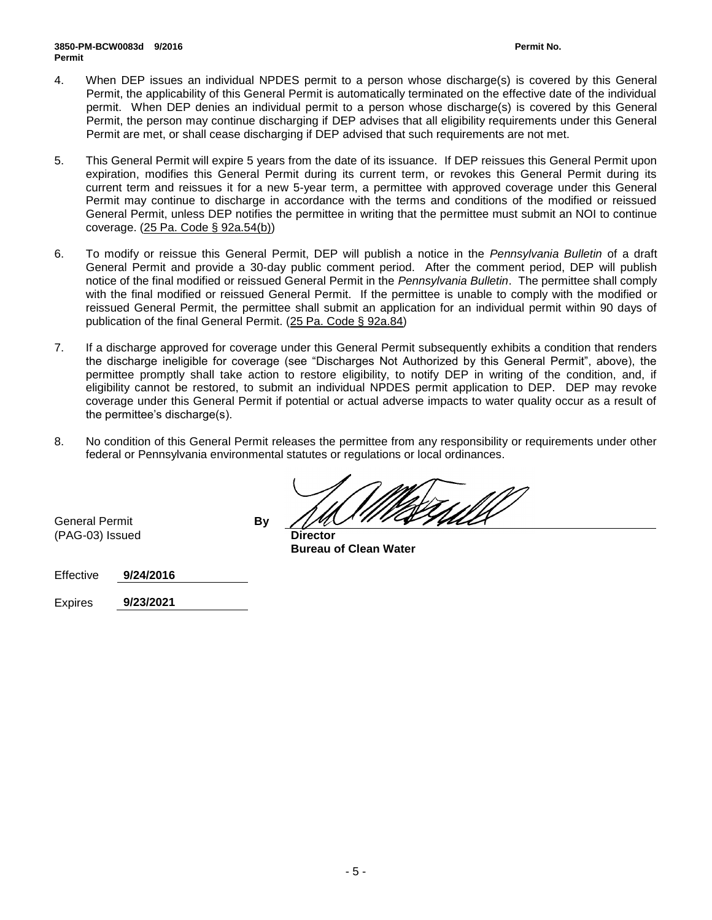- 4. When DEP issues an individual NPDES permit to a person whose discharge(s) is covered by this General Permit, the applicability of this General Permit is automatically terminated on the effective date of the individual permit. When DEP denies an individual permit to a person whose discharge(s) is covered by this General Permit, the person may continue discharging if DEP advises that all eligibility requirements under this General Permit are met, or shall cease discharging if DEP advised that such requirements are not met.
- 5. This General Permit will expire 5 years from the date of its issuance. If DEP reissues this General Permit upon expiration, modifies this General Permit during its current term, or revokes this General Permit during its current term and reissues it for a new 5-year term, a permittee with approved coverage under this General Permit may continue to discharge in accordance with the terms and conditions of the modified or reissued General Permit, unless DEP notifies the permittee in writing that the permittee must submit an NOI to continue coverage. (25 Pa. Code § 92a.54(b))
- 6. To modify or reissue this General Permit, DEP will publish a notice in the *Pennsylvania Bulletin* of a draft General Permit and provide a 30-day public comment period. After the comment period, DEP will publish notice of the final modified or reissued General Permit in the *Pennsylvania Bulletin*. The permittee shall comply with the final modified or reissued General Permit. If the permittee is unable to comply with the modified or reissued General Permit, the permittee shall submit an application for an individual permit within 90 days of publication of the final General Permit. (25 Pa. Code § 92a.84)
- 7. If a discharge approved for coverage under this General Permit subsequently exhibits a condition that renders the discharge ineligible for coverage (see "Discharges Not Authorized by this General Permit", above), the permittee promptly shall take action to restore eligibility, to notify DEP in writing of the condition, and, if eligibility cannot be restored, to submit an individual NPDES permit application to DEP. DEP may revoke coverage under this General Permit if potential or actual adverse impacts to water quality occur as a result of the permittee's discharge(s).
- 8. No condition of this General Permit releases the permittee from any responsibility or requirements under other federal or Pennsylvania environmental statutes or regulations or local ordinances.

General Permit **By** (PAG-03) Issued **Director**

**Bureau of Clean Water**

Effective **9/24/2016**

Expires **9/23/2021**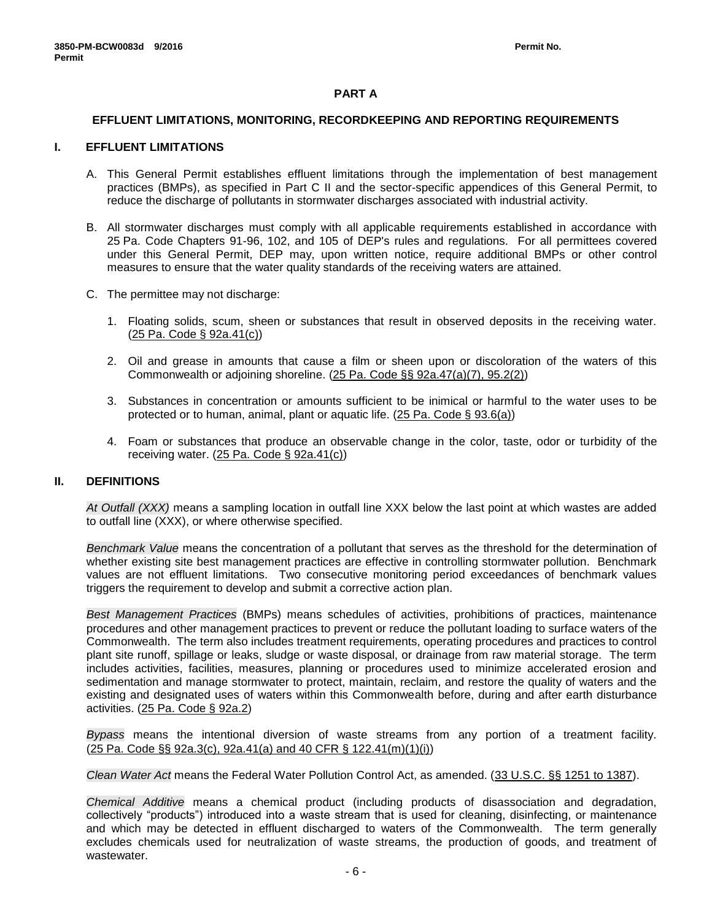### **PART A**

#### **EFFLUENT LIMITATIONS, MONITORING, RECORDKEEPING AND REPORTING REQUIREMENTS**

#### **I. EFFLUENT LIMITATIONS**

- A. This General Permit establishes effluent limitations through the implementation of best management practices (BMPs), as specified in Part C II and the sector-specific appendices of this General Permit, to reduce the discharge of pollutants in stormwater discharges associated with industrial activity.
- B. All stormwater discharges must comply with all applicable requirements established in accordance with 25 Pa. Code Chapters 91-96, 102, and 105 of DEP's rules and regulations. For all permittees covered under this General Permit, DEP may, upon written notice, require additional BMPs or other control measures to ensure that the water quality standards of the receiving waters are attained.
- C. The permittee may not discharge:
	- 1. Floating solids, scum, sheen or substances that result in observed deposits in the receiving water. (25 Pa. Code § 92a.41(c))
	- 2. Oil and grease in amounts that cause a film or sheen upon or discoloration of the waters of this Commonwealth or adjoining shoreline. (25 Pa. Code §§ 92a.47(a)(7), 95.2(2))
	- 3. Substances in concentration or amounts sufficient to be inimical or harmful to the water uses to be protected or to human, animal, plant or aquatic life. (25 Pa. Code § 93.6(a))
	- 4. Foam or substances that produce an observable change in the color, taste, odor or turbidity of the receiving water. (25 Pa. Code § 92a.41(c))

#### **II. DEFINITIONS**

*At Outfall (XXX)* means a sampling location in outfall line XXX below the last point at which wastes are added to outfall line (XXX), or where otherwise specified.

*Benchmark Value* means the concentration of a pollutant that serves as the threshold for the determination of whether existing site best management practices are effective in controlling stormwater pollution. Benchmark values are not effluent limitations. Two consecutive monitoring period exceedances of benchmark values triggers the requirement to develop and submit a corrective action plan.

*Best Management Practices* (BMPs) means schedules of activities, prohibitions of practices, maintenance procedures and other management practices to prevent or reduce the pollutant loading to surface waters of the Commonwealth. The term also includes treatment requirements, operating procedures and practices to control plant site runoff, spillage or leaks, sludge or waste disposal, or drainage from raw material storage. The term includes activities, facilities, measures, planning or procedures used to minimize accelerated erosion and sedimentation and manage stormwater to protect, maintain, reclaim, and restore the quality of waters and the existing and designated uses of waters within this Commonwealth before, during and after earth disturbance activities. (25 Pa. Code § 92a.2)

*Bypass* means the intentional diversion of waste streams from any portion of a treatment facility. (25 Pa. Code §§ 92a.3(c), 92a.41(a) and 40 CFR § 122.41(m)(1)(i))

*Clean Water Act* means the Federal Water Pollution Control Act, as amended. (33 U.S.C. §§ 1251 to 1387).

*Chemical Additive* means a chemical product (including products of disassociation and degradation, collectively "products") introduced into a waste stream that is used for cleaning, disinfecting, or maintenance and which may be detected in effluent discharged to waters of the Commonwealth. The term generally excludes chemicals used for neutralization of waste streams, the production of goods, and treatment of wastewater.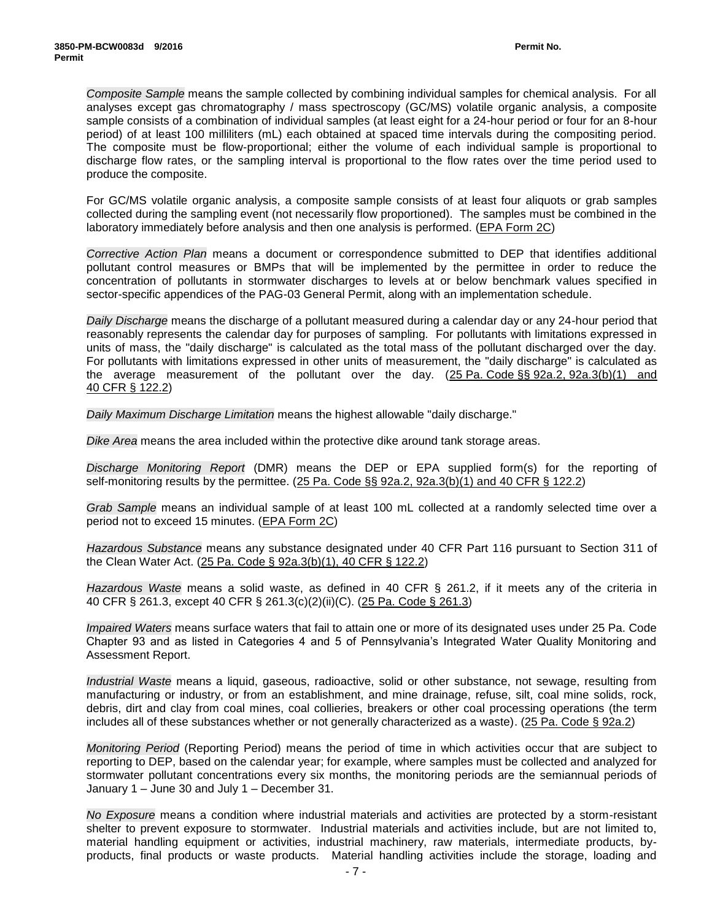*Composite Sample* means the sample collected by combining individual samples for chemical analysis. For all analyses except gas chromatography / mass spectroscopy (GC/MS) volatile organic analysis, a composite sample consists of a combination of individual samples (at least eight for a 24-hour period or four for an 8-hour period) of at least 100 milliliters (mL) each obtained at spaced time intervals during the compositing period. The composite must be flow-proportional; either the volume of each individual sample is proportional to discharge flow rates, or the sampling interval is proportional to the flow rates over the time period used to produce the composite.

For GC/MS volatile organic analysis, a composite sample consists of at least four aliquots or grab samples collected during the sampling event (not necessarily flow proportioned). The samples must be combined in the laboratory immediately before analysis and then one analysis is performed. (EPA Form 2C)

*Corrective Action Plan* means a document or correspondence submitted to DEP that identifies additional pollutant control measures or BMPs that will be implemented by the permittee in order to reduce the concentration of pollutants in stormwater discharges to levels at or below benchmark values specified in sector-specific appendices of the PAG-03 General Permit, along with an implementation schedule.

*Daily Discharge* means the discharge of a pollutant measured during a calendar day or any 24-hour period that reasonably represents the calendar day for purposes of sampling. For pollutants with limitations expressed in units of mass, the "daily discharge" is calculated as the total mass of the pollutant discharged over the day. For pollutants with limitations expressed in other units of measurement, the "daily discharge" is calculated as the average measurement of the pollutant over the day. (25 Pa. Code §§ 92a.2, 92a.3(b)(1) and 40 CFR § 122.2)

*Daily Maximum Discharge Limitation* means the highest allowable "daily discharge."

*Dike Area* means the area included within the protective dike around tank storage areas.

*Discharge Monitoring Report* (DMR) means the DEP or EPA supplied form(s) for the reporting of self-monitoring results by the permittee. (25 Pa. Code §§ 92a.2, 92a.3(b)(1) and 40 CFR § 122.2)

*Grab Sample* means an individual sample of at least 100 mL collected at a randomly selected time over a period not to exceed 15 minutes. (EPA Form 2C)

*Hazardous Substance* means any substance designated under 40 CFR Part 116 pursuant to Section 311 of the Clean Water Act. (25 Pa. Code § 92a.3(b)(1), 40 CFR § 122.2)

*Hazardous Waste* means a solid waste, as defined in 40 CFR § 261.2, if it meets any of the criteria in 40 CFR § 261.3, except 40 CFR § 261.3(c)(2)(ii)(C). (25 Pa. Code § 261.3)

*Impaired Waters* means surface waters that fail to attain one or more of its designated uses under 25 Pa. Code Chapter 93 and as listed in Categories 4 and 5 of Pennsylvania's Integrated Water Quality Monitoring and Assessment Report.

*Industrial Waste* means a liquid, gaseous, radioactive, solid or other substance, not sewage, resulting from manufacturing or industry, or from an establishment, and mine drainage, refuse, silt, coal mine solids, rock, debris, dirt and clay from coal mines, coal collieries, breakers or other coal processing operations (the term includes all of these substances whether or not generally characterized as a waste). (25 Pa. Code § 92a.2)

*Monitoring Period* (Reporting Period) means the period of time in which activities occur that are subject to reporting to DEP, based on the calendar year; for example, where samples must be collected and analyzed for stormwater pollutant concentrations every six months, the monitoring periods are the semiannual periods of January 1 – June 30 and July 1 – December 31.

*No Exposure* means a condition where industrial materials and activities are protected by a storm-resistant shelter to prevent exposure to stormwater. Industrial materials and activities include, but are not limited to, material handling equipment or activities, industrial machinery, raw materials, intermediate products, byproducts, final products or waste products. Material handling activities include the storage, loading and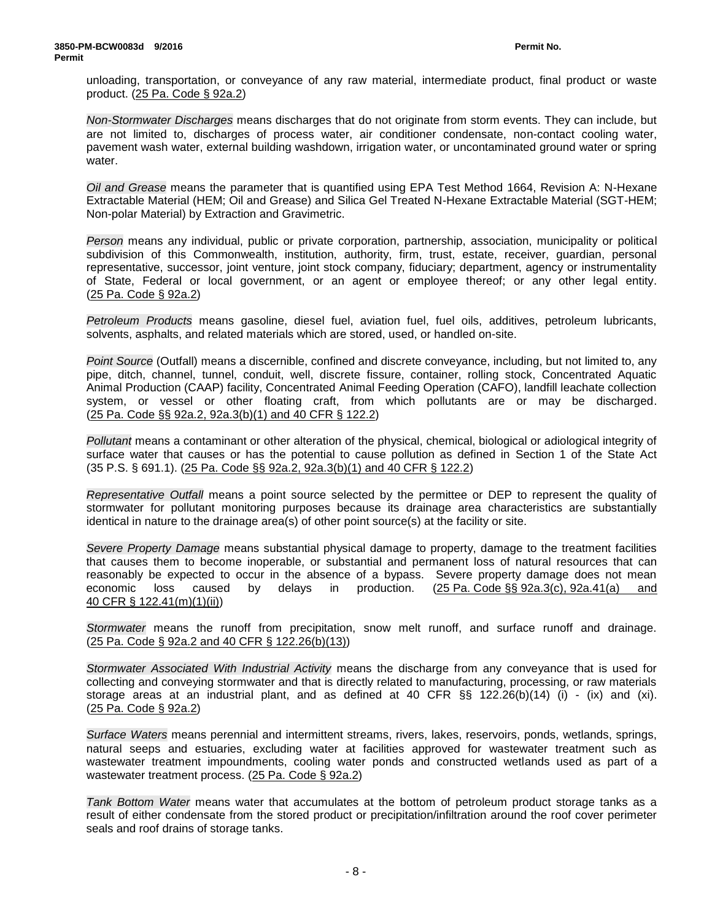unloading, transportation, or conveyance of any raw material, intermediate product, final product or waste product. (25 Pa. Code § 92a.2)

*Non-Stormwater Discharges* means discharges that do not originate from storm events. They can include, but are not limited to, discharges of process water, air conditioner condensate, non-contact cooling water, pavement wash water, external building washdown, irrigation water, or uncontaminated ground water or spring water.

*Oil and Grease* means the parameter that is quantified using EPA Test Method 1664, Revision A: N-Hexane Extractable Material (HEM; Oil and Grease) and Silica Gel Treated N-Hexane Extractable Material (SGT-HEM; Non-polar Material) by Extraction and Gravimetric.

*Person* means any individual, public or private corporation, partnership, association, municipality or political subdivision of this Commonwealth, institution, authority, firm, trust, estate, receiver, guardian, personal representative, successor, joint venture, joint stock company, fiduciary; department, agency or instrumentality of State, Federal or local government, or an agent or employee thereof; or any other legal entity. (25 Pa. Code § 92a.2)

*Petroleum Products* means gasoline, diesel fuel, aviation fuel, fuel oils, additives, petroleum lubricants, solvents, asphalts, and related materials which are stored, used, or handled on-site.

*Point Source* (Outfall) means a discernible, confined and discrete conveyance, including, but not limited to, any pipe, ditch, channel, tunnel, conduit, well, discrete fissure, container, rolling stock, Concentrated Aquatic Animal Production (CAAP) facility, Concentrated Animal Feeding Operation (CAFO), landfill leachate collection system, or vessel or other floating craft, from which pollutants are or may be discharged. (25 Pa. Code §§ 92a.2, 92a.3(b)(1) and 40 CFR § 122.2)

*Pollutant* means a contaminant or other alteration of the physical, chemical, biological or adiological integrity of surface water that causes or has the potential to cause pollution as defined in Section 1 of the State Act (35 P.S. § 691.1). (25 Pa. Code §§ 92a.2, 92a.3(b)(1) and 40 CFR § 122.2)

*Representative Outfall* means a point source selected by the permittee or DEP to represent the quality of stormwater for pollutant monitoring purposes because its drainage area characteristics are substantially identical in nature to the drainage area(s) of other point source(s) at the facility or site.

*Severe Property Damage* means substantial physical damage to property, damage to the treatment facilities that causes them to become inoperable, or substantial and permanent loss of natural resources that can reasonably be expected to occur in the absence of a bypass. Severe property damage does not mean economic loss caused by delays in production. (25 Pa. Code §§ 92a.3(c), 92a.41(a) and 40 CFR § 122.41(m)(1)(ii))

*Stormwater* means the runoff from precipitation, snow melt runoff, and surface runoff and drainage. (25 Pa. Code § 92a.2 and 40 CFR § 122.26(b)(13))

*Stormwater Associated With Industrial Activity* means the discharge from any conveyance that is used for collecting and conveying stormwater and that is directly related to manufacturing, processing, or raw materials storage areas at an industrial plant, and as defined at 40 CFR §§ 122.26(b)(14) (i) - (ix) and (xi). (25 Pa. Code § 92a.2)

*Surface Waters* means perennial and intermittent streams, rivers, lakes, reservoirs, ponds, wetlands, springs, natural seeps and estuaries, excluding water at facilities approved for wastewater treatment such as wastewater treatment impoundments, cooling water ponds and constructed wetlands used as part of a wastewater treatment process. (25 Pa. Code § 92a.2)

*Tank Bottom Water* means water that accumulates at the bottom of petroleum product storage tanks as a result of either condensate from the stored product or precipitation/infiltration around the roof cover perimeter seals and roof drains of storage tanks.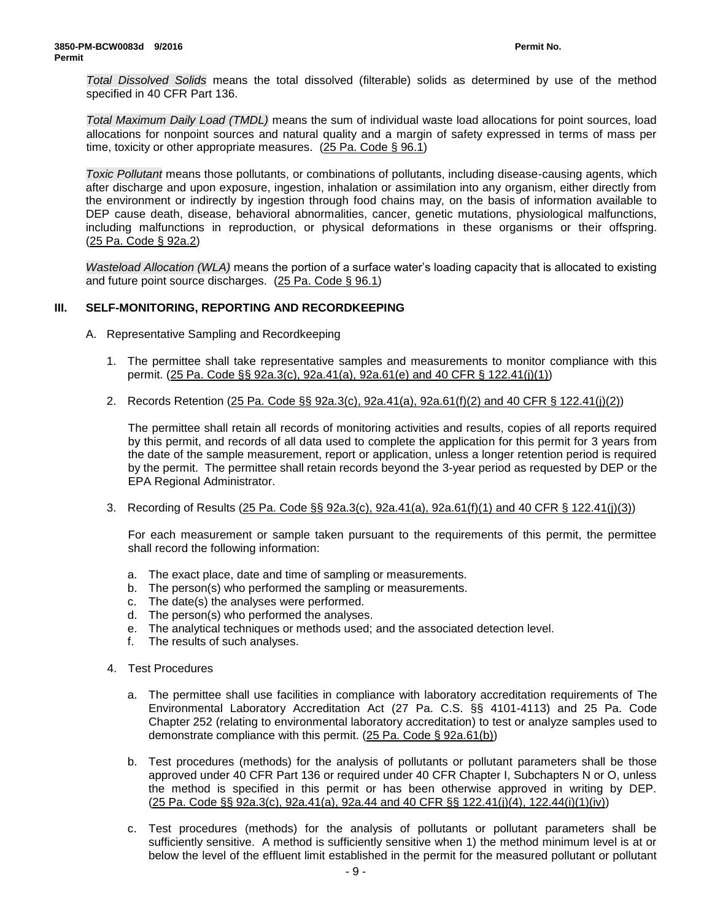*Total Dissolved Solids* means the total dissolved (filterable) solids as determined by use of the method specified in 40 CFR Part 136.

*Total Maximum Daily Load (TMDL)* means the sum of individual waste load allocations for point sources, load allocations for nonpoint sources and natural quality and a margin of safety expressed in terms of mass per time, toxicity or other appropriate measures. (25 Pa. Code § 96.1)

*Toxic Pollutant* means those pollutants, or combinations of pollutants, including disease-causing agents, which after discharge and upon exposure, ingestion, inhalation or assimilation into any organism, either directly from the environment or indirectly by ingestion through food chains may, on the basis of information available to DEP cause death, disease, behavioral abnormalities, cancer, genetic mutations, physiological malfunctions, including malfunctions in reproduction, or physical deformations in these organisms or their offspring. (25 Pa. Code § 92a.2)

*Wasteload Allocation (WLA)* means the portion of a surface water's loading capacity that is allocated to existing and future point source discharges. (25 Pa. Code § 96.1)

### **III. SELF-MONITORING, REPORTING AND RECORDKEEPING**

- A. Representative Sampling and Recordkeeping
	- 1. The permittee shall take representative samples and measurements to monitor compliance with this permit. (25 Pa. Code §§ 92a.3(c), 92a.41(a), 92a.61(e) and 40 CFR § 122.41(j)(1))
	- 2. Records Retention (25 Pa. Code §§ 92a.3(c), 92a.41(a), 92a.61(f)(2) and 40 CFR § 122.41(j)(2))

The permittee shall retain all records of monitoring activities and results, copies of all reports required by this permit, and records of all data used to complete the application for this permit for 3 years from the date of the sample measurement, report or application, unless a longer retention period is required by the permit. The permittee shall retain records beyond the 3-year period as requested by DEP or the EPA Regional Administrator.

3. Recording of Results (25 Pa. Code §§ 92a.3(c), 92a.41(a), 92a.61(f)(1) and 40 CFR § 122.41(j)(3))

For each measurement or sample taken pursuant to the requirements of this permit, the permittee shall record the following information:

- a. The exact place, date and time of sampling or measurements.
- b. The person(s) who performed the sampling or measurements.
- c. The date(s) the analyses were performed.
- d. The person(s) who performed the analyses.
- e. The analytical techniques or methods used; and the associated detection level.
- f. The results of such analyses.
- 4. Test Procedures
	- a. The permittee shall use facilities in compliance with laboratory accreditation requirements of The Environmental Laboratory Accreditation Act (27 Pa. C.S. §§ 4101-4113) and 25 Pa. Code Chapter 252 (relating to environmental laboratory accreditation) to test or analyze samples used to demonstrate compliance with this permit. (25 Pa. Code § 92a.61(b))
	- b. Test procedures (methods) for the analysis of pollutants or pollutant parameters shall be those approved under 40 CFR Part 136 or required under 40 CFR Chapter I, Subchapters N or O, unless the method is specified in this permit or has been otherwise approved in writing by DEP. (25 Pa. Code §§ 92a.3(c), 92a.41(a), 92a.44 and 40 CFR §§ 122.41(j)(4), 122.44(i)(1)(iv))
	- c. Test procedures (methods) for the analysis of pollutants or pollutant parameters shall be sufficiently sensitive. A method is sufficiently sensitive when 1) the method minimum level is at or below the level of the effluent limit established in the permit for the measured pollutant or pollutant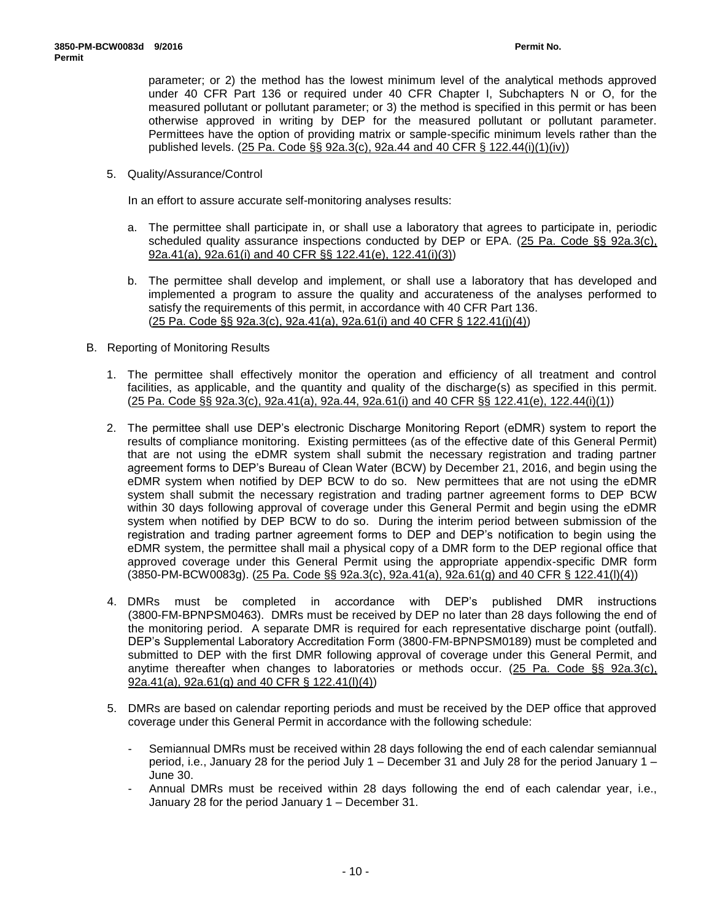parameter; or 2) the method has the lowest minimum level of the analytical methods approved under 40 CFR Part 136 or required under 40 CFR Chapter I, Subchapters N or O, for the measured pollutant or pollutant parameter; or 3) the method is specified in this permit or has been otherwise approved in writing by DEP for the measured pollutant or pollutant parameter. Permittees have the option of providing matrix or sample-specific minimum levels rather than the published levels. (25 Pa. Code §§ 92a.3(c), 92a.44 and 40 CFR § 122.44(i)(1)(iv))

5. Quality/Assurance/Control

In an effort to assure accurate self-monitoring analyses results:

- a. The permittee shall participate in, or shall use a laboratory that agrees to participate in, periodic scheduled quality assurance inspections conducted by DEP or EPA. (25 Pa. Code §§ 92a.3(c), 92a.41(a), 92a.61(i) and 40 CFR §§ 122.41(e), 122.41(i)(3))
- b. The permittee shall develop and implement, or shall use a laboratory that has developed and implemented a program to assure the quality and accurateness of the analyses performed to satisfy the requirements of this permit, in accordance with 40 CFR Part 136. (25 Pa. Code §§ 92a.3(c), 92a.41(a), 92a.61(i) and 40 CFR § 122.41(j)(4))
- B. Reporting of Monitoring Results
	- 1. The permittee shall effectively monitor the operation and efficiency of all treatment and control facilities, as applicable, and the quantity and quality of the discharge(s) as specified in this permit. (25 Pa. Code §§ 92a.3(c), 92a.41(a), 92a.44, 92a.61(i) and 40 CFR §§ 122.41(e), 122.44(i)(1))
	- 2. The permittee shall use DEP's electronic Discharge Monitoring Report (eDMR) system to report the results of compliance monitoring. Existing permittees (as of the effective date of this General Permit) that are not using the eDMR system shall submit the necessary registration and trading partner agreement forms to DEP's Bureau of Clean Water (BCW) by December 21, 2016, and begin using the eDMR system when notified by DEP BCW to do so. New permittees that are not using the eDMR system shall submit the necessary registration and trading partner agreement forms to DEP BCW within 30 days following approval of coverage under this General Permit and begin using the eDMR system when notified by DEP BCW to do so. During the interim period between submission of the registration and trading partner agreement forms to DEP and DEP's notification to begin using the eDMR system, the permittee shall mail a physical copy of a DMR form to the DEP regional office that approved coverage under this General Permit using the appropriate appendix-specific DMR form (3850-PM-BCW0083g). (25 Pa. Code §§ 92a.3(c), 92a.41(a), 92a.61(g) and 40 CFR § 122.41(l)(4))
	- 4. DMRs must be completed in accordance with DEP's published DMR instructions (3800-FM-BPNPSM0463). DMRs must be received by DEP no later than 28 days following the end of the monitoring period. A separate DMR is required for each representative discharge point (outfall). DEP's Supplemental Laboratory Accreditation Form (3800-FM-BPNPSM0189) must be completed and submitted to DEP with the first DMR following approval of coverage under this General Permit, and anytime thereafter when changes to laboratories or methods occur. (25 Pa. Code §§ 92a.3(c), 92a.41(a), 92a.61(g) and 40 CFR § 122.41(l)(4))
	- 5. DMRs are based on calendar reporting periods and must be received by the DEP office that approved coverage under this General Permit in accordance with the following schedule:
		- Semiannual DMRs must be received within 28 days following the end of each calendar semiannual period, i.e., January 28 for the period July 1 – December 31 and July 28 for the period January 1 – June 30.
		- Annual DMRs must be received within 28 days following the end of each calendar year, i.e., January 28 for the period January 1 – December 31.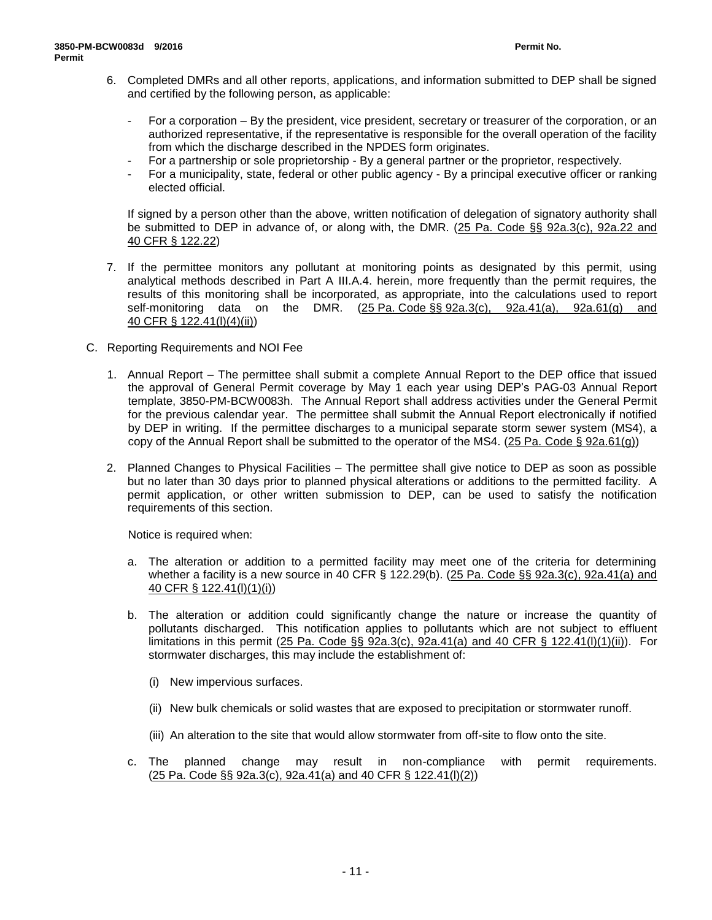- 6. Completed DMRs and all other reports, applications, and information submitted to DEP shall be signed and certified by the following person, as applicable:
	- For a corporation By the president, vice president, secretary or treasurer of the corporation, or an authorized representative, if the representative is responsible for the overall operation of the facility from which the discharge described in the NPDES form originates.
	- For a partnership or sole proprietorship By a general partner or the proprietor, respectively.
	- For a municipality, state, federal or other public agency By a principal executive officer or ranking elected official.

If signed by a person other than the above, written notification of delegation of signatory authority shall be submitted to DEP in advance of, or along with, the DMR. (25 Pa. Code §§ 92a.3(c), 92a.22 and 40 CFR § 122.22)

- 7. If the permittee monitors any pollutant at monitoring points as designated by this permit, using analytical methods described in Part A III.A.4. herein, more frequently than the permit requires, the results of this monitoring shall be incorporated, as appropriate, into the calculations used to report self-monitoring data on the DMR. (25 Pa. Code §§ 92a.3(c), 92a.41(a), 92a.61(g) and 40 CFR § 122.41(l)(4)(ii))
- C. Reporting Requirements and NOI Fee
	- 1. Annual Report The permittee shall submit a complete Annual Report to the DEP office that issued the approval of General Permit coverage by May 1 each year using DEP's PAG-03 Annual Report template, 3850-PM-BCW0083h. The Annual Report shall address activities under the General Permit for the previous calendar year. The permittee shall submit the Annual Report electronically if notified by DEP in writing. If the permittee discharges to a municipal separate storm sewer system (MS4), a copy of the Annual Report shall be submitted to the operator of the MS4.  $(25 \text{ Pa. Code } \S$  92a.61(g))
	- 2. Planned Changes to Physical Facilities The permittee shall give notice to DEP as soon as possible but no later than 30 days prior to planned physical alterations or additions to the permitted facility. A permit application, or other written submission to DEP, can be used to satisfy the notification requirements of this section.

Notice is required when:

- a. The alteration or addition to a permitted facility may meet one of the criteria for determining whether a facility is a new source in 40 CFR § 122.29(b). (25 Pa. Code §§ 92a.3(c), 92a.41(a) and 40 CFR § 122.41(l)(1)(i))
- b. The alteration or addition could significantly change the nature or increase the quantity of pollutants discharged. This notification applies to pollutants which are not subject to effluent limitations in this permit (25 Pa. Code §§ 92a.3(c), 92a.41(a) and 40 CFR § 122.41(l)(1)(ii)). For stormwater discharges, this may include the establishment of:
	- (i) New impervious surfaces.
	- (ii) New bulk chemicals or solid wastes that are exposed to precipitation or stormwater runoff.
	- (iii) An alteration to the site that would allow stormwater from off-site to flow onto the site.
- c. The planned change may result in non-compliance with permit requirements.  $(25 \text{ Pa. Code } \S \S$  92a.3(c), 92a.41(a) and 40 CFR  $\S$  122.41(l)(2))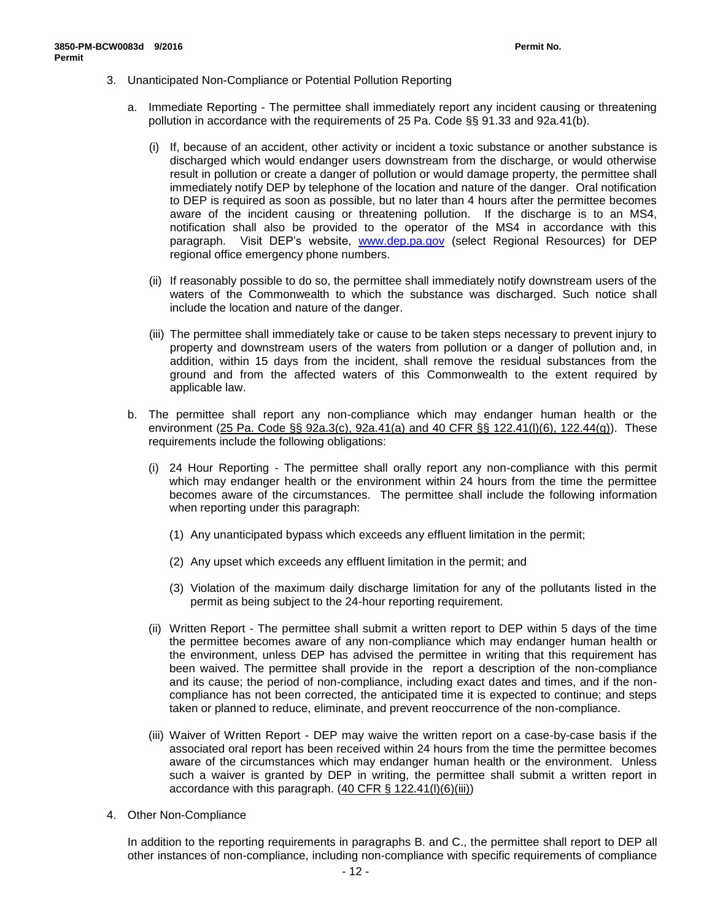- 3. Unanticipated Non-Compliance or Potential Pollution Reporting
	- a. Immediate Reporting The permittee shall immediately report any incident causing or threatening pollution in accordance with the requirements of 25 Pa. Code §§ 91.33 and 92a.41(b).
		- (i) If, because of an accident, other activity or incident a toxic substance or another substance is discharged which would endanger users downstream from the discharge, or would otherwise result in pollution or create a danger of pollution or would damage property, the permittee shall immediately notify DEP by telephone of the location and nature of the danger. Oral notification to DEP is required as soon as possible, but no later than 4 hours after the permittee becomes aware of the incident causing or threatening pollution. If the discharge is to an MS4, notification shall also be provided to the operator of the MS4 in accordance with this paragraph. Visit DEP's website, [www.dep.pa.gov](http://www.dep.pa.gov/) (select Regional Resources) for DEP regional office emergency phone numbers.
		- (ii) If reasonably possible to do so, the permittee shall immediately notify downstream users of the waters of the Commonwealth to which the substance was discharged. Such notice shall include the location and nature of the danger.
		- (iii) The permittee shall immediately take or cause to be taken steps necessary to prevent injury to property and downstream users of the waters from pollution or a danger of pollution and, in addition, within 15 days from the incident, shall remove the residual substances from the ground and from the affected waters of this Commonwealth to the extent required by applicable law.
	- b. The permittee shall report any non-compliance which may endanger human health or the environment  $(25 \text{ Pa. Code } \S \S 92a.3(c), 92a.41(a)$  and 40 CFR  $\S \S 122.41(l)(6), 122.44(g))$ . These requirements include the following obligations:
		- (i) 24 Hour Reporting The permittee shall orally report any non-compliance with this permit which may endanger health or the environment within 24 hours from the time the permittee becomes aware of the circumstances. The permittee shall include the following information when reporting under this paragraph:
			- (1) Any unanticipated bypass which exceeds any effluent limitation in the permit;
			- (2) Any upset which exceeds any effluent limitation in the permit; and
			- (3) Violation of the maximum daily discharge limitation for any of the pollutants listed in the permit as being subject to the 24-hour reporting requirement.
		- (ii) Written Report The permittee shall submit a written report to DEP within 5 days of the time the permittee becomes aware of any non-compliance which may endanger human health or the environment, unless DEP has advised the permittee in writing that this requirement has been waived. The permittee shall provide in the report a description of the non-compliance and its cause; the period of non-compliance, including exact dates and times, and if the noncompliance has not been corrected, the anticipated time it is expected to continue; and steps taken or planned to reduce, eliminate, and prevent reoccurrence of the non-compliance.
		- (iii) Waiver of Written Report DEP may waive the written report on a case-by-case basis if the associated oral report has been received within 24 hours from the time the permittee becomes aware of the circumstances which may endanger human health or the environment. Unless such a waiver is granted by DEP in writing, the permittee shall submit a written report in accordance with this paragraph.  $(40 \text{ CFR } \S~122.41(l)(6)(iii))$
- 4. Other Non-Compliance

In addition to the reporting requirements in paragraphs B. and C., the permittee shall report to DEP all other instances of non-compliance, including non-compliance with specific requirements of compliance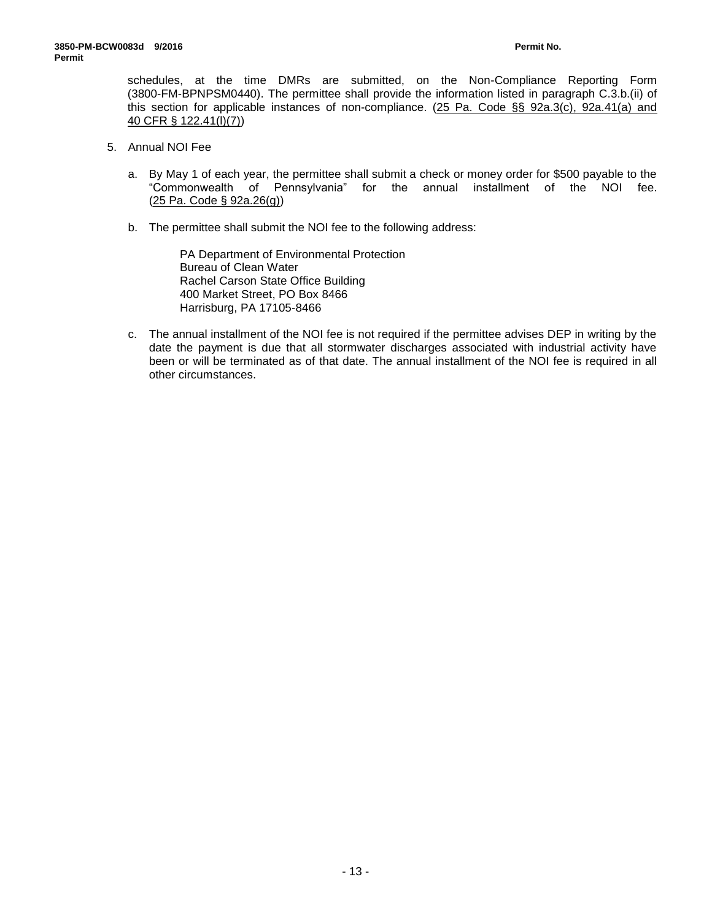schedules, at the time DMRs are submitted, on the Non-Compliance Reporting Form (3800-FM-BPNPSM0440). The permittee shall provide the information listed in paragraph C.3.b.(ii) of this section for applicable instances of non-compliance. (25 Pa. Code §§ 92a.3(c), 92a.41(a) and 40 CFR § 122.41(l)(7))

- 5. Annual NOI Fee
	- a. By May 1 of each year, the permittee shall submit a check or money order for \$500 payable to the "Commonwealth of Pennsylvania" for the annual installment of the NOI fee. (25 Pa. Code § 92a.26(g))
	- b. The permittee shall submit the NOI fee to the following address:

PA Department of Environmental Protection Bureau of Clean Water Rachel Carson State Office Building 400 Market Street, PO Box 8466 Harrisburg, PA 17105-8466

c. The annual installment of the NOI fee is not required if the permittee advises DEP in writing by the date the payment is due that all stormwater discharges associated with industrial activity have been or will be terminated as of that date. The annual installment of the NOI fee is required in all other circumstances.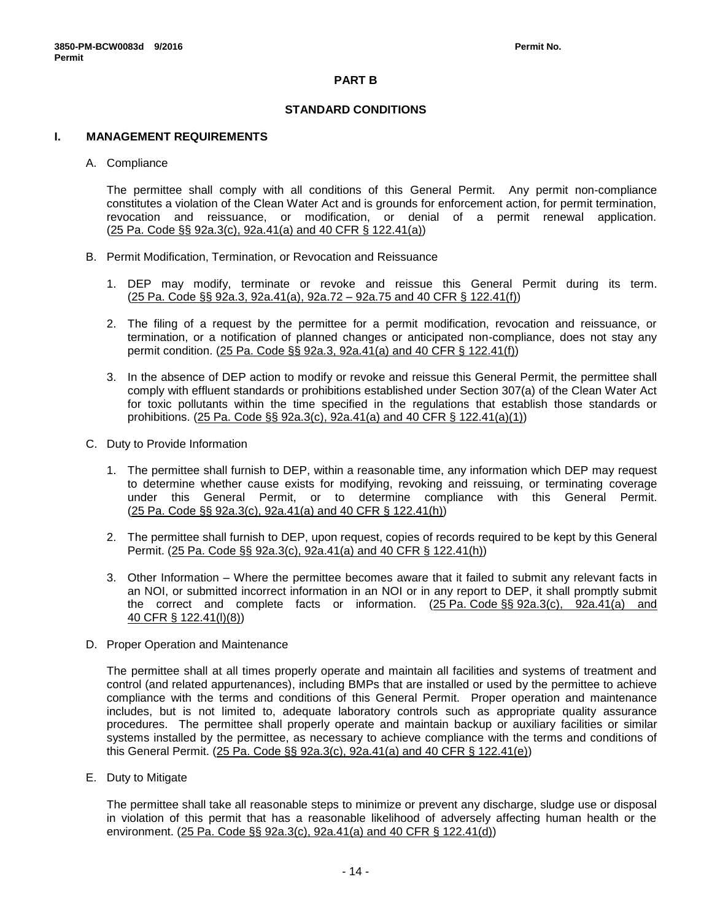# **PART B**

# **STANDARD CONDITIONS**

### **I. MANAGEMENT REQUIREMENTS**

### A. Compliance

The permittee shall comply with all conditions of this General Permit. Any permit non-compliance constitutes a violation of the Clean Water Act and is grounds for enforcement action, for permit termination, revocation and reissuance, or modification, or denial of a permit renewal application. (25 Pa. Code §§ 92a.3(c), 92a.41(a) and 40 CFR § 122.41(a))

- B. Permit Modification, Termination, or Revocation and Reissuance
	- 1. DEP may modify, terminate or revoke and reissue this General Permit during its term. (25 Pa. Code §§ 92a.3, 92a.41(a), 92a.72 – 92a.75 and 40 CFR § 122.41(f))
	- 2. The filing of a request by the permittee for a permit modification, revocation and reissuance, or termination, or a notification of planned changes or anticipated non-compliance, does not stay any permit condition. (25 Pa. Code §§ 92a.3, 92a.41(a) and 40 CFR § 122.41(f))
	- 3. In the absence of DEP action to modify or revoke and reissue this General Permit, the permittee shall comply with effluent standards or prohibitions established under Section 307(a) of the Clean Water Act for toxic pollutants within the time specified in the regulations that establish those standards or prohibitions. (25 Pa. Code §§ 92a.3(c), 92a.41(a) and 40 CFR § 122.41(a)(1))
- C. Duty to Provide Information
	- 1. The permittee shall furnish to DEP, within a reasonable time, any information which DEP may request to determine whether cause exists for modifying, revoking and reissuing, or terminating coverage under this General Permit, or to determine compliance with this General Permit. (25 Pa. Code §§ 92a.3(c), 92a.41(a) and 40 CFR § 122.41(h))
	- 2. The permittee shall furnish to DEP, upon request, copies of records required to be kept by this General Permit. (25 Pa. Code §§ 92a.3(c), 92a.41(a) and 40 CFR § 122.41(h))
	- 3. Other Information Where the permittee becomes aware that it failed to submit any relevant facts in an NOI, or submitted incorrect information in an NOI or in any report to DEP, it shall promptly submit the correct and complete facts or information. (25 Pa. Code §§ 92a.3(c), 92a.41(a) and 40 CFR § 122.41(l)(8))
- D. Proper Operation and Maintenance

The permittee shall at all times properly operate and maintain all facilities and systems of treatment and control (and related appurtenances), including BMPs that are installed or used by the permittee to achieve compliance with the terms and conditions of this General Permit. Proper operation and maintenance includes, but is not limited to, adequate laboratory controls such as appropriate quality assurance procedures. The permittee shall properly operate and maintain backup or auxiliary facilities or similar systems installed by the permittee, as necessary to achieve compliance with the terms and conditions of this General Permit. (25 Pa. Code §§ 92a.3(c), 92a.41(a) and 40 CFR § 122.41(e))

E. Duty to Mitigate

The permittee shall take all reasonable steps to minimize or prevent any discharge, sludge use or disposal in violation of this permit that has a reasonable likelihood of adversely affecting human health or the environment. (25 Pa. Code §§ 92a.3(c), 92a.41(a) and 40 CFR § 122.41(d))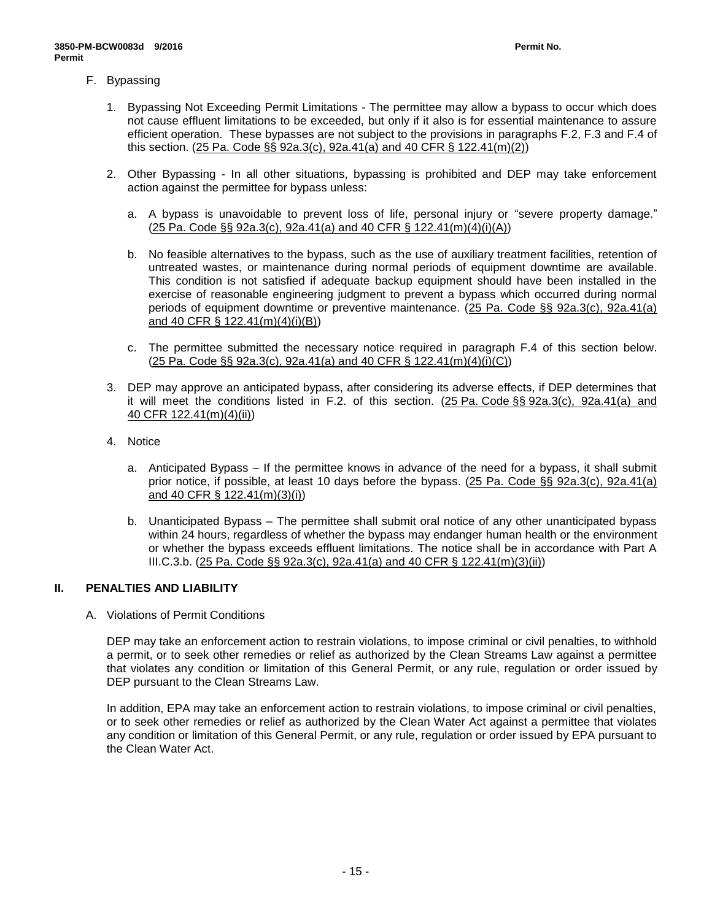- F. Bypassing
	- 1. Bypassing Not Exceeding Permit Limitations The permittee may allow a bypass to occur which does not cause effluent limitations to be exceeded, but only if it also is for essential maintenance to assure efficient operation. These bypasses are not subject to the provisions in paragraphs F.2, F.3 and F.4 of this section. (25 Pa. Code §§ 92a.3(c), 92a.41(a) and 40 CFR § 122.41(m)(2))
	- 2. Other Bypassing In all other situations, bypassing is prohibited and DEP may take enforcement action against the permittee for bypass unless:
		- a. A bypass is unavoidable to prevent loss of life, personal injury or "severe property damage." (25 Pa. Code §§ 92a.3(c), 92a.41(a) and 40 CFR § 122.41(m)(4)(i)(A))
		- b. No feasible alternatives to the bypass, such as the use of auxiliary treatment facilities, retention of untreated wastes, or maintenance during normal periods of equipment downtime are available. This condition is not satisfied if adequate backup equipment should have been installed in the exercise of reasonable engineering judgment to prevent a bypass which occurred during normal periods of equipment downtime or preventive maintenance. (25 Pa. Code §§ 92a.3(c), 92a.41(a) and 40 CFR § 122.41(m)(4)(i)(B))
		- c. The permittee submitted the necessary notice required in paragraph F.4 of this section below.  $(25 \text{ Pa. Code } \S \S 92a.3(c), 92a.41(a) \text{ and } 40 \text{ CFR } \S 122.41(m)(4)(i)(C))$
	- 3. DEP may approve an anticipated bypass, after considering its adverse effects, if DEP determines that it will meet the conditions listed in F.2. of this section. (25 Pa. Code §§ 92a.3(c), 92a.41(a) and 40 CFR 122.41(m)(4)(ii))
	- 4. Notice
		- a. Anticipated Bypass If the permittee knows in advance of the need for a bypass, it shall submit prior notice, if possible, at least 10 days before the bypass. (25 Pa. Code §§ 92a.3(c), 92a.41(a) and 40 CFR § 122.41(m)(3)(i))
		- b. Unanticipated Bypass The permittee shall submit oral notice of any other unanticipated bypass within 24 hours, regardless of whether the bypass may endanger human health or the environment or whether the bypass exceeds effluent limitations. The notice shall be in accordance with Part A III.C.3.b. (25 Pa. Code §§ 92a.3(c), 92a.41(a) and 40 CFR § 122.41(m)(3)(ii))

# **II. PENALTIES AND LIABILITY**

A. Violations of Permit Conditions

DEP may take an enforcement action to restrain violations, to impose criminal or civil penalties, to withhold a permit, or to seek other remedies or relief as authorized by the Clean Streams Law against a permittee that violates any condition or limitation of this General Permit, or any rule, regulation or order issued by DEP pursuant to the Clean Streams Law.

In addition, EPA may take an enforcement action to restrain violations, to impose criminal or civil penalties, or to seek other remedies or relief as authorized by the Clean Water Act against a permittee that violates any condition or limitation of this General Permit, or any rule, regulation or order issued by EPA pursuant to the Clean Water Act.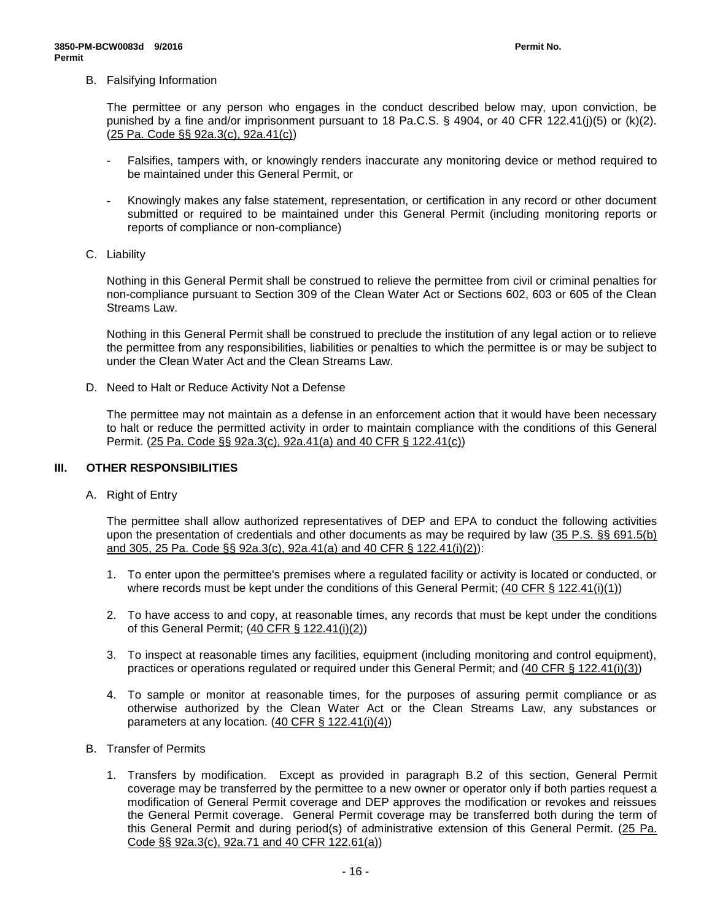### B. Falsifying Information

The permittee or any person who engages in the conduct described below may, upon conviction, be punished by a fine and/or imprisonment pursuant to 18 Pa.C.S. § 4904, or 40 CFR 122.41(j)(5) or (k)(2). (25 Pa. Code §§ 92a.3(c), 92a.41(c))

- Falsifies, tampers with, or knowingly renders inaccurate any monitoring device or method required to be maintained under this General Permit, or
- Knowingly makes any false statement, representation, or certification in any record or other document submitted or required to be maintained under this General Permit (including monitoring reports or reports of compliance or non-compliance)
- C. Liability

Nothing in this General Permit shall be construed to relieve the permittee from civil or criminal penalties for non-compliance pursuant to Section 309 of the Clean Water Act or Sections 602, 603 or 605 of the Clean Streams Law.

Nothing in this General Permit shall be construed to preclude the institution of any legal action or to relieve the permittee from any responsibilities, liabilities or penalties to which the permittee is or may be subject to under the Clean Water Act and the Clean Streams Law.

D. Need to Halt or Reduce Activity Not a Defense

The permittee may not maintain as a defense in an enforcement action that it would have been necessary to halt or reduce the permitted activity in order to maintain compliance with the conditions of this General Permit. (25 Pa. Code §§ 92a.3(c), 92a.41(a) and 40 CFR § 122.41(c))

### **III. OTHER RESPONSIBILITIES**

A. Right of Entry

The permittee shall allow authorized representatives of DEP and EPA to conduct the following activities upon the presentation of credentials and other documents as may be required by law (35 P.S. §§ 691.5(b) and 305, 25 Pa. Code §§ 92a.3(c), 92a.41(a) and 40 CFR § 122.41(i)(2)):

- 1. To enter upon the permittee's premises where a regulated facility or activity is located or conducted, or where records must be kept under the conditions of this General Permit;  $(40 \text{ CFR} \text{ } \text{\&} 122.41(i)(1))$
- 2. To have access to and copy, at reasonable times, any records that must be kept under the conditions of this General Permit; (40 CFR § 122.41(i)(2))
- 3. To inspect at reasonable times any facilities, equipment (including monitoring and control equipment), practices or operations regulated or required under this General Permit; and (40 CFR § 122.41(i)(3))
- 4. To sample or monitor at reasonable times, for the purposes of assuring permit compliance or as otherwise authorized by the Clean Water Act or the Clean Streams Law, any substances or parameters at any location.  $(40 \text{ CFR} \text{ § } 122.41(i)(4))$
- B. Transfer of Permits
	- 1. Transfers by modification. Except as provided in paragraph B.2 of this section, General Permit coverage may be transferred by the permittee to a new owner or operator only if both parties request a modification of General Permit coverage and DEP approves the modification or revokes and reissues the General Permit coverage. General Permit coverage may be transferred both during the term of this General Permit and during period(s) of administrative extension of this General Permit. (25 Pa. Code §§ 92a.3(c), 92a.71 and 40 CFR 122.61(a))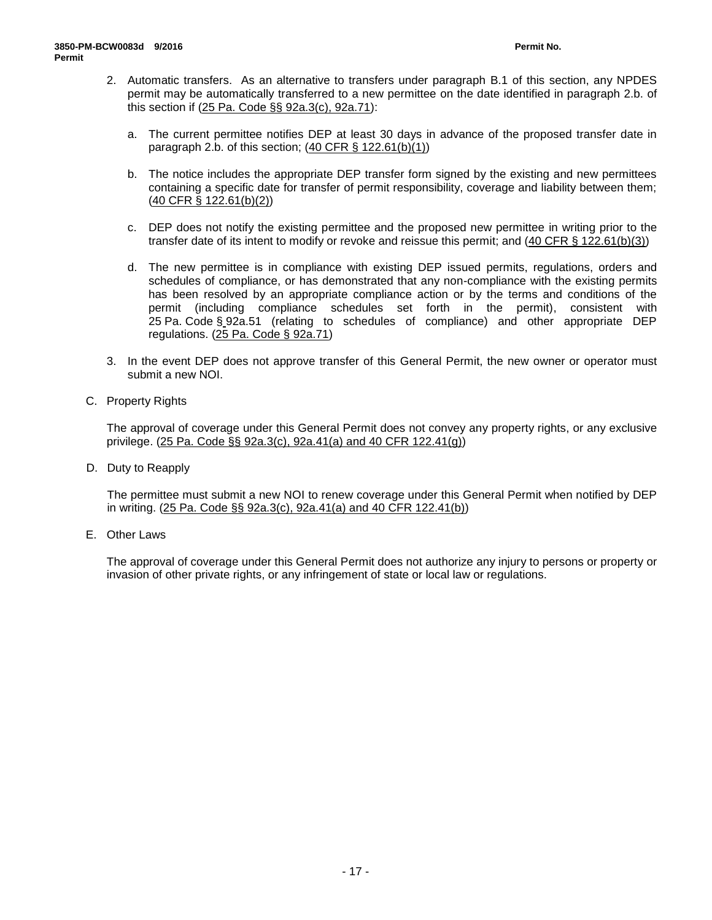- 2. Automatic transfers. As an alternative to transfers under paragraph B.1 of this section, any NPDES permit may be automatically transferred to a new permittee on the date identified in paragraph 2.b. of this section if (25 Pa. Code §§ 92a.3(c), 92a.71):
	- a. The current permittee notifies DEP at least 30 days in advance of the proposed transfer date in paragraph 2.b. of this section;  $(40 \text{ CFR} \text{S} 122.61(b)(1))$
	- b. The notice includes the appropriate DEP transfer form signed by the existing and new permittees containing a specific date for transfer of permit responsibility, coverage and liability between them; (40 CFR § 122.61(b)(2))
	- c. DEP does not notify the existing permittee and the proposed new permittee in writing prior to the transfer date of its intent to modify or revoke and reissue this permit; and (40 CFR § 122.61(b)(3))
	- d. The new permittee is in compliance with existing DEP issued permits, regulations, orders and schedules of compliance, or has demonstrated that any non-compliance with the existing permits has been resolved by an appropriate compliance action or by the terms and conditions of the permit (including compliance schedules set forth in the permit), consistent with 25 Pa. Code § 92a.51 (relating to schedules of compliance) and other appropriate DEP regulations. (25 Pa. Code § 92a.71)
- 3. In the event DEP does not approve transfer of this General Permit, the new owner or operator must submit a new NOI.
- C. Property Rights

The approval of coverage under this General Permit does not convey any property rights, or any exclusive privilege. (25 Pa. Code §§ 92a.3(c), 92a.41(a) and 40 CFR 122.41(g))

D. Duty to Reapply

The permittee must submit a new NOI to renew coverage under this General Permit when notified by DEP in writing. (25 Pa. Code §§ 92a.3(c), 92a.41(a) and 40 CFR 122.41(b))

E. Other Laws

The approval of coverage under this General Permit does not authorize any injury to persons or property or invasion of other private rights, or any infringement of state or local law or regulations.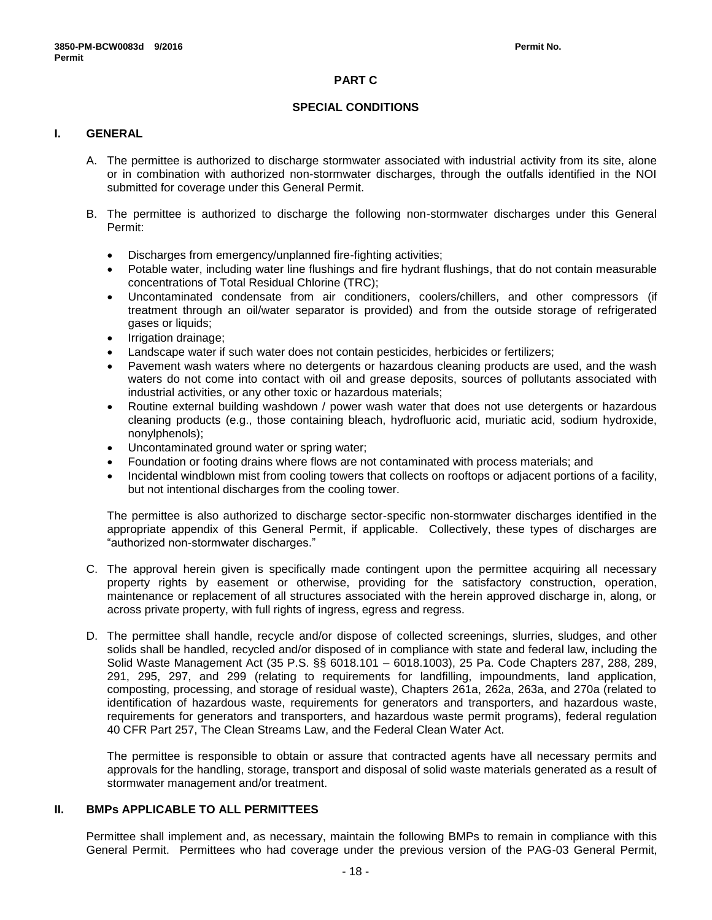# **PART C**

### **SPECIAL CONDITIONS**

# **I. GENERAL**

- A. The permittee is authorized to discharge stormwater associated with industrial activity from its site, alone or in combination with authorized non-stormwater discharges, through the outfalls identified in the NOI submitted for coverage under this General Permit.
- B. The permittee is authorized to discharge the following non-stormwater discharges under this General Permit:
	- Discharges from emergency/unplanned fire-fighting activities;
	- Potable water, including water line flushings and fire hydrant flushings, that do not contain measurable concentrations of Total Residual Chlorine (TRC);
	- Uncontaminated condensate from air conditioners, coolers/chillers, and other compressors (if treatment through an oil/water separator is provided) and from the outside storage of refrigerated gases or liquids;
	- Irrigation drainage;
	- Landscape water if such water does not contain pesticides, herbicides or fertilizers;
	- Pavement wash waters where no detergents or hazardous cleaning products are used, and the wash waters do not come into contact with oil and grease deposits, sources of pollutants associated with industrial activities, or any other toxic or hazardous materials;
	- Routine external building washdown / power wash water that does not use detergents or hazardous cleaning products (e.g., those containing bleach, hydrofluoric acid, muriatic acid, sodium hydroxide, nonylphenols);
	- Uncontaminated ground water or spring water;
	- Foundation or footing drains where flows are not contaminated with process materials; and
	- Incidental windblown mist from cooling towers that collects on rooftops or adjacent portions of a facility, but not intentional discharges from the cooling tower.

The permittee is also authorized to discharge sector-specific non-stormwater discharges identified in the appropriate appendix of this General Permit, if applicable. Collectively, these types of discharges are "authorized non-stormwater discharges."

- C. The approval herein given is specifically made contingent upon the permittee acquiring all necessary property rights by easement or otherwise, providing for the satisfactory construction, operation, maintenance or replacement of all structures associated with the herein approved discharge in, along, or across private property, with full rights of ingress, egress and regress.
- D. The permittee shall handle, recycle and/or dispose of collected screenings, slurries, sludges, and other solids shall be handled, recycled and/or disposed of in compliance with state and federal law, including the Solid Waste Management Act (35 P.S. §§ 6018.101 – 6018.1003), 25 Pa. Code Chapters 287, 288, 289, 291, 295, 297, and 299 (relating to requirements for landfilling, impoundments, land application, composting, processing, and storage of residual waste), Chapters 261a, 262a, 263a, and 270a (related to identification of hazardous waste, requirements for generators and transporters, and hazardous waste, requirements for generators and transporters, and hazardous waste permit programs), federal regulation 40 CFR Part 257, The Clean Streams Law, and the Federal Clean Water Act.

The permittee is responsible to obtain or assure that contracted agents have all necessary permits and approvals for the handling, storage, transport and disposal of solid waste materials generated as a result of stormwater management and/or treatment.

### **II. BMPs APPLICABLE TO ALL PERMITTEES**

Permittee shall implement and, as necessary, maintain the following BMPs to remain in compliance with this General Permit. Permittees who had coverage under the previous version of the PAG-03 General Permit,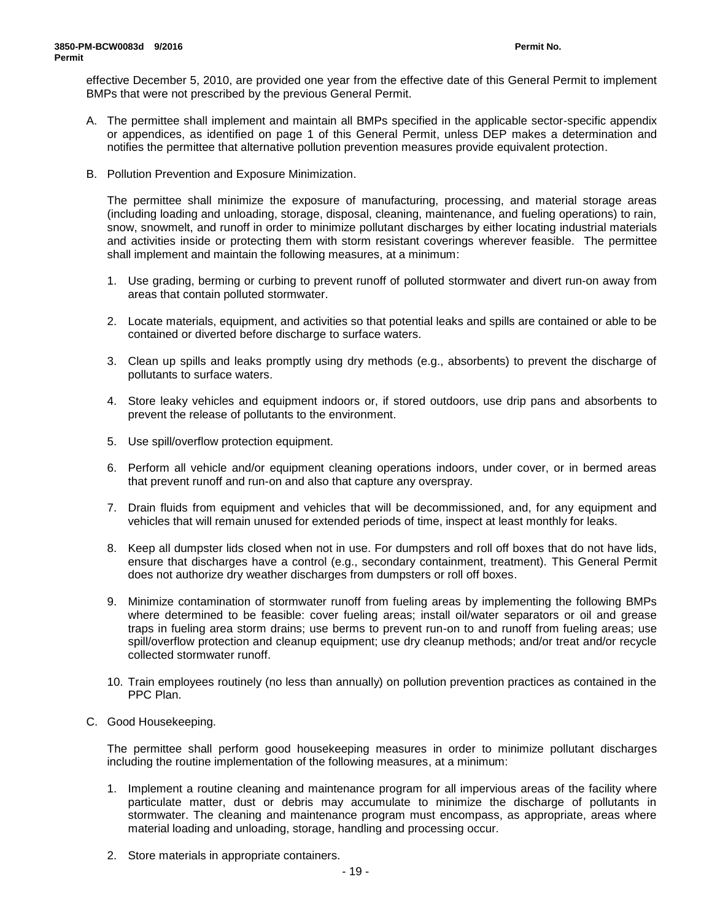effective December 5, 2010, are provided one year from the effective date of this General Permit to implement BMPs that were not prescribed by the previous General Permit.

- A. The permittee shall implement and maintain all BMPs specified in the applicable sector-specific appendix or appendices, as identified on page 1 of this General Permit, unless DEP makes a determination and notifies the permittee that alternative pollution prevention measures provide equivalent protection.
- B. Pollution Prevention and Exposure Minimization.

The permittee shall minimize the exposure of manufacturing, processing, and material storage areas (including loading and unloading, storage, disposal, cleaning, maintenance, and fueling operations) to rain, snow, snowmelt, and runoff in order to minimize pollutant discharges by either locating industrial materials and activities inside or protecting them with storm resistant coverings wherever feasible. The permittee shall implement and maintain the following measures, at a minimum:

- 1. Use grading, berming or curbing to prevent runoff of polluted stormwater and divert run-on away from areas that contain polluted stormwater.
- 2. Locate materials, equipment, and activities so that potential leaks and spills are contained or able to be contained or diverted before discharge to surface waters.
- 3. Clean up spills and leaks promptly using dry methods (e.g., absorbents) to prevent the discharge of pollutants to surface waters.
- 4. Store leaky vehicles and equipment indoors or, if stored outdoors, use drip pans and absorbents to prevent the release of pollutants to the environment.
- 5. Use spill/overflow protection equipment.
- 6. Perform all vehicle and/or equipment cleaning operations indoors, under cover, or in bermed areas that prevent runoff and run-on and also that capture any overspray.
- 7. Drain fluids from equipment and vehicles that will be decommissioned, and, for any equipment and vehicles that will remain unused for extended periods of time, inspect at least monthly for leaks.
- 8. Keep all dumpster lids closed when not in use. For dumpsters and roll off boxes that do not have lids, ensure that discharges have a control (e.g., secondary containment, treatment). This General Permit does not authorize dry weather discharges from dumpsters or roll off boxes.
- 9. Minimize contamination of stormwater runoff from fueling areas by implementing the following BMPs where determined to be feasible: cover fueling areas; install oil/water separators or oil and grease traps in fueling area storm drains; use berms to prevent run-on to and runoff from fueling areas; use spill/overflow protection and cleanup equipment; use dry cleanup methods; and/or treat and/or recycle collected stormwater runoff.
- 10. Train employees routinely (no less than annually) on pollution prevention practices as contained in the PPC Plan.
- C. Good Housekeeping.

The permittee shall perform good housekeeping measures in order to minimize pollutant discharges including the routine implementation of the following measures, at a minimum:

- 1. Implement a routine cleaning and maintenance program for all impervious areas of the facility where particulate matter, dust or debris may accumulate to minimize the discharge of pollutants in stormwater. The cleaning and maintenance program must encompass, as appropriate, areas where material loading and unloading, storage, handling and processing occur.
- 2. Store materials in appropriate containers.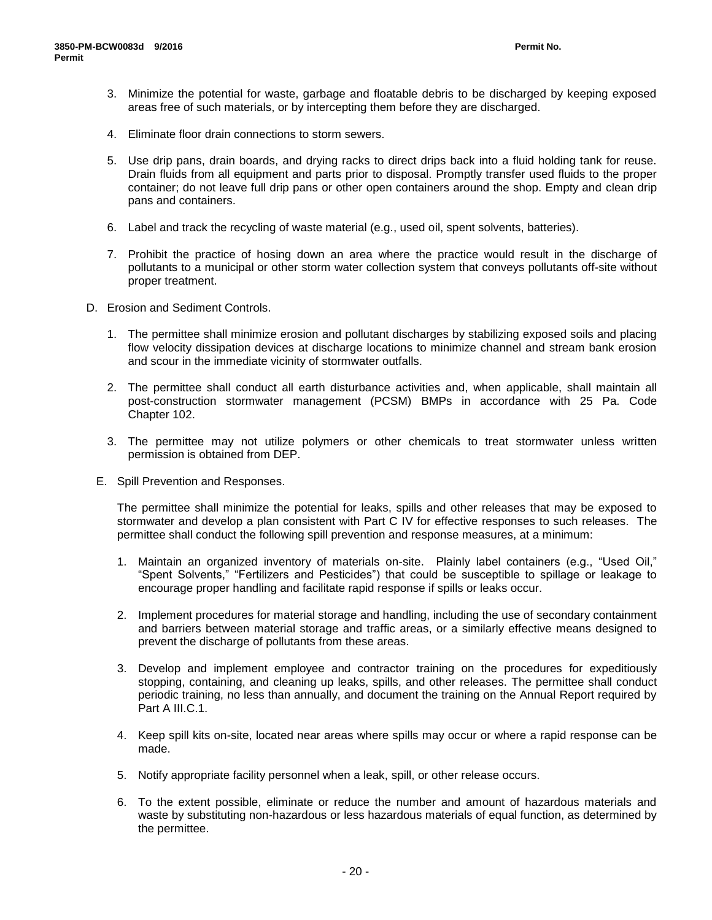- 3. Minimize the potential for waste, garbage and floatable debris to be discharged by keeping exposed areas free of such materials, or by intercepting them before they are discharged.
- 4. Eliminate floor drain connections to storm sewers.
- 5. Use drip pans, drain boards, and drying racks to direct drips back into a fluid holding tank for reuse. Drain fluids from all equipment and parts prior to disposal. Promptly transfer used fluids to the proper container; do not leave full drip pans or other open containers around the shop. Empty and clean drip pans and containers.
- 6. Label and track the recycling of waste material (e.g., used oil, spent solvents, batteries).
- 7. Prohibit the practice of hosing down an area where the practice would result in the discharge of pollutants to a municipal or other storm water collection system that conveys pollutants off-site without proper treatment.
- D. Erosion and Sediment Controls.
	- 1. The permittee shall minimize erosion and pollutant discharges by stabilizing exposed soils and placing flow velocity dissipation devices at discharge locations to minimize channel and stream bank erosion and scour in the immediate vicinity of stormwater outfalls.
	- 2. The permittee shall conduct all earth disturbance activities and, when applicable, shall maintain all post-construction stormwater management (PCSM) BMPs in accordance with 25 Pa. Code Chapter 102.
	- 3. The permittee may not utilize polymers or other chemicals to treat stormwater unless written permission is obtained from DEP.
	- E. Spill Prevention and Responses.

The permittee shall minimize the potential for leaks, spills and other releases that may be exposed to stormwater and develop a plan consistent with Part C IV for effective responses to such releases. The permittee shall conduct the following spill prevention and response measures, at a minimum:

- 1. Maintain an organized inventory of materials on-site. Plainly label containers (e.g., "Used Oil," "Spent Solvents," "Fertilizers and Pesticides") that could be susceptible to spillage or leakage to encourage proper handling and facilitate rapid response if spills or leaks occur.
- 2. Implement procedures for material storage and handling, including the use of secondary containment and barriers between material storage and traffic areas, or a similarly effective means designed to prevent the discharge of pollutants from these areas.
- 3. Develop and implement employee and contractor training on the procedures for expeditiously stopping, containing, and cleaning up leaks, spills, and other releases. The permittee shall conduct periodic training, no less than annually, and document the training on the Annual Report required by Part A III.C.1.
- 4. Keep spill kits on-site, located near areas where spills may occur or where a rapid response can be made.
- 5. Notify appropriate facility personnel when a leak, spill, or other release occurs.
- 6. To the extent possible, eliminate or reduce the number and amount of hazardous materials and waste by substituting non-hazardous or less hazardous materials of equal function, as determined by the permittee.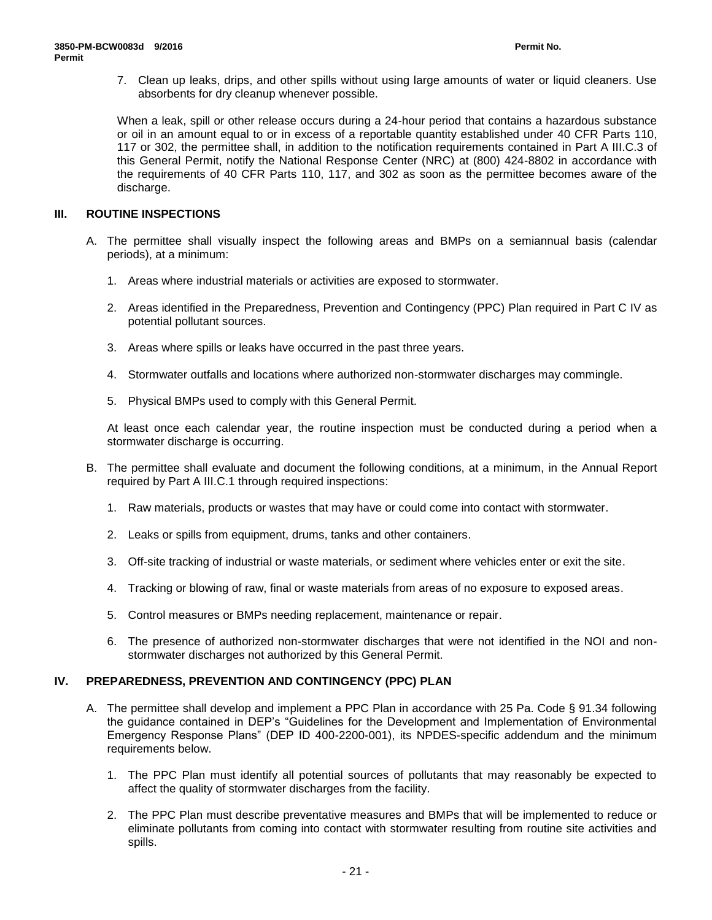7. Clean up leaks, drips, and other spills without using large amounts of water or liquid cleaners. Use absorbents for dry cleanup whenever possible.

When a leak, spill or other release occurs during a 24-hour period that contains a hazardous substance or oil in an amount equal to or in excess of a reportable quantity established under 40 CFR Parts 110, 117 or 302, the permittee shall, in addition to the notification requirements contained in Part A III.C.3 of this General Permit, notify the National Response Center (NRC) at (800) 424-8802 in accordance with the requirements of 40 CFR Parts 110, 117, and 302 as soon as the permittee becomes aware of the discharge.

# **III. ROUTINE INSPECTIONS**

- A. The permittee shall visually inspect the following areas and BMPs on a semiannual basis (calendar periods), at a minimum:
	- 1. Areas where industrial materials or activities are exposed to stormwater.
	- 2. Areas identified in the Preparedness, Prevention and Contingency (PPC) Plan required in Part C IV as potential pollutant sources.
	- 3. Areas where spills or leaks have occurred in the past three years.
	- 4. Stormwater outfalls and locations where authorized non-stormwater discharges may commingle.
	- 5. Physical BMPs used to comply with this General Permit.

At least once each calendar year, the routine inspection must be conducted during a period when a stormwater discharge is occurring.

- B. The permittee shall evaluate and document the following conditions, at a minimum, in the Annual Report required by Part A III.C.1 through required inspections:
	- 1. Raw materials, products or wastes that may have or could come into contact with stormwater.
	- 2. Leaks or spills from equipment, drums, tanks and other containers.
	- 3. Off-site tracking of industrial or waste materials, or sediment where vehicles enter or exit the site.
	- 4. Tracking or blowing of raw, final or waste materials from areas of no exposure to exposed areas.
	- 5. Control measures or BMPs needing replacement, maintenance or repair.
	- 6. The presence of authorized non-stormwater discharges that were not identified in the NOI and nonstormwater discharges not authorized by this General Permit.

# **IV. PREPAREDNESS, PREVENTION AND CONTINGENCY (PPC) PLAN**

- A. The permittee shall develop and implement a PPC Plan in accordance with 25 Pa. Code § 91.34 following the guidance contained in DEP's "Guidelines for the Development and Implementation of Environmental Emergency Response Plans" (DEP ID 400-2200-001), its NPDES-specific addendum and the minimum requirements below.
	- 1. The PPC Plan must identify all potential sources of pollutants that may reasonably be expected to affect the quality of stormwater discharges from the facility.
	- 2. The PPC Plan must describe preventative measures and BMPs that will be implemented to reduce or eliminate pollutants from coming into contact with stormwater resulting from routine site activities and spills.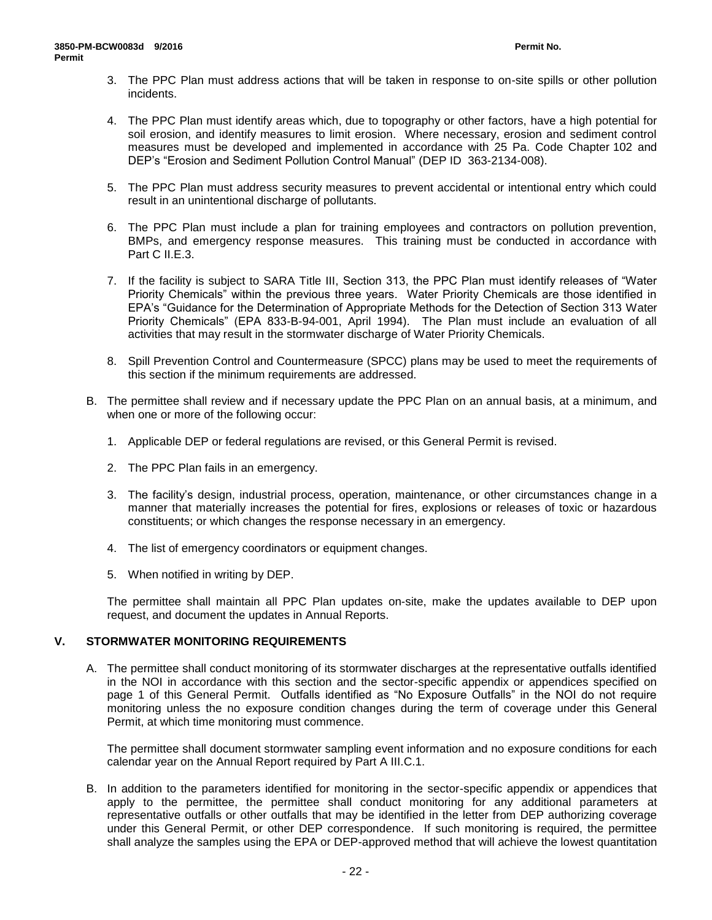- 3. The PPC Plan must address actions that will be taken in response to on-site spills or other pollution incidents.
- 4. The PPC Plan must identify areas which, due to topography or other factors, have a high potential for soil erosion, and identify measures to limit erosion. Where necessary, erosion and sediment control measures must be developed and implemented in accordance with 25 Pa. Code Chapter 102 and DEP's "Erosion and Sediment Pollution Control Manual" (DEP ID 363-2134-008).
- 5. The PPC Plan must address security measures to prevent accidental or intentional entry which could result in an unintentional discharge of pollutants.
- 6. The PPC Plan must include a plan for training employees and contractors on pollution prevention, BMPs, and emergency response measures. This training must be conducted in accordance with Part C II.E.3.
- 7. If the facility is subject to SARA Title III, Section 313, the PPC Plan must identify releases of "Water Priority Chemicals" within the previous three years. Water Priority Chemicals are those identified in EPA's "Guidance for the Determination of Appropriate Methods for the Detection of Section 313 Water Priority Chemicals" (EPA 833-B-94-001, April 1994). The Plan must include an evaluation of all activities that may result in the stormwater discharge of Water Priority Chemicals.
- 8. Spill Prevention Control and Countermeasure (SPCC) plans may be used to meet the requirements of this section if the minimum requirements are addressed.
- B. The permittee shall review and if necessary update the PPC Plan on an annual basis, at a minimum, and when one or more of the following occur:
	- 1. Applicable DEP or federal regulations are revised, or this General Permit is revised.
	- 2. The PPC Plan fails in an emergency.
	- 3. The facility's design, industrial process, operation, maintenance, or other circumstances change in a manner that materially increases the potential for fires, explosions or releases of toxic or hazardous constituents; or which changes the response necessary in an emergency.
	- 4. The list of emergency coordinators or equipment changes.
	- 5. When notified in writing by DEP.

The permittee shall maintain all PPC Plan updates on-site, make the updates available to DEP upon request, and document the updates in Annual Reports.

# **V. STORMWATER MONITORING REQUIREMENTS**

A. The permittee shall conduct monitoring of its stormwater discharges at the representative outfalls identified in the NOI in accordance with this section and the sector-specific appendix or appendices specified on page 1 of this General Permit. Outfalls identified as "No Exposure Outfalls" in the NOI do not require monitoring unless the no exposure condition changes during the term of coverage under this General Permit, at which time monitoring must commence.

The permittee shall document stormwater sampling event information and no exposure conditions for each calendar year on the Annual Report required by Part A III.C.1.

B. In addition to the parameters identified for monitoring in the sector-specific appendix or appendices that apply to the permittee, the permittee shall conduct monitoring for any additional parameters at representative outfalls or other outfalls that may be identified in the letter from DEP authorizing coverage under this General Permit, or other DEP correspondence. If such monitoring is required, the permittee shall analyze the samples using the EPA or DEP-approved method that will achieve the lowest quantitation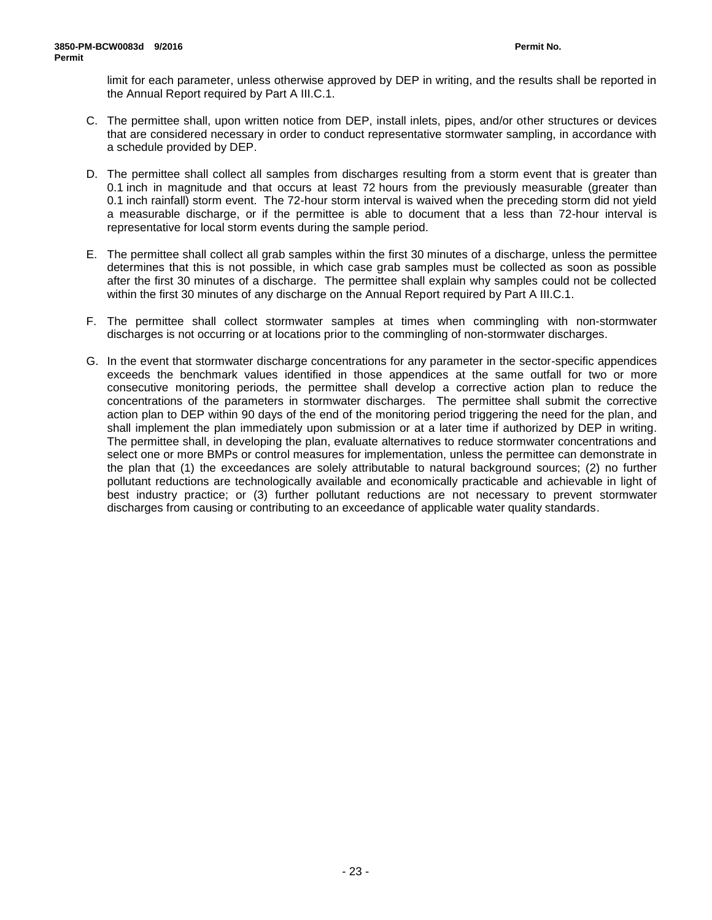limit for each parameter, unless otherwise approved by DEP in writing, and the results shall be reported in the Annual Report required by Part A III.C.1.

- C. The permittee shall, upon written notice from DEP, install inlets, pipes, and/or other structures or devices that are considered necessary in order to conduct representative stormwater sampling, in accordance with a schedule provided by DEP.
- D. The permittee shall collect all samples from discharges resulting from a storm event that is greater than 0.1 inch in magnitude and that occurs at least 72 hours from the previously measurable (greater than 0.1 inch rainfall) storm event. The 72-hour storm interval is waived when the preceding storm did not yield a measurable discharge, or if the permittee is able to document that a less than 72-hour interval is representative for local storm events during the sample period.
- E. The permittee shall collect all grab samples within the first 30 minutes of a discharge, unless the permittee determines that this is not possible, in which case grab samples must be collected as soon as possible after the first 30 minutes of a discharge. The permittee shall explain why samples could not be collected within the first 30 minutes of any discharge on the Annual Report required by Part A III.C.1.
- F. The permittee shall collect stormwater samples at times when commingling with non-stormwater discharges is not occurring or at locations prior to the commingling of non-stormwater discharges.
- G. In the event that stormwater discharge concentrations for any parameter in the sector-specific appendices exceeds the benchmark values identified in those appendices at the same outfall for two or more consecutive monitoring periods, the permittee shall develop a corrective action plan to reduce the concentrations of the parameters in stormwater discharges. The permittee shall submit the corrective action plan to DEP within 90 days of the end of the monitoring period triggering the need for the plan, and shall implement the plan immediately upon submission or at a later time if authorized by DEP in writing. The permittee shall, in developing the plan, evaluate alternatives to reduce stormwater concentrations and select one or more BMPs or control measures for implementation, unless the permittee can demonstrate in the plan that (1) the exceedances are solely attributable to natural background sources; (2) no further pollutant reductions are technologically available and economically practicable and achievable in light of best industry practice; or (3) further pollutant reductions are not necessary to prevent stormwater discharges from causing or contributing to an exceedance of applicable water quality standards.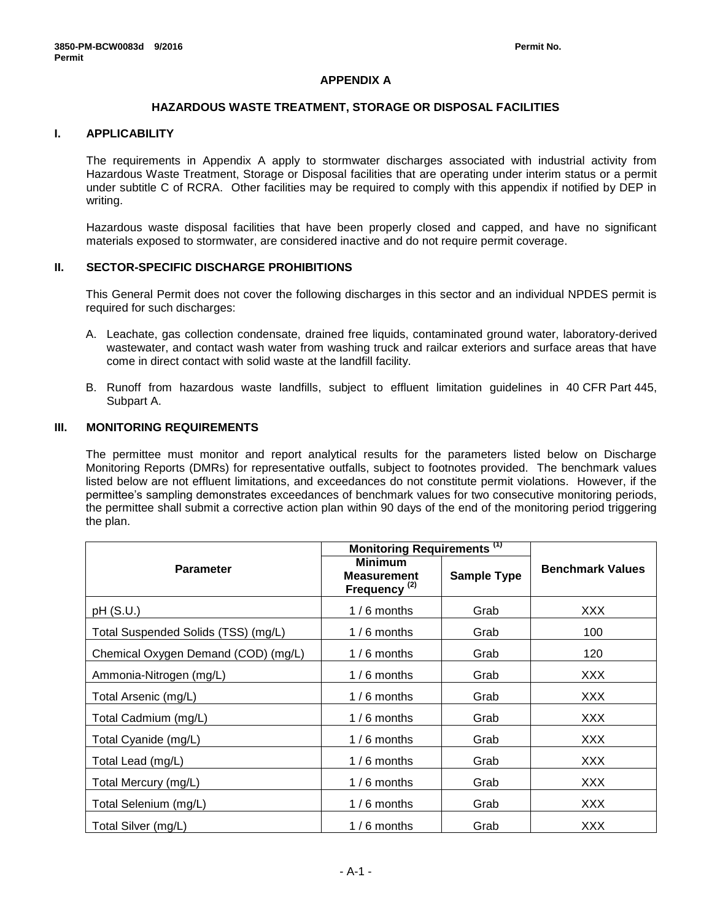# **APPENDIX A**

### **HAZARDOUS WASTE TREATMENT, STORAGE OR DISPOSAL FACILITIES**

# **I. APPLICABILITY**

The requirements in Appendix A apply to stormwater discharges associated with industrial activity from Hazardous Waste Treatment, Storage or Disposal facilities that are operating under interim status or a permit under subtitle C of RCRA. Other facilities may be required to comply with this appendix if notified by DEP in writing.

Hazardous waste disposal facilities that have been properly closed and capped, and have no significant materials exposed to stormwater, are considered inactive and do not require permit coverage.

### **II. SECTOR-SPECIFIC DISCHARGE PROHIBITIONS**

This General Permit does not cover the following discharges in this sector and an individual NPDES permit is required for such discharges:

- A. Leachate, gas collection condensate, drained free liquids, contaminated ground water, laboratory-derived wastewater, and contact wash water from washing truck and railcar exteriors and surface areas that have come in direct contact with solid waste at the landfill facility.
- B. Runoff from hazardous waste landfills, subject to effluent limitation guidelines in 40 CFR Part 445, Subpart A.

# **III. MONITORING REQUIREMENTS**

The permittee must monitor and report analytical results for the parameters listed below on Discharge Monitoring Reports (DMRs) for representative outfalls, subject to footnotes provided. The benchmark values listed below are not effluent limitations, and exceedances do not constitute permit violations. However, if the permittee's sampling demonstrates exceedances of benchmark values for two consecutive monitoring periods, the permittee shall submit a corrective action plan within 90 days of the end of the monitoring period triggering the plan.

|                                     | Monitoring Requirements <sup>(1)</sup>                           |                    |                         |
|-------------------------------------|------------------------------------------------------------------|--------------------|-------------------------|
| <b>Parameter</b>                    | <b>Minimum</b><br><b>Measurement</b><br>Frequency <sup>(2)</sup> | <b>Sample Type</b> | <b>Benchmark Values</b> |
| pH(S.U.)                            | $1/6$ months                                                     | Grab               | <b>XXX</b>              |
| Total Suspended Solids (TSS) (mg/L) | $1/6$ months                                                     | Grab               | 100                     |
| Chemical Oxygen Demand (COD) (mg/L) | $1/6$ months                                                     | Grab               | 120                     |
| Ammonia-Nitrogen (mg/L)             | $1/6$ months                                                     | Grab               | XXX.                    |
| Total Arsenic (mg/L)                | $1/6$ months                                                     | Grab               | XXX                     |
| Total Cadmium (mg/L)                | $1/6$ months                                                     | Grab               | <b>XXX</b>              |
| Total Cyanide (mg/L)                | $1/6$ months                                                     | Grab               | XXX                     |
| Total Lead (mg/L)                   | $1/6$ months                                                     | Grab               | XXX                     |
| Total Mercury (mg/L)                | $1/6$ months                                                     | Grab               | <b>XXX</b>              |
| Total Selenium (mg/L)               | $1/6$ months                                                     | Grab               | XXX                     |
| Total Silver (mg/L)                 | $1/6$ months                                                     | Grab               | <b>XXX</b>              |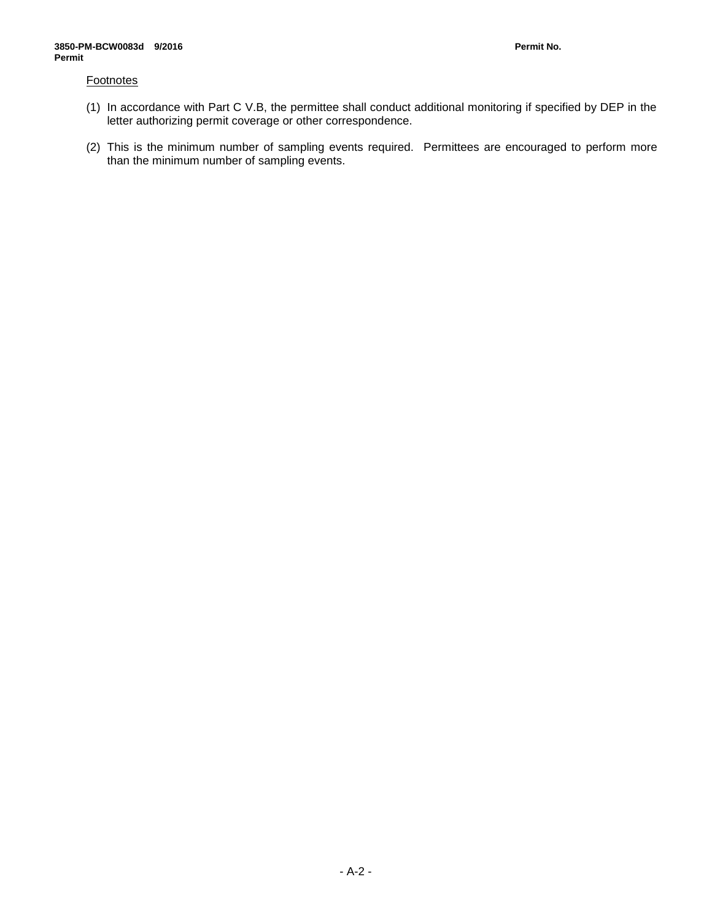### **Footnotes**

- (1) In accordance with Part C V.B, the permittee shall conduct additional monitoring if specified by DEP in the letter authorizing permit coverage or other correspondence.
- (2) This is the minimum number of sampling events required. Permittees are encouraged to perform more than the minimum number of sampling events.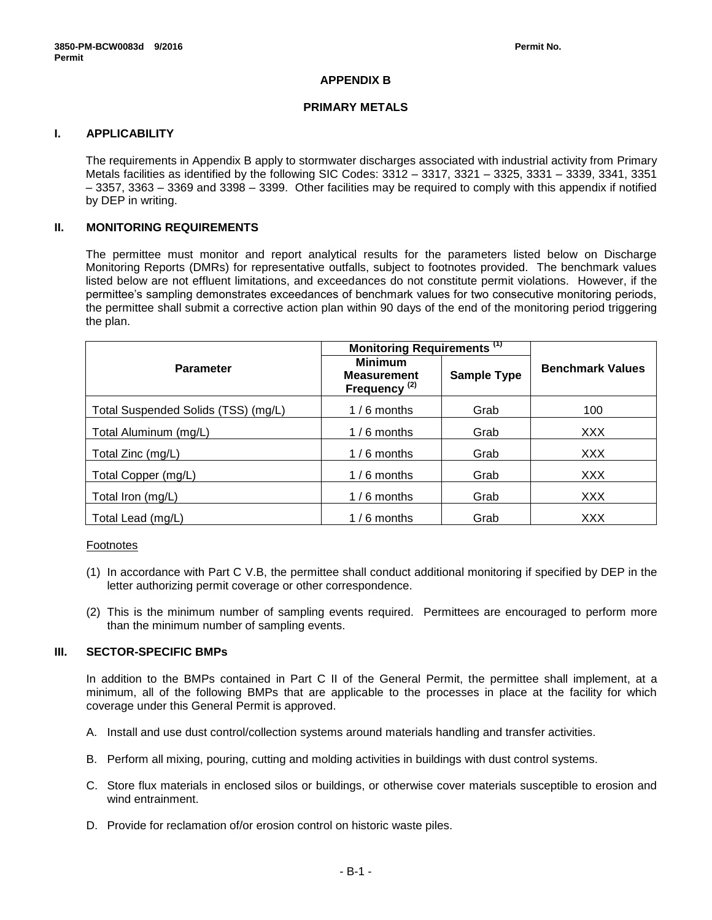# **APPENDIX B**

# **PRIMARY METALS**

# **I. APPLICABILITY**

The requirements in Appendix B apply to stormwater discharges associated with industrial activity from Primary Metals facilities as identified by the following SIC Codes: 3312 – 3317, 3321 – 3325, 3331 – 3339, 3341, 3351 – 3357, 3363 – 3369 and 3398 – 3399. Other facilities may be required to comply with this appendix if notified by DEP in writing.

### **II. MONITORING REQUIREMENTS**

The permittee must monitor and report analytical results for the parameters listed below on Discharge Monitoring Reports (DMRs) for representative outfalls, subject to footnotes provided. The benchmark values listed below are not effluent limitations, and exceedances do not constitute permit violations. However, if the permittee's sampling demonstrates exceedances of benchmark values for two consecutive monitoring periods, the permittee shall submit a corrective action plan within 90 days of the end of the monitoring period triggering the plan.

|                                     | Monitoring Requirements <sup>(1)</sup>                           |                    |                         |
|-------------------------------------|------------------------------------------------------------------|--------------------|-------------------------|
| <b>Parameter</b>                    | <b>Minimum</b><br><b>Measurement</b><br>Frequency <sup>(2)</sup> | <b>Sample Type</b> | <b>Benchmark Values</b> |
| Total Suspended Solids (TSS) (mg/L) | $1/6$ months                                                     | Grab               | 100                     |
| Total Aluminum (mg/L)               | $1/6$ months                                                     | Grab               | <b>XXX</b>              |
| Total Zinc (mg/L)                   | $1/6$ months                                                     | Grab               | <b>XXX</b>              |
| Total Copper (mg/L)                 | $1/6$ months                                                     | Grab               | <b>XXX</b>              |
| Total Iron (mg/L)                   | $1/6$ months                                                     | Grab               | <b>XXX</b>              |
| Total Lead (mg/L)                   | $1/6$ months                                                     | Grab               | <b>XXX</b>              |

### Footnotes

- (1) In accordance with Part C V.B, the permittee shall conduct additional monitoring if specified by DEP in the letter authorizing permit coverage or other correspondence.
- (2) This is the minimum number of sampling events required. Permittees are encouraged to perform more than the minimum number of sampling events.

### **III. SECTOR-SPECIFIC BMPs**

In addition to the BMPs contained in Part C II of the General Permit, the permittee shall implement, at a minimum, all of the following BMPs that are applicable to the processes in place at the facility for which coverage under this General Permit is approved.

- A. Install and use dust control/collection systems around materials handling and transfer activities.
- B. Perform all mixing, pouring, cutting and molding activities in buildings with dust control systems.
- C. Store flux materials in enclosed silos or buildings, or otherwise cover materials susceptible to erosion and wind entrainment.
- D. Provide for reclamation of/or erosion control on historic waste piles.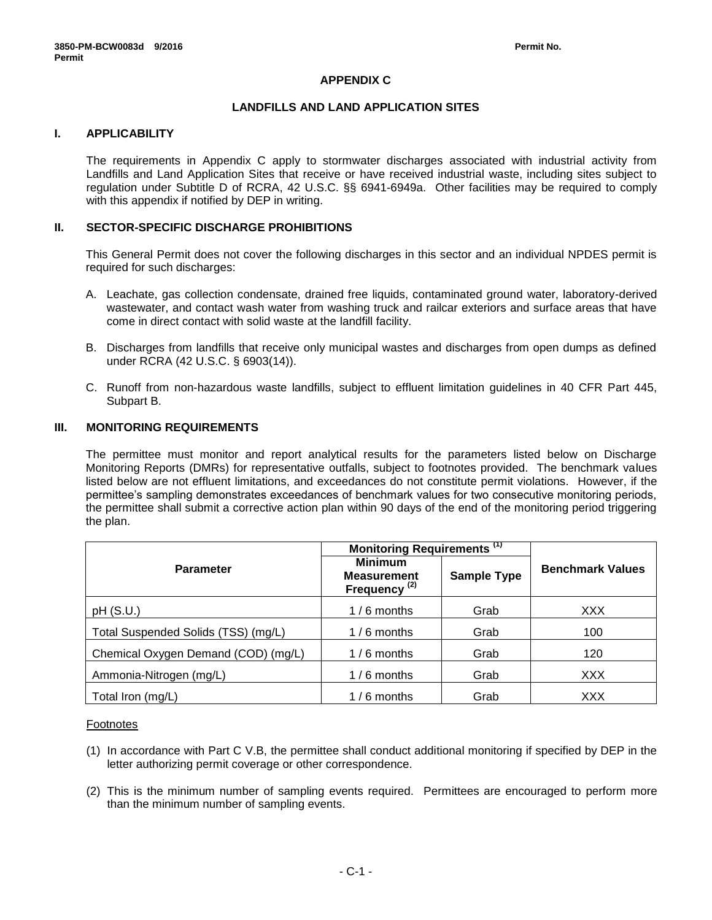# **APPENDIX C**

### **LANDFILLS AND LAND APPLICATION SITES**

# **I. APPLICABILITY**

The requirements in Appendix C apply to stormwater discharges associated with industrial activity from Landfills and Land Application Sites that receive or have received industrial waste, including sites subject to regulation under Subtitle D of RCRA, 42 U.S.C. §§ 6941-6949a. Other facilities may be required to comply with this appendix if notified by DEP in writing.

### **II. SECTOR-SPECIFIC DISCHARGE PROHIBITIONS**

This General Permit does not cover the following discharges in this sector and an individual NPDES permit is required for such discharges:

- A. Leachate, gas collection condensate, drained free liquids, contaminated ground water, laboratory-derived wastewater, and contact wash water from washing truck and railcar exteriors and surface areas that have come in direct contact with solid waste at the landfill facility.
- B. Discharges from landfills that receive only municipal wastes and discharges from open dumps as defined under RCRA (42 U.S.C. § 6903(14)).
- C. Runoff from non-hazardous waste landfills, subject to effluent limitation guidelines in 40 CFR Part 445, Subpart B.

# **III. MONITORING REQUIREMENTS**

The permittee must monitor and report analytical results for the parameters listed below on Discharge Monitoring Reports (DMRs) for representative outfalls, subject to footnotes provided. The benchmark values listed below are not effluent limitations, and exceedances do not constitute permit violations. However, if the permittee's sampling demonstrates exceedances of benchmark values for two consecutive monitoring periods, the permittee shall submit a corrective action plan within 90 days of the end of the monitoring period triggering the plan.

|                                     | Monitoring Requirements <sup>(1)</sup>                           |                    |                         |
|-------------------------------------|------------------------------------------------------------------|--------------------|-------------------------|
| <b>Parameter</b>                    | <b>Minimum</b><br><b>Measurement</b><br>Frequency <sup>(2)</sup> | <b>Sample Type</b> | <b>Benchmark Values</b> |
| pH(S.U.)                            | $1/6$ months                                                     | Grab               | <b>XXX</b>              |
| Total Suspended Solids (TSS) (mg/L) | $1/6$ months                                                     | Grab               | 100                     |
| Chemical Oxygen Demand (COD) (mg/L) | $1/6$ months                                                     | Grab               | 120                     |
| Ammonia-Nitrogen (mg/L)             | $1/6$ months                                                     | Grab               | <b>XXX</b>              |
| Total Iron (mg/L)                   | $1/6$ months                                                     | Grab               | XXX                     |

#### Footnotes

- (1) In accordance with Part C V.B, the permittee shall conduct additional monitoring if specified by DEP in the letter authorizing permit coverage or other correspondence.
- (2) This is the minimum number of sampling events required. Permittees are encouraged to perform more than the minimum number of sampling events.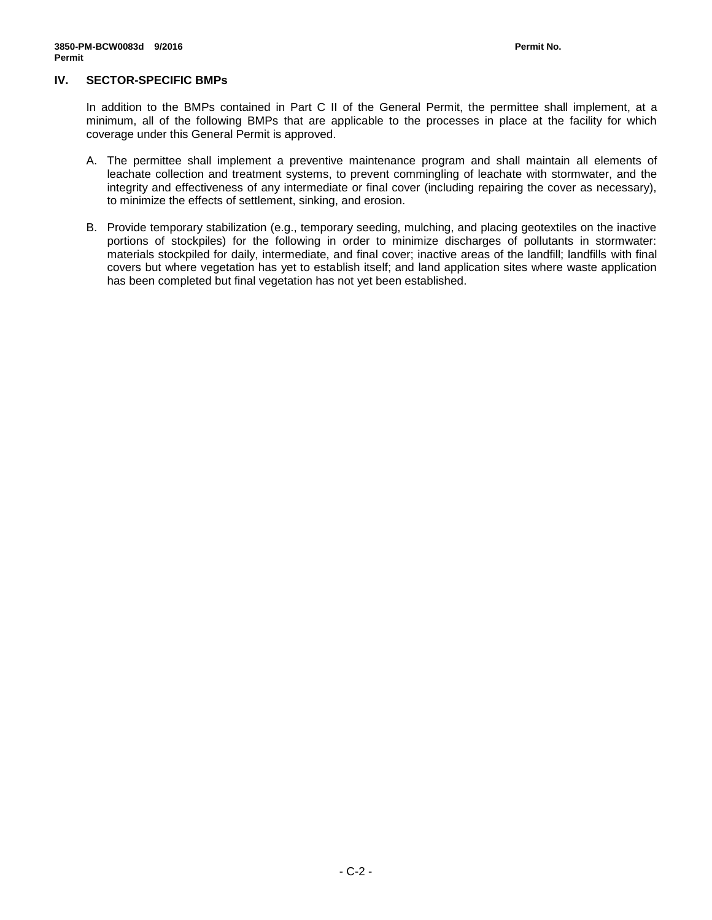### **IV. SECTOR-SPECIFIC BMPs**

In addition to the BMPs contained in Part C II of the General Permit, the permittee shall implement, at a minimum, all of the following BMPs that are applicable to the processes in place at the facility for which coverage under this General Permit is approved.

- A. The permittee shall implement a preventive maintenance program and shall maintain all elements of leachate collection and treatment systems, to prevent commingling of leachate with stormwater, and the integrity and effectiveness of any intermediate or final cover (including repairing the cover as necessary), to minimize the effects of settlement, sinking, and erosion.
- B. Provide temporary stabilization (e.g., temporary seeding, mulching, and placing geotextiles on the inactive portions of stockpiles) for the following in order to minimize discharges of pollutants in stormwater: materials stockpiled for daily, intermediate, and final cover; inactive areas of the landfill; landfills with final covers but where vegetation has yet to establish itself; and land application sites where waste application has been completed but final vegetation has not yet been established.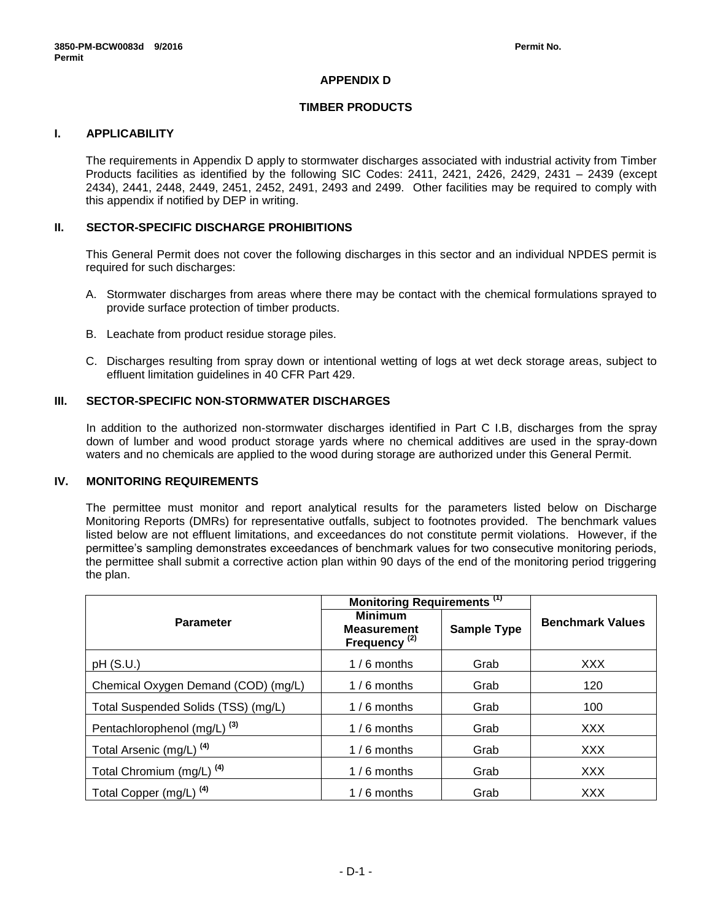# **APPENDIX D**

# **TIMBER PRODUCTS**

# **I. APPLICABILITY**

The requirements in Appendix D apply to stormwater discharges associated with industrial activity from Timber Products facilities as identified by the following SIC Codes: 2411, 2421, 2426, 2429, 2431 – 2439 (except 2434), 2441, 2448, 2449, 2451, 2452, 2491, 2493 and 2499. Other facilities may be required to comply with this appendix if notified by DEP in writing.

### **II. SECTOR-SPECIFIC DISCHARGE PROHIBITIONS**

This General Permit does not cover the following discharges in this sector and an individual NPDES permit is required for such discharges:

- A. Stormwater discharges from areas where there may be contact with the chemical formulations sprayed to provide surface protection of timber products.
- B. Leachate from product residue storage piles.
- C. Discharges resulting from spray down or intentional wetting of logs at wet deck storage areas, subject to effluent limitation guidelines in 40 CFR Part 429.

### **III. SECTOR-SPECIFIC NON-STORMWATER DISCHARGES**

In addition to the authorized non-stormwater discharges identified in Part C I.B, discharges from the spray down of lumber and wood product storage yards where no chemical additives are used in the spray-down waters and no chemicals are applied to the wood during storage are authorized under this General Permit.

#### **IV. MONITORING REQUIREMENTS**

The permittee must monitor and report analytical results for the parameters listed below on Discharge Monitoring Reports (DMRs) for representative outfalls, subject to footnotes provided. The benchmark values listed below are not effluent limitations, and exceedances do not constitute permit violations. However, if the permittee's sampling demonstrates exceedances of benchmark values for two consecutive monitoring periods, the permittee shall submit a corrective action plan within 90 days of the end of the monitoring period triggering the plan.

|                                         | Monitoring Requirements <sup>(1)</sup>                           |                    |                         |
|-----------------------------------------|------------------------------------------------------------------|--------------------|-------------------------|
| <b>Parameter</b>                        | <b>Minimum</b><br><b>Measurement</b><br>Frequency <sup>(2)</sup> | <b>Sample Type</b> | <b>Benchmark Values</b> |
| pH(S.U.)                                | $1/6$ months                                                     | Grab               | <b>XXX</b>              |
| Chemical Oxygen Demand (COD) (mg/L)     | $1/6$ months                                                     | Grab               | 120                     |
| Total Suspended Solids (TSS) (mg/L)     | $1/6$ months                                                     | Grab               | 100                     |
| Pentachlorophenol (mg/L) <sup>(3)</sup> | $1/6$ months                                                     | Grab               | <b>XXX</b>              |
| Total Arsenic (mg/L) <sup>(4)</sup>     | $1/6$ months                                                     | Grab               | <b>XXX</b>              |
| Total Chromium (mg/L) <sup>(4)</sup>    | $1/6$ months                                                     | Grab               | <b>XXX</b>              |
| Total Copper (mg/L) <sup>(4)</sup>      | $1/6$ months                                                     | Grab               | <b>XXX</b>              |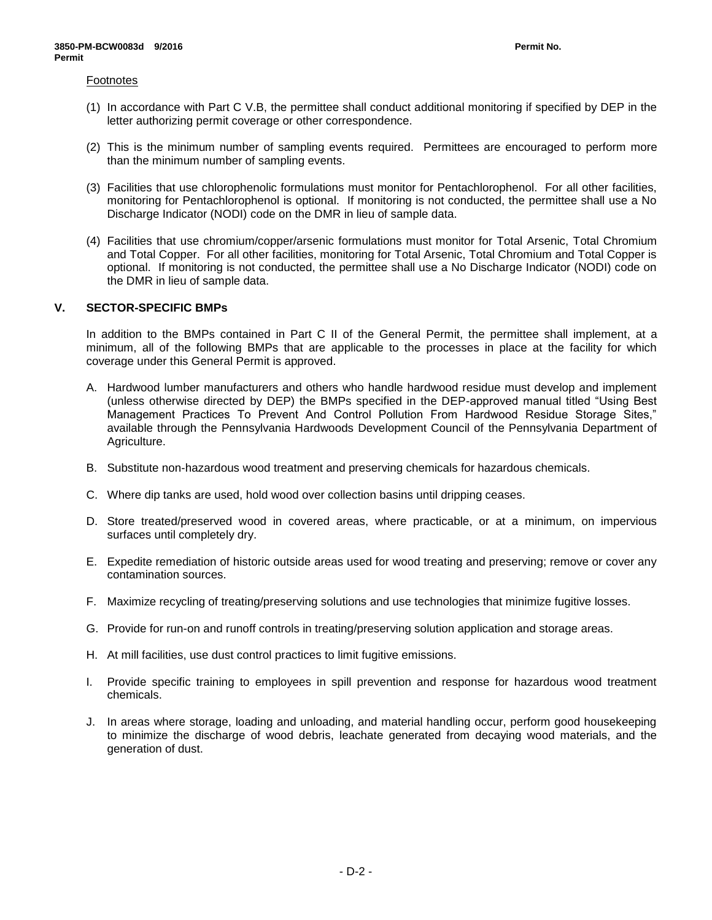#### Footnotes

- (1) In accordance with Part C V.B, the permittee shall conduct additional monitoring if specified by DEP in the letter authorizing permit coverage or other correspondence.
- (2) This is the minimum number of sampling events required. Permittees are encouraged to perform more than the minimum number of sampling events.
- (3) Facilities that use chlorophenolic formulations must monitor for Pentachlorophenol. For all other facilities, monitoring for Pentachlorophenol is optional. If monitoring is not conducted, the permittee shall use a No Discharge Indicator (NODI) code on the DMR in lieu of sample data.
- (4) Facilities that use chromium/copper/arsenic formulations must monitor for Total Arsenic, Total Chromium and Total Copper. For all other facilities, monitoring for Total Arsenic, Total Chromium and Total Copper is optional. If monitoring is not conducted, the permittee shall use a No Discharge Indicator (NODI) code on the DMR in lieu of sample data.

### **V. SECTOR-SPECIFIC BMPs**

In addition to the BMPs contained in Part C II of the General Permit, the permittee shall implement, at a minimum, all of the following BMPs that are applicable to the processes in place at the facility for which coverage under this General Permit is approved.

- A. Hardwood lumber manufacturers and others who handle hardwood residue must develop and implement (unless otherwise directed by DEP) the BMPs specified in the DEP-approved manual titled "Using Best Management Practices To Prevent And Control Pollution From Hardwood Residue Storage Sites," available through the Pennsylvania Hardwoods Development Council of the Pennsylvania Department of Agriculture.
- B. Substitute non-hazardous wood treatment and preserving chemicals for hazardous chemicals.
- C. Where dip tanks are used, hold wood over collection basins until dripping ceases.
- D. Store treated/preserved wood in covered areas, where practicable, or at a minimum, on impervious surfaces until completely dry.
- E. Expedite remediation of historic outside areas used for wood treating and preserving; remove or cover any contamination sources.
- F. Maximize recycling of treating/preserving solutions and use technologies that minimize fugitive losses.
- G. Provide for run-on and runoff controls in treating/preserving solution application and storage areas.
- H. At mill facilities, use dust control practices to limit fugitive emissions.
- I. Provide specific training to employees in spill prevention and response for hazardous wood treatment chemicals.
- J. In areas where storage, loading and unloading, and material handling occur, perform good housekeeping to minimize the discharge of wood debris, leachate generated from decaying wood materials, and the generation of dust.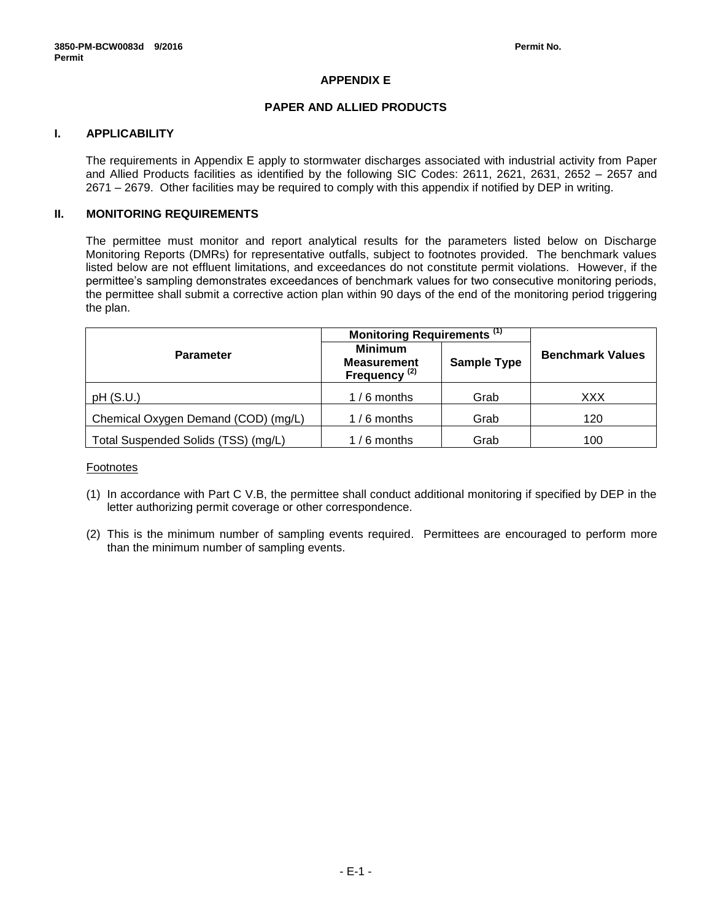# **APPENDIX E**

# **PAPER AND ALLIED PRODUCTS**

# **I. APPLICABILITY**

The requirements in Appendix E apply to stormwater discharges associated with industrial activity from Paper and Allied Products facilities as identified by the following SIC Codes: 2611, 2621, 2631, 2652 – 2657 and 2671 – 2679. Other facilities may be required to comply with this appendix if notified by DEP in writing.

# **II. MONITORING REQUIREMENTS**

The permittee must monitor and report analytical results for the parameters listed below on Discharge Monitoring Reports (DMRs) for representative outfalls, subject to footnotes provided. The benchmark values listed below are not effluent limitations, and exceedances do not constitute permit violations. However, if the permittee's sampling demonstrates exceedances of benchmark values for two consecutive monitoring periods, the permittee shall submit a corrective action plan within 90 days of the end of the monitoring period triggering the plan.

|                                     | Monitoring Requirements <sup>(1)</sup>                           |                    |                         |  |
|-------------------------------------|------------------------------------------------------------------|--------------------|-------------------------|--|
| <b>Parameter</b>                    | <b>Minimum</b><br><b>Measurement</b><br>Frequency <sup>(2)</sup> | <b>Sample Type</b> | <b>Benchmark Values</b> |  |
| pH(S.U.)                            | $1/6$ months                                                     | Grab               | XXX                     |  |
| Chemical Oxygen Demand (COD) (mg/L) | $1/6$ months                                                     | Grab               | 120                     |  |
| Total Suspended Solids (TSS) (mg/L) | $1/6$ months                                                     | Grab               | 100                     |  |

#### Footnotes

- (1) In accordance with Part C V.B, the permittee shall conduct additional monitoring if specified by DEP in the letter authorizing permit coverage or other correspondence.
- (2) This is the minimum number of sampling events required. Permittees are encouraged to perform more than the minimum number of sampling events.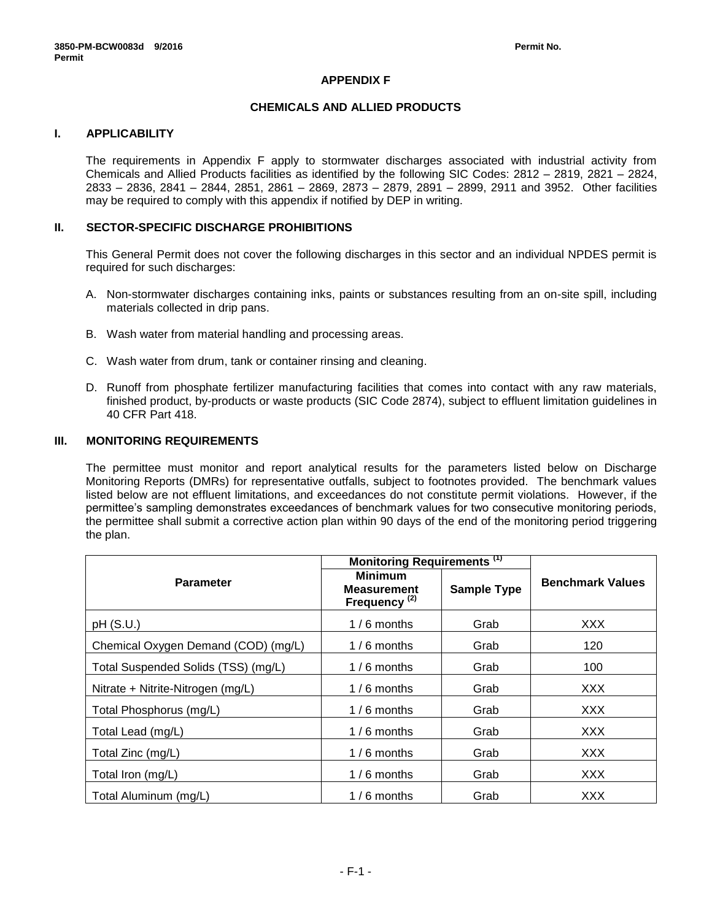# **APPENDIX F**

### **CHEMICALS AND ALLIED PRODUCTS**

# **I. APPLICABILITY**

The requirements in Appendix F apply to stormwater discharges associated with industrial activity from Chemicals and Allied Products facilities as identified by the following SIC Codes: 2812 – 2819, 2821 – 2824, 2833 – 2836, 2841 – 2844, 2851, 2861 – 2869, 2873 – 2879, 2891 – 2899, 2911 and 3952. Other facilities may be required to comply with this appendix if notified by DEP in writing.

### **II. SECTOR-SPECIFIC DISCHARGE PROHIBITIONS**

This General Permit does not cover the following discharges in this sector and an individual NPDES permit is required for such discharges:

- A. Non-stormwater discharges containing inks, paints or substances resulting from an on-site spill, including materials collected in drip pans.
- B. Wash water from material handling and processing areas.
- C. Wash water from drum, tank or container rinsing and cleaning.
- D. Runoff from phosphate fertilizer manufacturing facilities that comes into contact with any raw materials, finished product, by-products or waste products (SIC Code 2874), subject to effluent limitation guidelines in 40 CFR Part 418.

### **III. MONITORING REQUIREMENTS**

The permittee must monitor and report analytical results for the parameters listed below on Discharge Monitoring Reports (DMRs) for representative outfalls, subject to footnotes provided. The benchmark values listed below are not effluent limitations, and exceedances do not constitute permit violations. However, if the permittee's sampling demonstrates exceedances of benchmark values for two consecutive monitoring periods, the permittee shall submit a corrective action plan within 90 days of the end of the monitoring period triggering the plan.

|                                     | Monitoring Requirements <sup>(1)</sup>                           |                    |                         |  |
|-------------------------------------|------------------------------------------------------------------|--------------------|-------------------------|--|
| <b>Parameter</b>                    | <b>Minimum</b><br><b>Measurement</b><br>Frequency <sup>(2)</sup> | <b>Sample Type</b> | <b>Benchmark Values</b> |  |
| pH(S.U.)                            | $1/6$ months                                                     | Grab               | XXX.                    |  |
| Chemical Oxygen Demand (COD) (mg/L) | $1/6$ months                                                     | Grab               | 120                     |  |
| Total Suspended Solids (TSS) (mg/L) | $1/6$ months                                                     | Grab               | 100                     |  |
| Nitrate + Nitrite-Nitrogen (mg/L)   | $1/6$ months                                                     | Grab               | XXX.                    |  |
| Total Phosphorus (mg/L)             | $1/6$ months                                                     | Grab               | XXX.                    |  |
| Total Lead (mg/L)                   | $1/6$ months                                                     | Grab               | XXX.                    |  |
| Total Zinc (mg/L)                   | $1/6$ months                                                     | Grab               | <b>XXX</b>              |  |
| Total Iron (mg/L)                   | $1/6$ months                                                     | Grab               | <b>XXX</b>              |  |
| Total Aluminum (mg/L)               | $1/6$ months                                                     | Grab               | <b>XXX</b>              |  |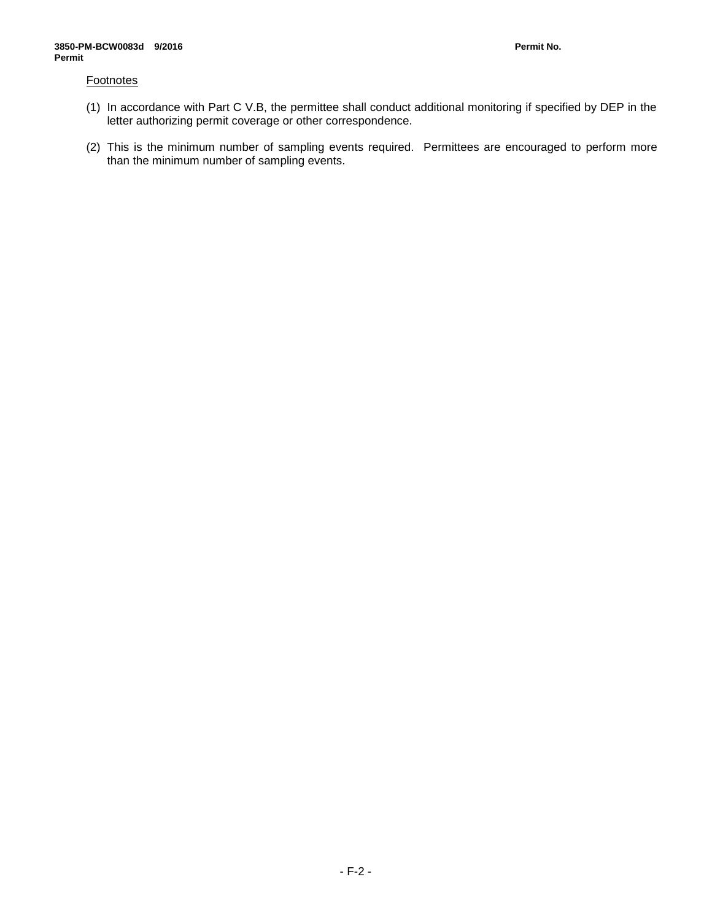### **Footnotes**

- (1) In accordance with Part C V.B, the permittee shall conduct additional monitoring if specified by DEP in the letter authorizing permit coverage or other correspondence.
- (2) This is the minimum number of sampling events required. Permittees are encouraged to perform more than the minimum number of sampling events.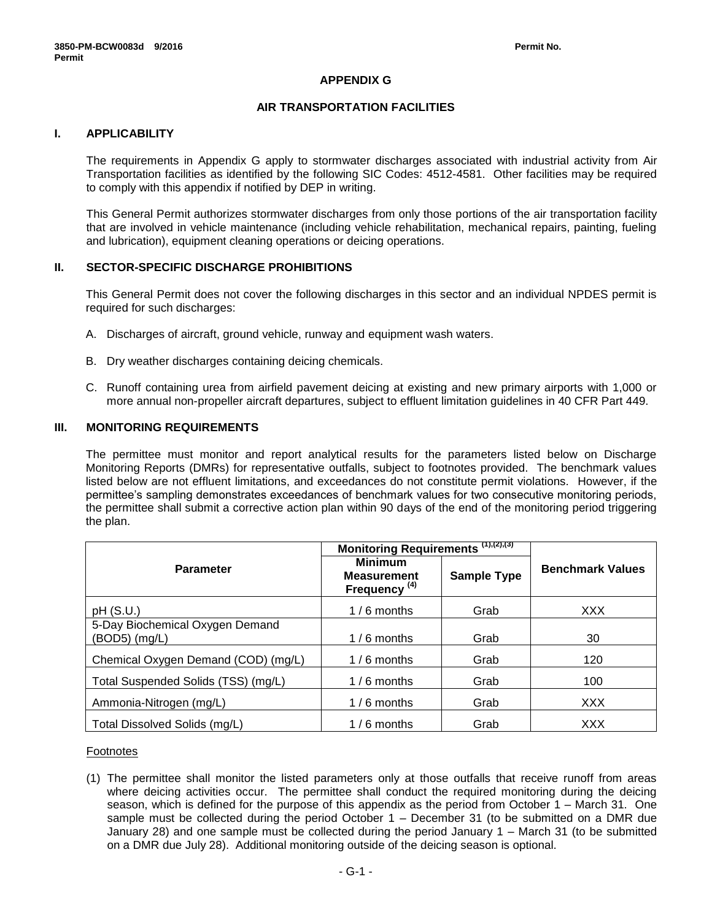# **APPENDIX G**

### **AIR TRANSPORTATION FACILITIES**

# **I. APPLICABILITY**

The requirements in Appendix G apply to stormwater discharges associated with industrial activity from Air Transportation facilities as identified by the following SIC Codes: 4512-4581. Other facilities may be required to comply with this appendix if notified by DEP in writing.

This General Permit authorizes stormwater discharges from only those portions of the air transportation facility that are involved in vehicle maintenance (including vehicle rehabilitation, mechanical repairs, painting, fueling and lubrication), equipment cleaning operations or deicing operations.

### **II. SECTOR-SPECIFIC DISCHARGE PROHIBITIONS**

This General Permit does not cover the following discharges in this sector and an individual NPDES permit is required for such discharges:

- A. Discharges of aircraft, ground vehicle, runway and equipment wash waters.
- B. Dry weather discharges containing deicing chemicals.
- C. Runoff containing urea from airfield pavement deicing at existing and new primary airports with 1,000 or more annual non-propeller aircraft departures, subject to effluent limitation guidelines in 40 CFR Part 449.

# **III. MONITORING REQUIREMENTS**

The permittee must monitor and report analytical results for the parameters listed below on Discharge Monitoring Reports (DMRs) for representative outfalls, subject to footnotes provided. The benchmark values listed below are not effluent limitations, and exceedances do not constitute permit violations. However, if the permittee's sampling demonstrates exceedances of benchmark values for two consecutive monitoring periods, the permittee shall submit a corrective action plan within 90 days of the end of the monitoring period triggering the plan.

|                                                      | Monitoring Requirements (1),(2),(3)                              |                    |                         |
|------------------------------------------------------|------------------------------------------------------------------|--------------------|-------------------------|
| <b>Parameter</b>                                     | <b>Minimum</b><br><b>Measurement</b><br>Frequency <sup>(4)</sup> | <b>Sample Type</b> | <b>Benchmark Values</b> |
| pH(S.U.)                                             | $1/6$ months                                                     | Grab               | XXX                     |
| 5-Day Biochemical Oxygen Demand<br>$(BOD5)$ $(mg/L)$ | $1/6$ months                                                     | Grab               | 30                      |
| Chemical Oxygen Demand (COD) (mg/L)                  | $1/6$ months                                                     | Grab               | 120                     |
| Total Suspended Solids (TSS) (mg/L)                  | $1/6$ months                                                     | Grab               | 100                     |
| Ammonia-Nitrogen (mg/L)                              | $1/6$ months                                                     | Grab               | <b>XXX</b>              |
| Total Dissolved Solids (mg/L)                        | $1/6$ months                                                     | Grab               | <b>XXX</b>              |

#### Footnotes

(1) The permittee shall monitor the listed parameters only at those outfalls that receive runoff from areas where deicing activities occur. The permittee shall conduct the required monitoring during the deicing season, which is defined for the purpose of this appendix as the period from October 1 – March 31. One sample must be collected during the period October 1 – December 31 (to be submitted on a DMR due January 28) and one sample must be collected during the period January 1 – March 31 (to be submitted on a DMR due July 28). Additional monitoring outside of the deicing season is optional.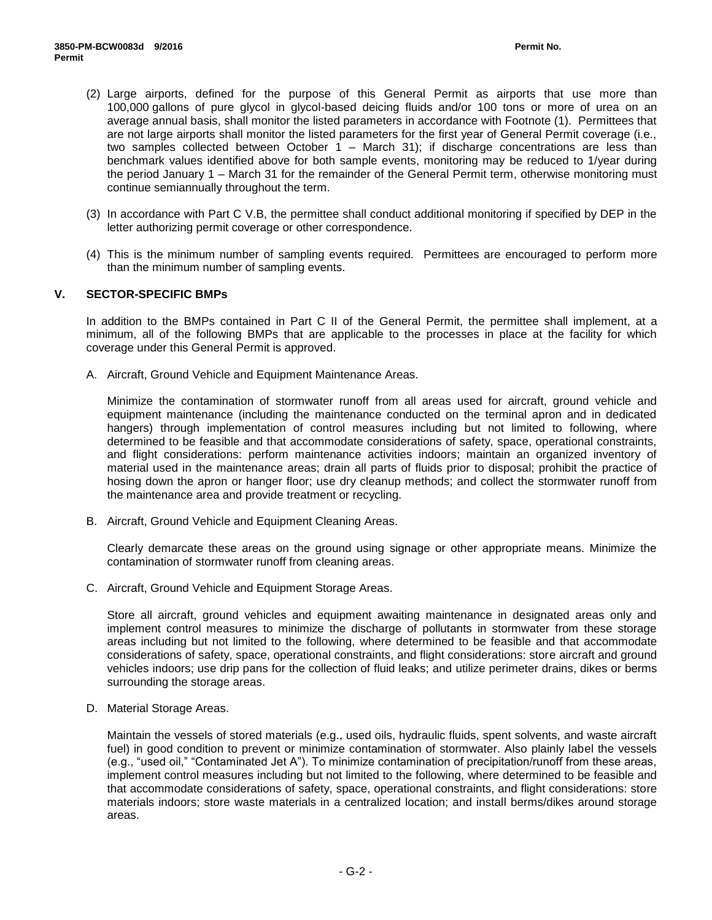- (2) Large airports, defined for the purpose of this General Permit as airports that use more than 100,000 gallons of pure glycol in glycol-based deicing fluids and/or 100 tons or more of urea on an average annual basis, shall monitor the listed parameters in accordance with Footnote (1). Permittees that are not large airports shall monitor the listed parameters for the first year of General Permit coverage (i.e., two samples collected between October 1 – March 31); if discharge concentrations are less than benchmark values identified above for both sample events, monitoring may be reduced to 1/year during the period January 1 – March 31 for the remainder of the General Permit term, otherwise monitoring must continue semiannually throughout the term.
- (3) In accordance with Part C V.B, the permittee shall conduct additional monitoring if specified by DEP in the letter authorizing permit coverage or other correspondence.
- (4) This is the minimum number of sampling events required. Permittees are encouraged to perform more than the minimum number of sampling events.

# **V. SECTOR-SPECIFIC BMPs**

In addition to the BMPs contained in Part C II of the General Permit, the permittee shall implement, at a minimum, all of the following BMPs that are applicable to the processes in place at the facility for which coverage under this General Permit is approved.

A. Aircraft, Ground Vehicle and Equipment Maintenance Areas.

Minimize the contamination of stormwater runoff from all areas used for aircraft, ground vehicle and equipment maintenance (including the maintenance conducted on the terminal apron and in dedicated hangers) through implementation of control measures including but not limited to following, where determined to be feasible and that accommodate considerations of safety, space, operational constraints, and flight considerations: perform maintenance activities indoors; maintain an organized inventory of material used in the maintenance areas; drain all parts of fluids prior to disposal; prohibit the practice of hosing down the apron or hanger floor; use dry cleanup methods; and collect the stormwater runoff from the maintenance area and provide treatment or recycling.

B. Aircraft, Ground Vehicle and Equipment Cleaning Areas.

Clearly demarcate these areas on the ground using signage or other appropriate means. Minimize the contamination of stormwater runoff from cleaning areas.

C. Aircraft, Ground Vehicle and Equipment Storage Areas.

Store all aircraft, ground vehicles and equipment awaiting maintenance in designated areas only and implement control measures to minimize the discharge of pollutants in stormwater from these storage areas including but not limited to the following, where determined to be feasible and that accommodate considerations of safety, space, operational constraints, and flight considerations: store aircraft and ground vehicles indoors; use drip pans for the collection of fluid leaks; and utilize perimeter drains, dikes or berms surrounding the storage areas.

D. Material Storage Areas.

Maintain the vessels of stored materials (e.g., used oils, hydraulic fluids, spent solvents, and waste aircraft fuel) in good condition to prevent or minimize contamination of stormwater. Also plainly label the vessels (e.g., "used oil," "Contaminated Jet A"). To minimize contamination of precipitation/runoff from these areas, implement control measures including but not limited to the following, where determined to be feasible and that accommodate considerations of safety, space, operational constraints, and flight considerations: store materials indoors; store waste materials in a centralized location; and install berms/dikes around storage areas.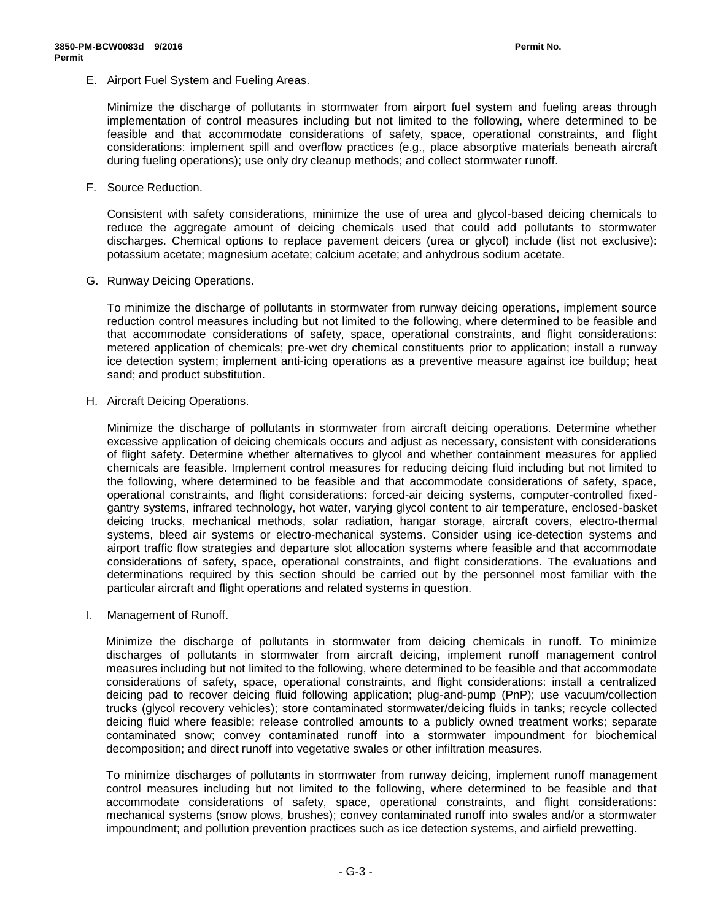E. Airport Fuel System and Fueling Areas.

Minimize the discharge of pollutants in stormwater from airport fuel system and fueling areas through implementation of control measures including but not limited to the following, where determined to be feasible and that accommodate considerations of safety, space, operational constraints, and flight considerations: implement spill and overflow practices (e.g., place absorptive materials beneath aircraft during fueling operations); use only dry cleanup methods; and collect stormwater runoff.

F. Source Reduction.

Consistent with safety considerations, minimize the use of urea and glycol-based deicing chemicals to reduce the aggregate amount of deicing chemicals used that could add pollutants to stormwater discharges. Chemical options to replace pavement deicers (urea or glycol) include (list not exclusive): potassium acetate; magnesium acetate; calcium acetate; and anhydrous sodium acetate.

G. Runway Deicing Operations.

To minimize the discharge of pollutants in stormwater from runway deicing operations, implement source reduction control measures including but not limited to the following, where determined to be feasible and that accommodate considerations of safety, space, operational constraints, and flight considerations: metered application of chemicals; pre-wet dry chemical constituents prior to application; install a runway ice detection system; implement anti-icing operations as a preventive measure against ice buildup; heat sand; and product substitution.

H. Aircraft Deicing Operations.

Minimize the discharge of pollutants in stormwater from aircraft deicing operations. Determine whether excessive application of deicing chemicals occurs and adjust as necessary, consistent with considerations of flight safety. Determine whether alternatives to glycol and whether containment measures for applied chemicals are feasible. Implement control measures for reducing deicing fluid including but not limited to the following, where determined to be feasible and that accommodate considerations of safety, space, operational constraints, and flight considerations: forced-air deicing systems, computer-controlled fixedgantry systems, infrared technology, hot water, varying glycol content to air temperature, enclosed-basket deicing trucks, mechanical methods, solar radiation, hangar storage, aircraft covers, electro-thermal systems, bleed air systems or electro-mechanical systems. Consider using ice-detection systems and airport traffic flow strategies and departure slot allocation systems where feasible and that accommodate considerations of safety, space, operational constraints, and flight considerations. The evaluations and determinations required by this section should be carried out by the personnel most familiar with the particular aircraft and flight operations and related systems in question.

I. Management of Runoff.

Minimize the discharge of pollutants in stormwater from deicing chemicals in runoff. To minimize discharges of pollutants in stormwater from aircraft deicing, implement runoff management control measures including but not limited to the following, where determined to be feasible and that accommodate considerations of safety, space, operational constraints, and flight considerations: install a centralized deicing pad to recover deicing fluid following application; plug-and-pump (PnP); use vacuum/collection trucks (glycol recovery vehicles); store contaminated stormwater/deicing fluids in tanks; recycle collected deicing fluid where feasible; release controlled amounts to a publicly owned treatment works; separate contaminated snow; convey contaminated runoff into a stormwater impoundment for biochemical decomposition; and direct runoff into vegetative swales or other infiltration measures.

To minimize discharges of pollutants in stormwater from runway deicing, implement runoff management control measures including but not limited to the following, where determined to be feasible and that accommodate considerations of safety, space, operational constraints, and flight considerations: mechanical systems (snow plows, brushes); convey contaminated runoff into swales and/or a stormwater impoundment; and pollution prevention practices such as ice detection systems, and airfield prewetting.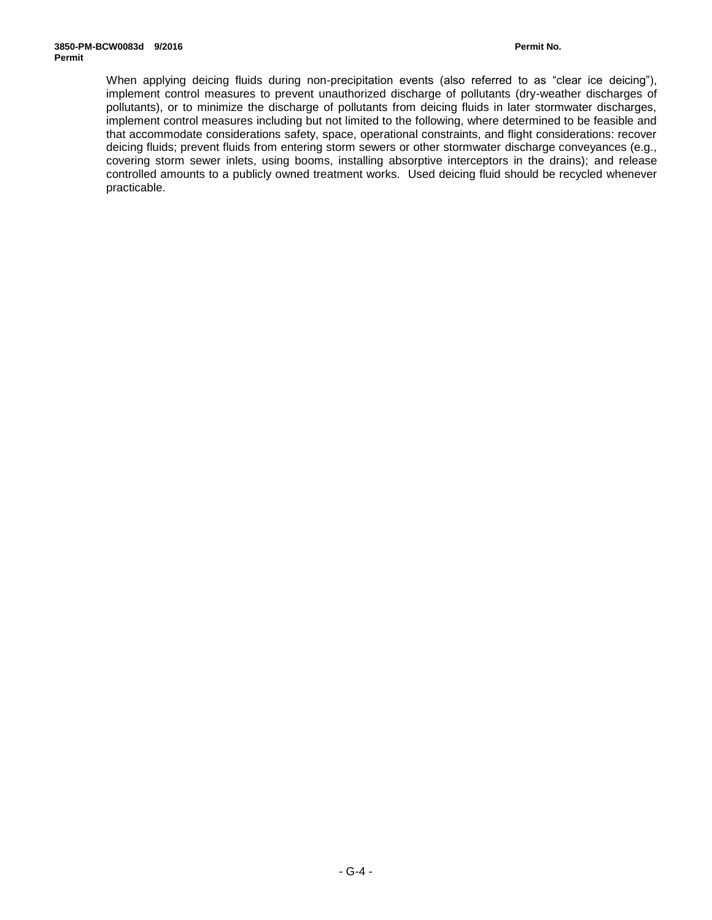When applying deicing fluids during non-precipitation events (also referred to as "clear ice deicing"), implement control measures to prevent unauthorized discharge of pollutants (dry-weather discharges of pollutants), or to minimize the discharge of pollutants from deicing fluids in later stormwater discharges, implement control measures including but not limited to the following, where determined to be feasible and that accommodate considerations safety, space, operational constraints, and flight considerations: recover deicing fluids; prevent fluids from entering storm sewers or other stormwater discharge conveyances (e.g., covering storm sewer inlets, using booms, installing absorptive interceptors in the drains); and release controlled amounts to a publicly owned treatment works. Used deicing fluid should be recycled whenever practicable.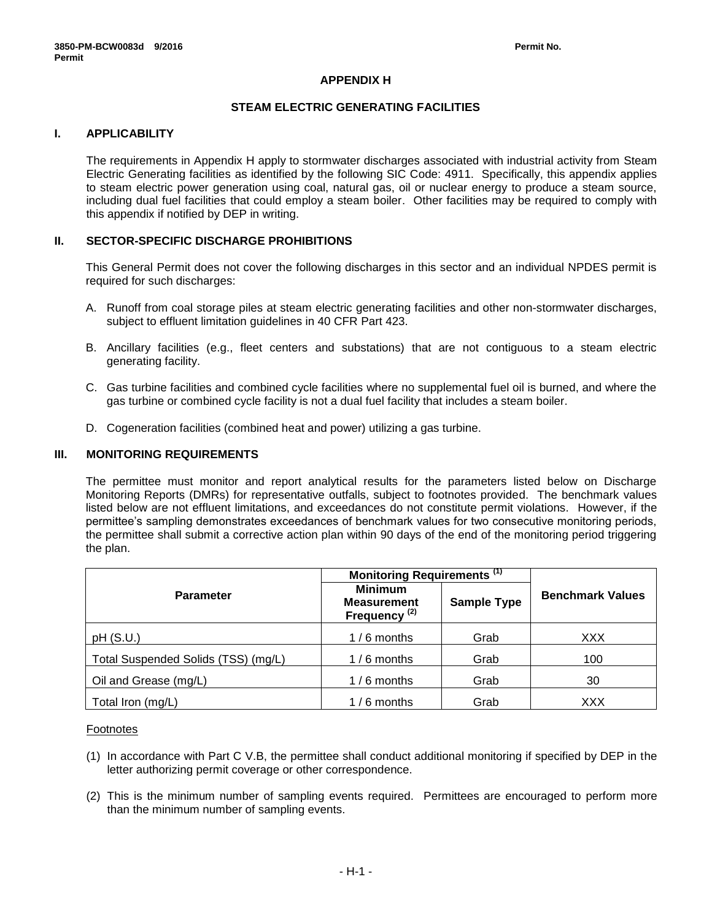# **APPENDIX H**

# **STEAM ELECTRIC GENERATING FACILITIES**

# **I. APPLICABILITY**

The requirements in Appendix H apply to stormwater discharges associated with industrial activity from Steam Electric Generating facilities as identified by the following SIC Code: 4911. Specifically, this appendix applies to steam electric power generation using coal, natural gas, oil or nuclear energy to produce a steam source, including dual fuel facilities that could employ a steam boiler. Other facilities may be required to comply with this appendix if notified by DEP in writing.

### **II. SECTOR-SPECIFIC DISCHARGE PROHIBITIONS**

This General Permit does not cover the following discharges in this sector and an individual NPDES permit is required for such discharges:

- A. Runoff from coal storage piles at steam electric generating facilities and other non-stormwater discharges, subject to effluent limitation guidelines in 40 CFR Part 423.
- B. Ancillary facilities (e.g., fleet centers and substations) that are not contiguous to a steam electric generating facility.
- C. Gas turbine facilities and combined cycle facilities where no supplemental fuel oil is burned, and where the gas turbine or combined cycle facility is not a dual fuel facility that includes a steam boiler.
- D. Cogeneration facilities (combined heat and power) utilizing a gas turbine.

### **III. MONITORING REQUIREMENTS**

The permittee must monitor and report analytical results for the parameters listed below on Discharge Monitoring Reports (DMRs) for representative outfalls, subject to footnotes provided. The benchmark values listed below are not effluent limitations, and exceedances do not constitute permit violations. However, if the permittee's sampling demonstrates exceedances of benchmark values for two consecutive monitoring periods, the permittee shall submit a corrective action plan within 90 days of the end of the monitoring period triggering the plan.

|                                     | Monitoring Requirements <sup>(1)</sup>                           |                    |                         |  |
|-------------------------------------|------------------------------------------------------------------|--------------------|-------------------------|--|
| <b>Parameter</b>                    | <b>Minimum</b><br><b>Measurement</b><br>Frequency <sup>(2)</sup> | <b>Sample Type</b> | <b>Benchmark Values</b> |  |
| pH(S.U.)                            | $1/6$ months                                                     | Grab               | XXX                     |  |
| Total Suspended Solids (TSS) (mg/L) | $1/6$ months                                                     | Grab               | 100                     |  |
| Oil and Grease (mg/L)               | $1/6$ months                                                     | Grab               | 30                      |  |
| Total Iron (mg/L)                   | $1/6$ months                                                     | Grab               | XXX                     |  |

#### Footnotes

- (1) In accordance with Part C V.B, the permittee shall conduct additional monitoring if specified by DEP in the letter authorizing permit coverage or other correspondence.
- (2) This is the minimum number of sampling events required. Permittees are encouraged to perform more than the minimum number of sampling events.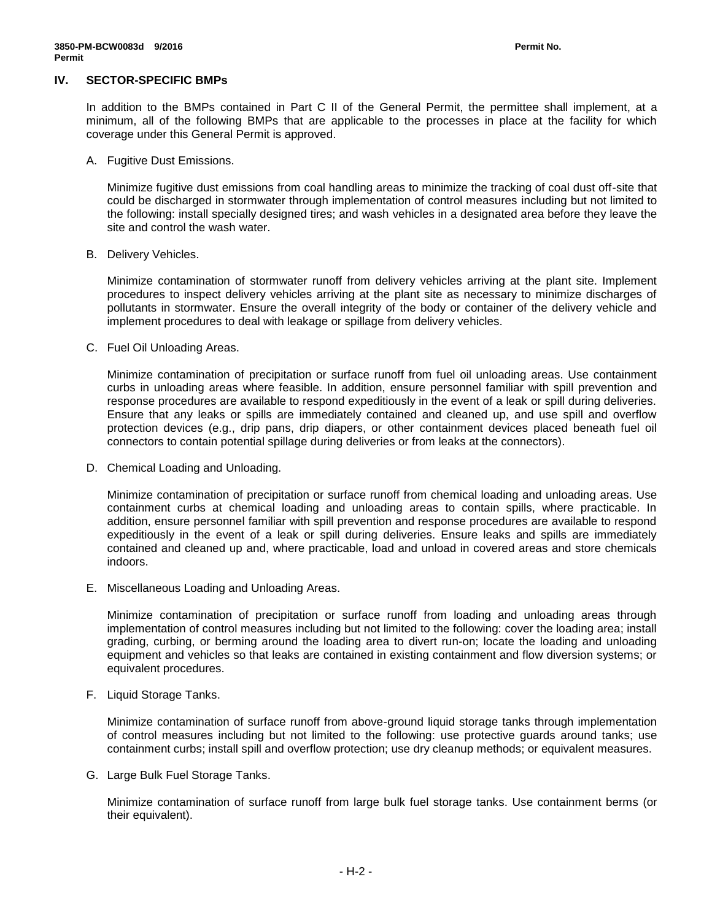### **IV. SECTOR-SPECIFIC BMPs**

In addition to the BMPs contained in Part C II of the General Permit, the permittee shall implement, at a minimum, all of the following BMPs that are applicable to the processes in place at the facility for which coverage under this General Permit is approved.

A. Fugitive Dust Emissions.

Minimize fugitive dust emissions from coal handling areas to minimize the tracking of coal dust off-site that could be discharged in stormwater through implementation of control measures including but not limited to the following: install specially designed tires; and wash vehicles in a designated area before they leave the site and control the wash water.

B. Delivery Vehicles.

Minimize contamination of stormwater runoff from delivery vehicles arriving at the plant site. Implement procedures to inspect delivery vehicles arriving at the plant site as necessary to minimize discharges of pollutants in stormwater. Ensure the overall integrity of the body or container of the delivery vehicle and implement procedures to deal with leakage or spillage from delivery vehicles.

C. Fuel Oil Unloading Areas.

Minimize contamination of precipitation or surface runoff from fuel oil unloading areas. Use containment curbs in unloading areas where feasible. In addition, ensure personnel familiar with spill prevention and response procedures are available to respond expeditiously in the event of a leak or spill during deliveries. Ensure that any leaks or spills are immediately contained and cleaned up, and use spill and overflow protection devices (e.g., drip pans, drip diapers, or other containment devices placed beneath fuel oil connectors to contain potential spillage during deliveries or from leaks at the connectors).

D. Chemical Loading and Unloading.

Minimize contamination of precipitation or surface runoff from chemical loading and unloading areas. Use containment curbs at chemical loading and unloading areas to contain spills, where practicable. In addition, ensure personnel familiar with spill prevention and response procedures are available to respond expeditiously in the event of a leak or spill during deliveries. Ensure leaks and spills are immediately contained and cleaned up and, where practicable, load and unload in covered areas and store chemicals indoors.

E. Miscellaneous Loading and Unloading Areas.

Minimize contamination of precipitation or surface runoff from loading and unloading areas through implementation of control measures including but not limited to the following: cover the loading area; install grading, curbing, or berming around the loading area to divert run-on; locate the loading and unloading equipment and vehicles so that leaks are contained in existing containment and flow diversion systems; or equivalent procedures.

F. Liquid Storage Tanks.

Minimize contamination of surface runoff from above-ground liquid storage tanks through implementation of control measures including but not limited to the following: use protective guards around tanks; use containment curbs; install spill and overflow protection; use dry cleanup methods; or equivalent measures.

G. Large Bulk Fuel Storage Tanks.

Minimize contamination of surface runoff from large bulk fuel storage tanks. Use containment berms (or their equivalent).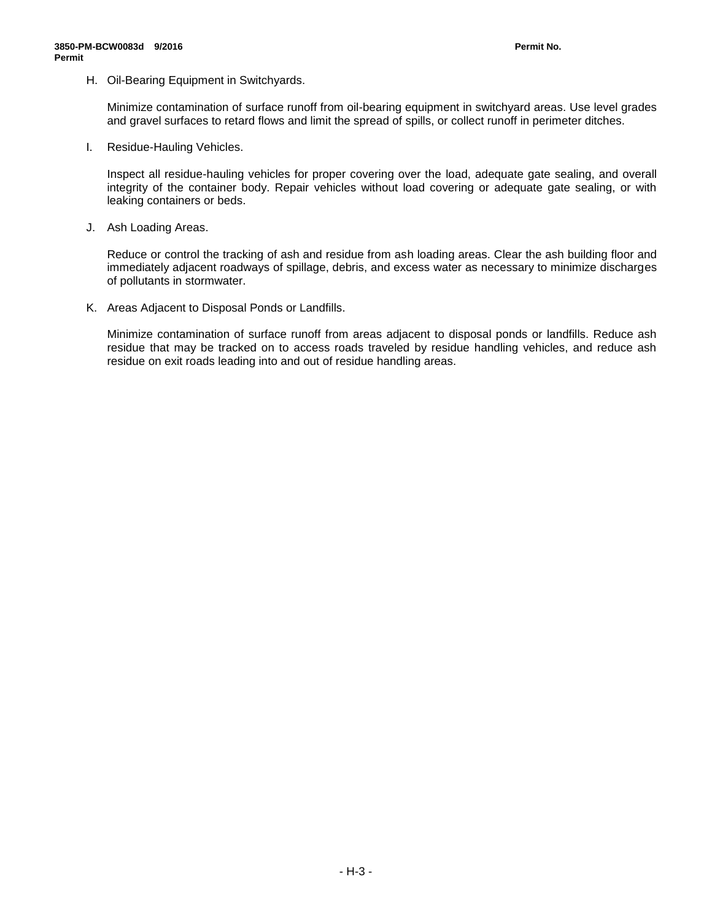H. Oil-Bearing Equipment in Switchyards.

Minimize contamination of surface runoff from oil-bearing equipment in switchyard areas. Use level grades and gravel surfaces to retard flows and limit the spread of spills, or collect runoff in perimeter ditches.

I. Residue-Hauling Vehicles.

Inspect all residue-hauling vehicles for proper covering over the load, adequate gate sealing, and overall integrity of the container body. Repair vehicles without load covering or adequate gate sealing, or with leaking containers or beds.

J. Ash Loading Areas.

Reduce or control the tracking of ash and residue from ash loading areas. Clear the ash building floor and immediately adjacent roadways of spillage, debris, and excess water as necessary to minimize discharges of pollutants in stormwater.

K. Areas Adjacent to Disposal Ponds or Landfills.

Minimize contamination of surface runoff from areas adjacent to disposal ponds or landfills. Reduce ash residue that may be tracked on to access roads traveled by residue handling vehicles, and reduce ash residue on exit roads leading into and out of residue handling areas.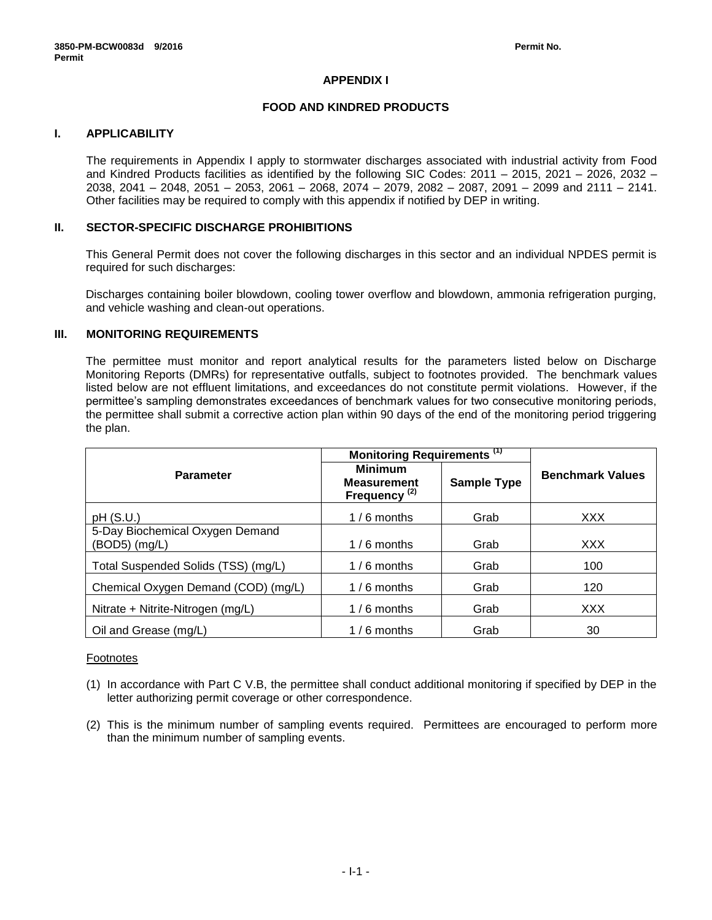# **APPENDIX I**

### **FOOD AND KINDRED PRODUCTS**

# **I. APPLICABILITY**

The requirements in Appendix I apply to stormwater discharges associated with industrial activity from Food and Kindred Products facilities as identified by the following SIC Codes: 2011 – 2015, 2021 – 2026, 2032 – 2038, 2041 – 2048, 2051 – 2053, 2061 – 2068, 2074 – 2079, 2082 – 2087, 2091 – 2099 and 2111 – 2141. Other facilities may be required to comply with this appendix if notified by DEP in writing.

### **II. SECTOR-SPECIFIC DISCHARGE PROHIBITIONS**

This General Permit does not cover the following discharges in this sector and an individual NPDES permit is required for such discharges:

Discharges containing boiler blowdown, cooling tower overflow and blowdown, ammonia refrigeration purging, and vehicle washing and clean-out operations.

### **III. MONITORING REQUIREMENTS**

The permittee must monitor and report analytical results for the parameters listed below on Discharge Monitoring Reports (DMRs) for representative outfalls, subject to footnotes provided. The benchmark values listed below are not effluent limitations, and exceedances do not constitute permit violations. However, if the permittee's sampling demonstrates exceedances of benchmark values for two consecutive monitoring periods, the permittee shall submit a corrective action plan within 90 days of the end of the monitoring period triggering the plan.

|                                                  | Monitoring Requirements <sup>(1)</sup>                           |                    |                         |
|--------------------------------------------------|------------------------------------------------------------------|--------------------|-------------------------|
| <b>Parameter</b>                                 | <b>Minimum</b><br><b>Measurement</b><br>Frequency <sup>(2)</sup> | <b>Sample Type</b> | <b>Benchmark Values</b> |
| pH(S.U.)                                         | $1/6$ months                                                     | Grab               | <b>XXX</b>              |
| 5-Day Biochemical Oxygen Demand<br>(BOD5) (mg/L) | $1/6$ months                                                     | Grab               | <b>XXX</b>              |
| Total Suspended Solids (TSS) (mg/L)              | $1/6$ months                                                     | Grab               | 100                     |
| Chemical Oxygen Demand (COD) (mg/L)              | $1/6$ months                                                     | Grab               | 120                     |
| Nitrate + Nitrite-Nitrogen (mg/L)                | $1/6$ months                                                     | Grab               | <b>XXX</b>              |
| Oil and Grease (mg/L)                            | $1/6$ months                                                     | Grab               | 30                      |

#### Footnotes

- (1) In accordance with Part C V.B, the permittee shall conduct additional monitoring if specified by DEP in the letter authorizing permit coverage or other correspondence.
- (2) This is the minimum number of sampling events required. Permittees are encouraged to perform more than the minimum number of sampling events.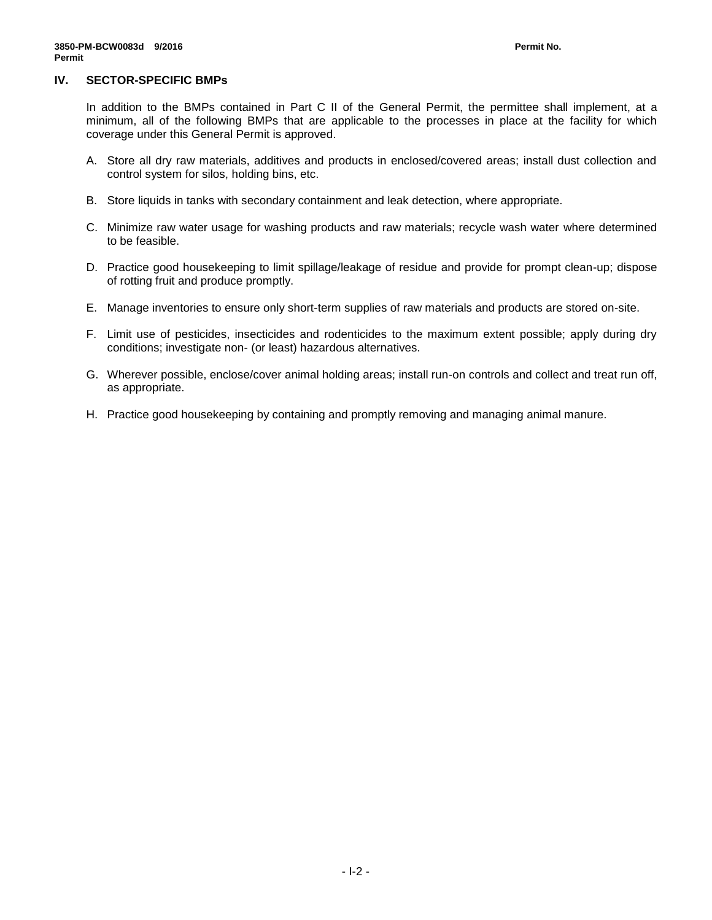### **IV. SECTOR-SPECIFIC BMPs**

In addition to the BMPs contained in Part C II of the General Permit, the permittee shall implement, at a minimum, all of the following BMPs that are applicable to the processes in place at the facility for which coverage under this General Permit is approved.

- A. Store all dry raw materials, additives and products in enclosed/covered areas; install dust collection and control system for silos, holding bins, etc.
- B. Store liquids in tanks with secondary containment and leak detection, where appropriate.
- C. Minimize raw water usage for washing products and raw materials; recycle wash water where determined to be feasible.
- D. Practice good housekeeping to limit spillage/leakage of residue and provide for prompt clean-up; dispose of rotting fruit and produce promptly.
- E. Manage inventories to ensure only short-term supplies of raw materials and products are stored on-site.
- F. Limit use of pesticides, insecticides and rodenticides to the maximum extent possible; apply during dry conditions; investigate non- (or least) hazardous alternatives.
- G. Wherever possible, enclose/cover animal holding areas; install run-on controls and collect and treat run off, as appropriate.
- H. Practice good housekeeping by containing and promptly removing and managing animal manure.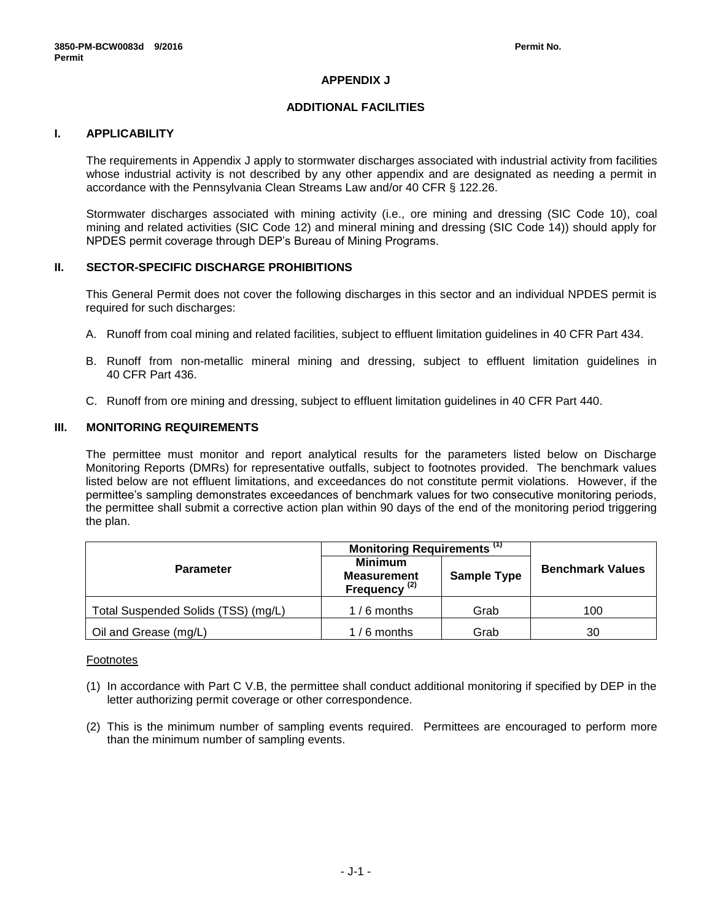# **APPENDIX J**

# **ADDITIONAL FACILITIES**

# **I. APPLICABILITY**

The requirements in Appendix J apply to stormwater discharges associated with industrial activity from facilities whose industrial activity is not described by any other appendix and are designated as needing a permit in accordance with the Pennsylvania Clean Streams Law and/or 40 CFR § 122.26.

Stormwater discharges associated with mining activity (i.e., ore mining and dressing (SIC Code 10), coal mining and related activities (SIC Code 12) and mineral mining and dressing (SIC Code 14)) should apply for NPDES permit coverage through DEP's Bureau of Mining Programs.

### **II. SECTOR-SPECIFIC DISCHARGE PROHIBITIONS**

This General Permit does not cover the following discharges in this sector and an individual NPDES permit is required for such discharges:

- A. Runoff from coal mining and related facilities, subject to effluent limitation guidelines in 40 CFR Part 434.
- B. Runoff from non-metallic mineral mining and dressing, subject to effluent limitation guidelines in 40 CFR Part 436.
- C. Runoff from ore mining and dressing, subject to effluent limitation guidelines in 40 CFR Part 440.

# **III. MONITORING REQUIREMENTS**

The permittee must monitor and report analytical results for the parameters listed below on Discharge Monitoring Reports (DMRs) for representative outfalls, subject to footnotes provided. The benchmark values listed below are not effluent limitations, and exceedances do not constitute permit violations. However, if the permittee's sampling demonstrates exceedances of benchmark values for two consecutive monitoring periods, the permittee shall submit a corrective action plan within 90 days of the end of the monitoring period triggering the plan.

|                                     | Monitoring Requirements <sup>(1)</sup>                           |                    |                         |
|-------------------------------------|------------------------------------------------------------------|--------------------|-------------------------|
| <b>Parameter</b>                    | <b>Minimum</b><br><b>Measurement</b><br>Frequency <sup>(2)</sup> | <b>Sample Type</b> | <b>Benchmark Values</b> |
| Total Suspended Solids (TSS) (mg/L) | $1/6$ months                                                     | Grab               | 100                     |
| Oil and Grease (mg/L)               | $1/6$ months                                                     | Grab               | 30                      |

#### Footnotes

- (1) In accordance with Part C V.B, the permittee shall conduct additional monitoring if specified by DEP in the letter authorizing permit coverage or other correspondence.
- (2) This is the minimum number of sampling events required. Permittees are encouraged to perform more than the minimum number of sampling events.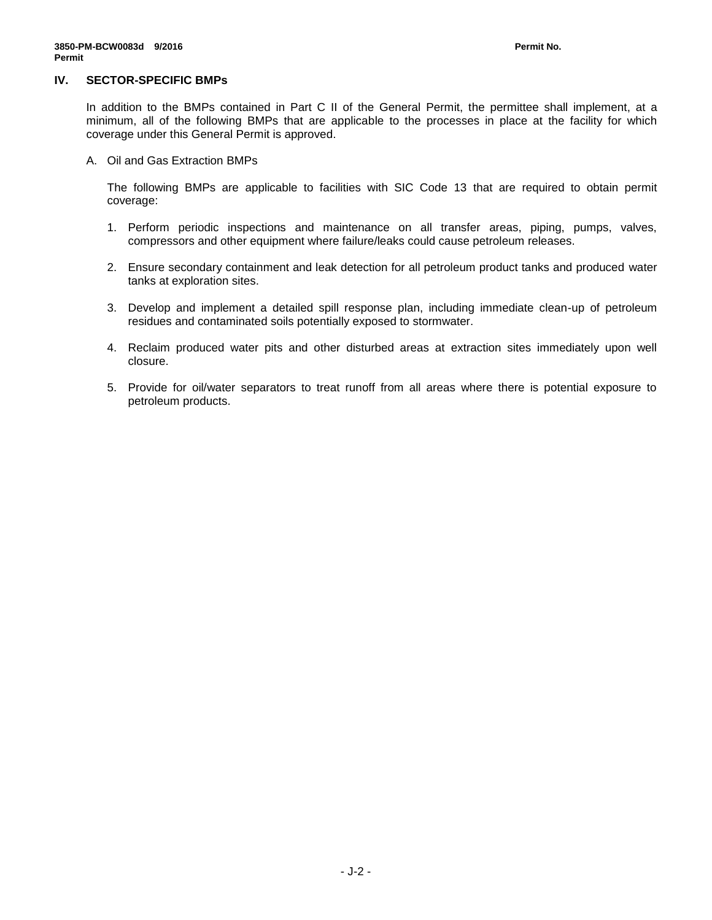#### **IV. SECTOR-SPECIFIC BMPs**

In addition to the BMPs contained in Part C II of the General Permit, the permittee shall implement, at a minimum, all of the following BMPs that are applicable to the processes in place at the facility for which coverage under this General Permit is approved.

A. Oil and Gas Extraction BMPs

The following BMPs are applicable to facilities with SIC Code 13 that are required to obtain permit coverage:

- 1. Perform periodic inspections and maintenance on all transfer areas, piping, pumps, valves, compressors and other equipment where failure/leaks could cause petroleum releases.
- 2. Ensure secondary containment and leak detection for all petroleum product tanks and produced water tanks at exploration sites.
- 3. Develop and implement a detailed spill response plan, including immediate clean-up of petroleum residues and contaminated soils potentially exposed to stormwater.
- 4. Reclaim produced water pits and other disturbed areas at extraction sites immediately upon well closure.
- 5. Provide for oil/water separators to treat runoff from all areas where there is potential exposure to petroleum products.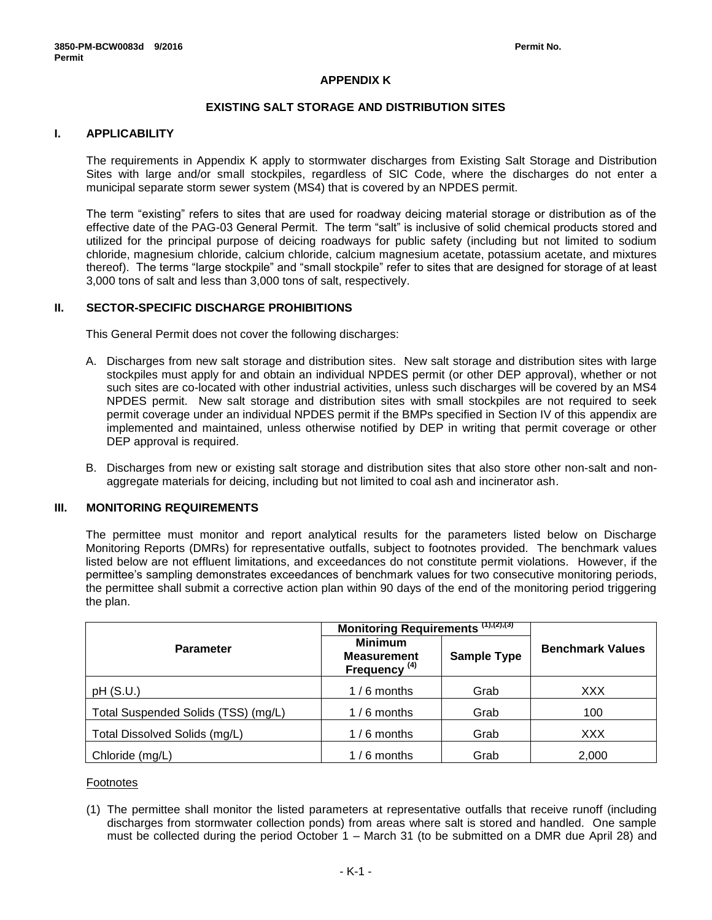# **APPENDIX K**

### **EXISTING SALT STORAGE AND DISTRIBUTION SITES**

# **I. APPLICABILITY**

The requirements in Appendix K apply to stormwater discharges from Existing Salt Storage and Distribution Sites with large and/or small stockpiles, regardless of SIC Code, where the discharges do not enter a municipal separate storm sewer system (MS4) that is covered by an NPDES permit.

The term "existing" refers to sites that are used for roadway deicing material storage or distribution as of the effective date of the PAG-03 General Permit. The term "salt" is inclusive of solid chemical products stored and utilized for the principal purpose of deicing roadways for public safety (including but not limited to sodium chloride, magnesium chloride, calcium chloride, calcium magnesium acetate, potassium acetate, and mixtures thereof). The terms "large stockpile" and "small stockpile" refer to sites that are designed for storage of at least 3,000 tons of salt and less than 3,000 tons of salt, respectively.

# **II. SECTOR-SPECIFIC DISCHARGE PROHIBITIONS**

This General Permit does not cover the following discharges:

- A. Discharges from new salt storage and distribution sites. New salt storage and distribution sites with large stockpiles must apply for and obtain an individual NPDES permit (or other DEP approval), whether or not such sites are co-located with other industrial activities, unless such discharges will be covered by an MS4 NPDES permit. New salt storage and distribution sites with small stockpiles are not required to seek permit coverage under an individual NPDES permit if the BMPs specified in Section IV of this appendix are implemented and maintained, unless otherwise notified by DEP in writing that permit coverage or other DEP approval is required.
- B. Discharges from new or existing salt storage and distribution sites that also store other non-salt and nonaggregate materials for deicing, including but not limited to coal ash and incinerator ash.

### **III. MONITORING REQUIREMENTS**

The permittee must monitor and report analytical results for the parameters listed below on Discharge Monitoring Reports (DMRs) for representative outfalls, subject to footnotes provided. The benchmark values listed below are not effluent limitations, and exceedances do not constitute permit violations. However, if the permittee's sampling demonstrates exceedances of benchmark values for two consecutive monitoring periods, the permittee shall submit a corrective action plan within 90 days of the end of the monitoring period triggering the plan.

|                                     | Monitoring Requirements (1),(2),(3)                              |                    |                         |  |
|-------------------------------------|------------------------------------------------------------------|--------------------|-------------------------|--|
| <b>Parameter</b>                    | <b>Minimum</b><br><b>Measurement</b><br>Frequency <sup>(4)</sup> | <b>Sample Type</b> | <b>Benchmark Values</b> |  |
| pH(S.U.)                            | $1/6$ months                                                     | Grab               | <b>XXX</b>              |  |
| Total Suspended Solids (TSS) (mg/L) | $1/6$ months                                                     | Grab               | 100                     |  |
| Total Dissolved Solids (mg/L)       | $1/6$ months                                                     | Grab               | <b>XXX</b>              |  |
| Chloride (mg/L)                     | $1/6$ months                                                     | Grab               | 2,000                   |  |

#### Footnotes

(1) The permittee shall monitor the listed parameters at representative outfalls that receive runoff (including discharges from stormwater collection ponds) from areas where salt is stored and handled. One sample must be collected during the period October 1 – March 31 (to be submitted on a DMR due April 28) and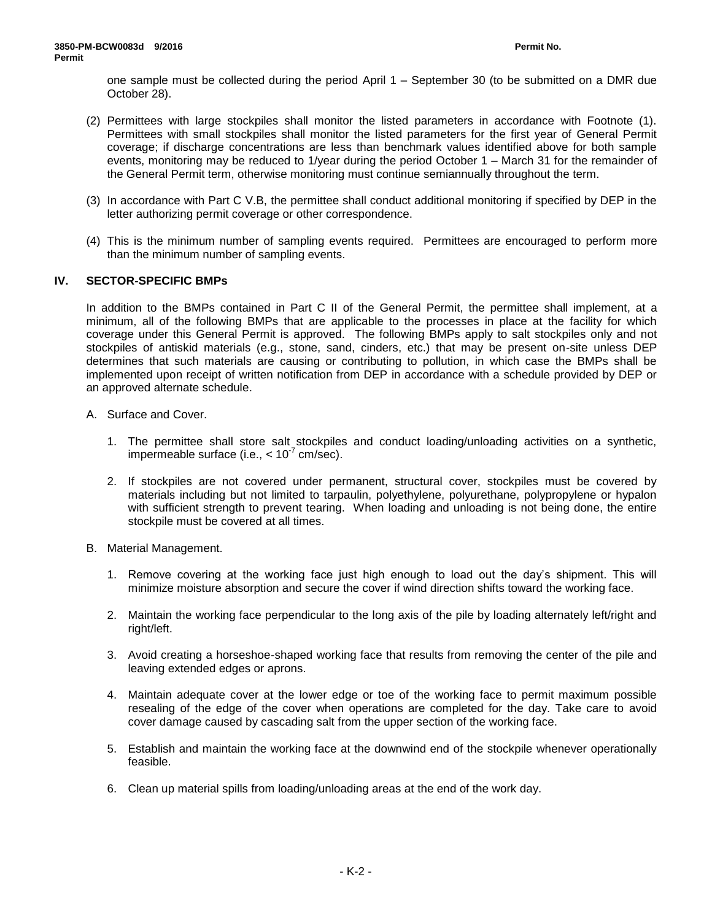one sample must be collected during the period April 1 – September 30 (to be submitted on a DMR due October 28).

- (2) Permittees with large stockpiles shall monitor the listed parameters in accordance with Footnote (1). Permittees with small stockpiles shall monitor the listed parameters for the first year of General Permit coverage; if discharge concentrations are less than benchmark values identified above for both sample events, monitoring may be reduced to 1/year during the period October 1 – March 31 for the remainder of the General Permit term, otherwise monitoring must continue semiannually throughout the term.
- (3) In accordance with Part C V.B, the permittee shall conduct additional monitoring if specified by DEP in the letter authorizing permit coverage or other correspondence.
- (4) This is the minimum number of sampling events required. Permittees are encouraged to perform more than the minimum number of sampling events.

# **IV. SECTOR-SPECIFIC BMPs**

In addition to the BMPs contained in Part C II of the General Permit, the permittee shall implement, at a minimum, all of the following BMPs that are applicable to the processes in place at the facility for which coverage under this General Permit is approved. The following BMPs apply to salt stockpiles only and not stockpiles of antiskid materials (e.g., stone, sand, cinders, etc.) that may be present on-site unless DEP determines that such materials are causing or contributing to pollution, in which case the BMPs shall be implemented upon receipt of written notification from DEP in accordance with a schedule provided by DEP or an approved alternate schedule.

- A. Surface and Cover.
	- 1. The permittee shall store salt stockpiles and conduct loading/unloading activities on a synthetic, impermeable surface (i.e.,  $< 10^{-7}$  cm/sec).
	- 2. If stockpiles are not covered under permanent, structural cover, stockpiles must be covered by materials including but not limited to tarpaulin, polyethylene, polyurethane, polypropylene or hypalon with sufficient strength to prevent tearing. When loading and unloading is not being done, the entire stockpile must be covered at all times.
- B. Material Management.
	- 1. Remove covering at the working face just high enough to load out the day's shipment. This will minimize moisture absorption and secure the cover if wind direction shifts toward the working face.
	- 2. Maintain the working face perpendicular to the long axis of the pile by loading alternately left/right and right/left.
	- 3. Avoid creating a horseshoe-shaped working face that results from removing the center of the pile and leaving extended edges or aprons.
	- 4. Maintain adequate cover at the lower edge or toe of the working face to permit maximum possible resealing of the edge of the cover when operations are completed for the day. Take care to avoid cover damage caused by cascading salt from the upper section of the working face.
	- 5. Establish and maintain the working face at the downwind end of the stockpile whenever operationally feasible.
	- 6. Clean up material spills from loading/unloading areas at the end of the work day.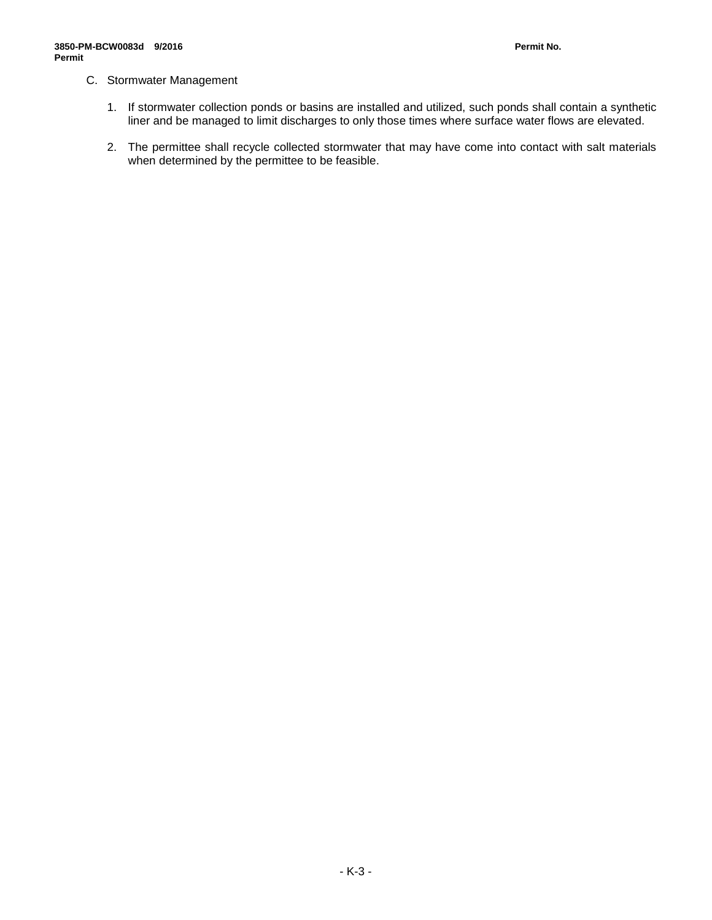# C. Stormwater Management

- 1. If stormwater collection ponds or basins are installed and utilized, such ponds shall contain a synthetic liner and be managed to limit discharges to only those times where surface water flows are elevated.
- 2. The permittee shall recycle collected stormwater that may have come into contact with salt materials when determined by the permittee to be feasible.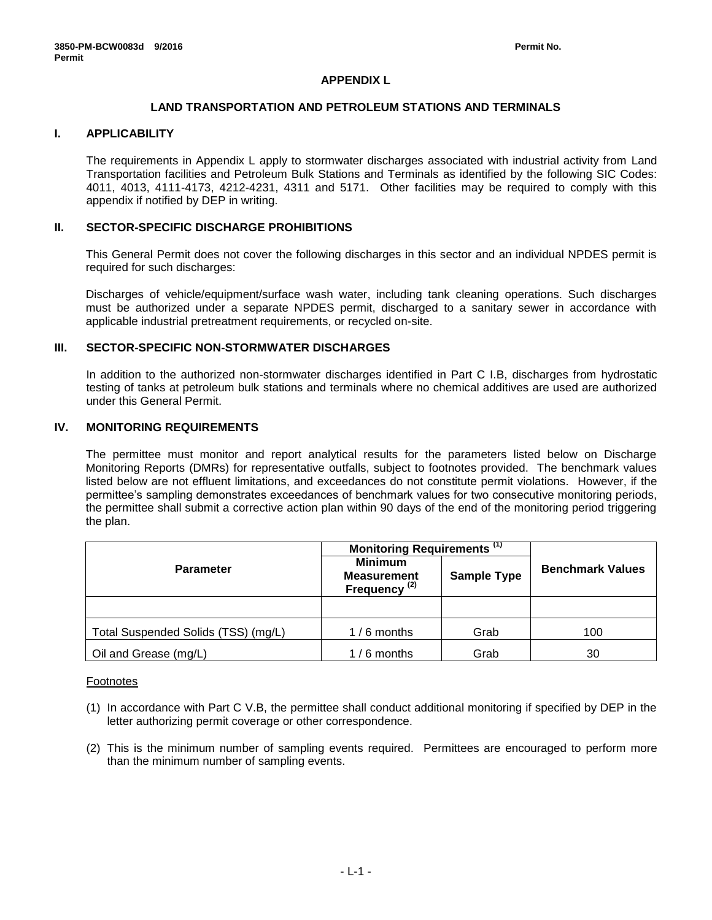# **APPENDIX L**

### **LAND TRANSPORTATION AND PETROLEUM STATIONS AND TERMINALS**

# **I. APPLICABILITY**

The requirements in Appendix L apply to stormwater discharges associated with industrial activity from Land Transportation facilities and Petroleum Bulk Stations and Terminals as identified by the following SIC Codes: 4011, 4013, 4111-4173, 4212-4231, 4311 and 5171. Other facilities may be required to comply with this appendix if notified by DEP in writing.

### **II. SECTOR-SPECIFIC DISCHARGE PROHIBITIONS**

This General Permit does not cover the following discharges in this sector and an individual NPDES permit is required for such discharges:

Discharges of vehicle/equipment/surface wash water, including tank cleaning operations. Such discharges must be authorized under a separate NPDES permit, discharged to a sanitary sewer in accordance with applicable industrial pretreatment requirements, or recycled on-site.

### **III. SECTOR-SPECIFIC NON-STORMWATER DISCHARGES**

In addition to the authorized non-stormwater discharges identified in Part C I.B, discharges from hydrostatic testing of tanks at petroleum bulk stations and terminals where no chemical additives are used are authorized under this General Permit.

# **IV. MONITORING REQUIREMENTS**

The permittee must monitor and report analytical results for the parameters listed below on Discharge Monitoring Reports (DMRs) for representative outfalls, subject to footnotes provided. The benchmark values listed below are not effluent limitations, and exceedances do not constitute permit violations. However, if the permittee's sampling demonstrates exceedances of benchmark values for two consecutive monitoring periods, the permittee shall submit a corrective action plan within 90 days of the end of the monitoring period triggering the plan.

|                                     | Monitoring Requirements <sup>(1)</sup>                           |                    |                         |  |
|-------------------------------------|------------------------------------------------------------------|--------------------|-------------------------|--|
| <b>Parameter</b>                    | <b>Minimum</b><br><b>Measurement</b><br>Frequency <sup>(2)</sup> | <b>Sample Type</b> | <b>Benchmark Values</b> |  |
|                                     |                                                                  |                    |                         |  |
| Total Suspended Solids (TSS) (mg/L) | $1/6$ months                                                     | Grab               | 100                     |  |
| Oil and Grease (mg/L)               | $1/6$ months                                                     | Grab               | 30                      |  |

#### Footnotes

- (1) In accordance with Part C V.B, the permittee shall conduct additional monitoring if specified by DEP in the letter authorizing permit coverage or other correspondence.
- (2) This is the minimum number of sampling events required. Permittees are encouraged to perform more than the minimum number of sampling events.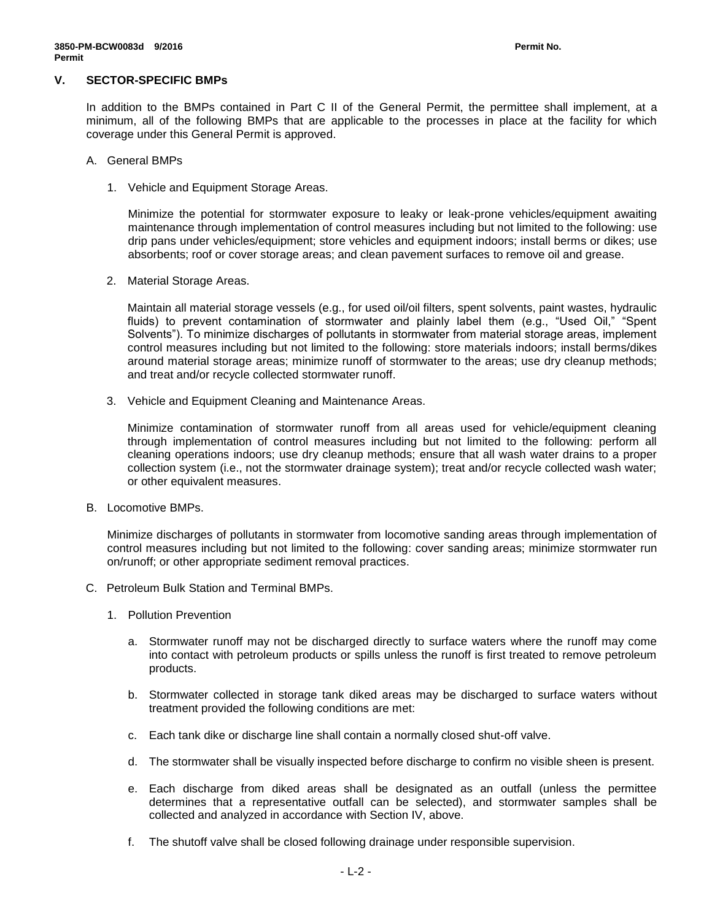### **V. SECTOR-SPECIFIC BMPs**

In addition to the BMPs contained in Part C II of the General Permit, the permittee shall implement, at a minimum, all of the following BMPs that are applicable to the processes in place at the facility for which coverage under this General Permit is approved.

- A. General BMPs
	- 1. Vehicle and Equipment Storage Areas.

Minimize the potential for stormwater exposure to leaky or leak-prone vehicles/equipment awaiting maintenance through implementation of control measures including but not limited to the following: use drip pans under vehicles/equipment; store vehicles and equipment indoors; install berms or dikes; use absorbents; roof or cover storage areas; and clean pavement surfaces to remove oil and grease.

2. Material Storage Areas.

Maintain all material storage vessels (e.g., for used oil/oil filters, spent solvents, paint wastes, hydraulic fluids) to prevent contamination of stormwater and plainly label them (e.g., "Used Oil," "Spent Solvents"). To minimize discharges of pollutants in stormwater from material storage areas, implement control measures including but not limited to the following: store materials indoors; install berms/dikes around material storage areas; minimize runoff of stormwater to the areas; use dry cleanup methods; and treat and/or recycle collected stormwater runoff.

3. Vehicle and Equipment Cleaning and Maintenance Areas.

Minimize contamination of stormwater runoff from all areas used for vehicle/equipment cleaning through implementation of control measures including but not limited to the following: perform all cleaning operations indoors; use dry cleanup methods; ensure that all wash water drains to a proper collection system (i.e., not the stormwater drainage system); treat and/or recycle collected wash water; or other equivalent measures.

B. Locomotive BMPs.

Minimize discharges of pollutants in stormwater from locomotive sanding areas through implementation of control measures including but not limited to the following: cover sanding areas; minimize stormwater run on/runoff; or other appropriate sediment removal practices.

- C. Petroleum Bulk Station and Terminal BMPs.
	- 1. Pollution Prevention
		- a. Stormwater runoff may not be discharged directly to surface waters where the runoff may come into contact with petroleum products or spills unless the runoff is first treated to remove petroleum products.
		- b. Stormwater collected in storage tank diked areas may be discharged to surface waters without treatment provided the following conditions are met:
		- c. Each tank dike or discharge line shall contain a normally closed shut-off valve.
		- d. The stormwater shall be visually inspected before discharge to confirm no visible sheen is present.
		- e. Each discharge from diked areas shall be designated as an outfall (unless the permittee determines that a representative outfall can be selected), and stormwater samples shall be collected and analyzed in accordance with Section IV, above.
		- f. The shutoff valve shall be closed following drainage under responsible supervision.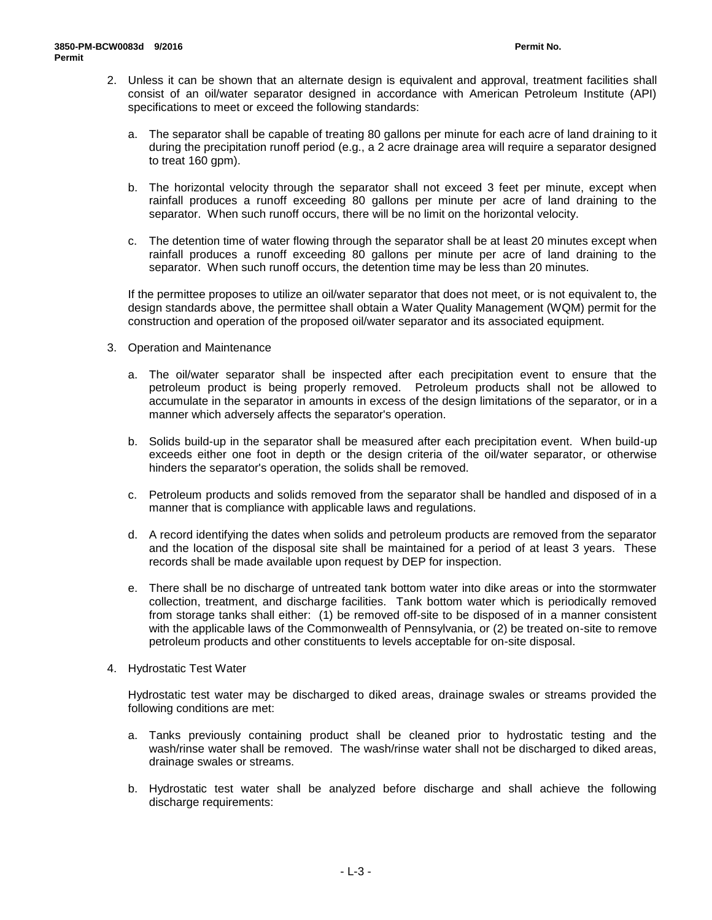- 2. Unless it can be shown that an alternate design is equivalent and approval, treatment facilities shall consist of an oil/water separator designed in accordance with American Petroleum Institute (API) specifications to meet or exceed the following standards:
	- a. The separator shall be capable of treating 80 gallons per minute for each acre of land draining to it during the precipitation runoff period (e.g., a 2 acre drainage area will require a separator designed to treat 160 gpm).
	- b. The horizontal velocity through the separator shall not exceed 3 feet per minute, except when rainfall produces a runoff exceeding 80 gallons per minute per acre of land draining to the separator. When such runoff occurs, there will be no limit on the horizontal velocity.
	- c. The detention time of water flowing through the separator shall be at least 20 minutes except when rainfall produces a runoff exceeding 80 gallons per minute per acre of land draining to the separator. When such runoff occurs, the detention time may be less than 20 minutes.

If the permittee proposes to utilize an oil/water separator that does not meet, or is not equivalent to, the design standards above, the permittee shall obtain a Water Quality Management (WQM) permit for the construction and operation of the proposed oil/water separator and its associated equipment.

- 3. Operation and Maintenance
	- a. The oil/water separator shall be inspected after each precipitation event to ensure that the petroleum product is being properly removed. Petroleum products shall not be allowed to accumulate in the separator in amounts in excess of the design limitations of the separator, or in a manner which adversely affects the separator's operation.
	- b. Solids build-up in the separator shall be measured after each precipitation event. When build-up exceeds either one foot in depth or the design criteria of the oil/water separator, or otherwise hinders the separator's operation, the solids shall be removed.
	- c. Petroleum products and solids removed from the separator shall be handled and disposed of in a manner that is compliance with applicable laws and regulations.
	- d. A record identifying the dates when solids and petroleum products are removed from the separator and the location of the disposal site shall be maintained for a period of at least 3 years. These records shall be made available upon request by DEP for inspection.
	- e. There shall be no discharge of untreated tank bottom water into dike areas or into the stormwater collection, treatment, and discharge facilities. Tank bottom water which is periodically removed from storage tanks shall either: (1) be removed off-site to be disposed of in a manner consistent with the applicable laws of the Commonwealth of Pennsylvania, or (2) be treated on-site to remove petroleum products and other constituents to levels acceptable for on-site disposal.
- 4. Hydrostatic Test Water

Hydrostatic test water may be discharged to diked areas, drainage swales or streams provided the following conditions are met:

- a. Tanks previously containing product shall be cleaned prior to hydrostatic testing and the wash/rinse water shall be removed. The wash/rinse water shall not be discharged to diked areas, drainage swales or streams.
- b. Hydrostatic test water shall be analyzed before discharge and shall achieve the following discharge requirements: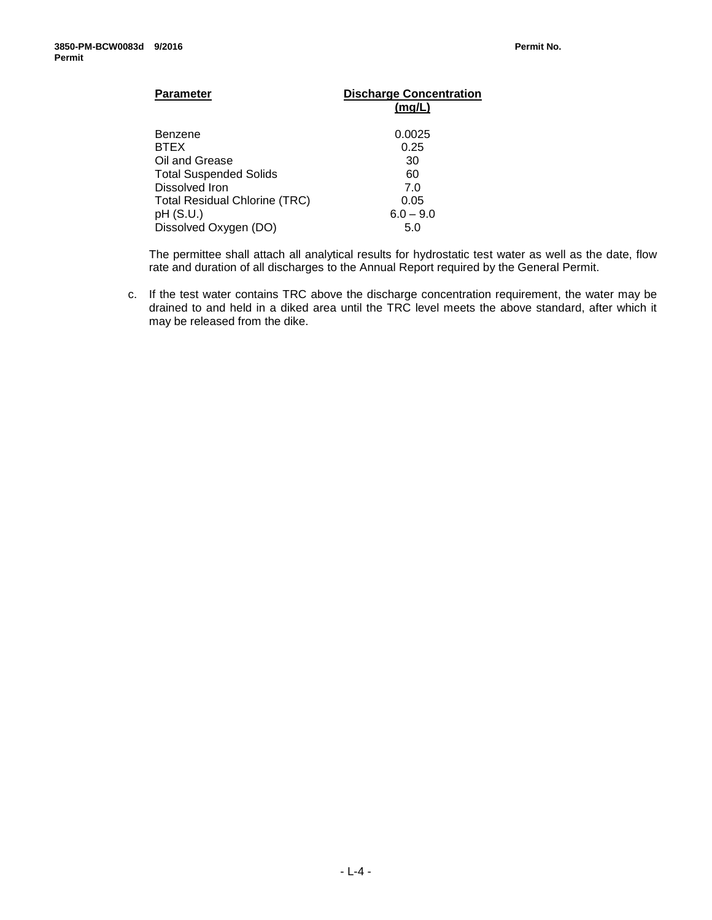| <b>Parameter</b>                     | <b>Discharge Concentration</b><br>(mg/L) |
|--------------------------------------|------------------------------------------|
| Benzene                              | 0.0025                                   |
| <b>BTEX</b>                          | 0.25                                     |
| Oil and Grease                       | 30                                       |
| <b>Total Suspended Solids</b>        | 60                                       |
| Dissolved Iron                       | 7.0                                      |
| <b>Total Residual Chlorine (TRC)</b> | 0.05                                     |
| pH (S.U.)                            | $6.0 - 9.0$                              |
| Dissolved Oxygen (DO)                | 5.0                                      |

The permittee shall attach all analytical results for hydrostatic test water as well as the date, flow rate and duration of all discharges to the Annual Report required by the General Permit.

c. If the test water contains TRC above the discharge concentration requirement, the water may be drained to and held in a diked area until the TRC level meets the above standard, after which it may be released from the dike.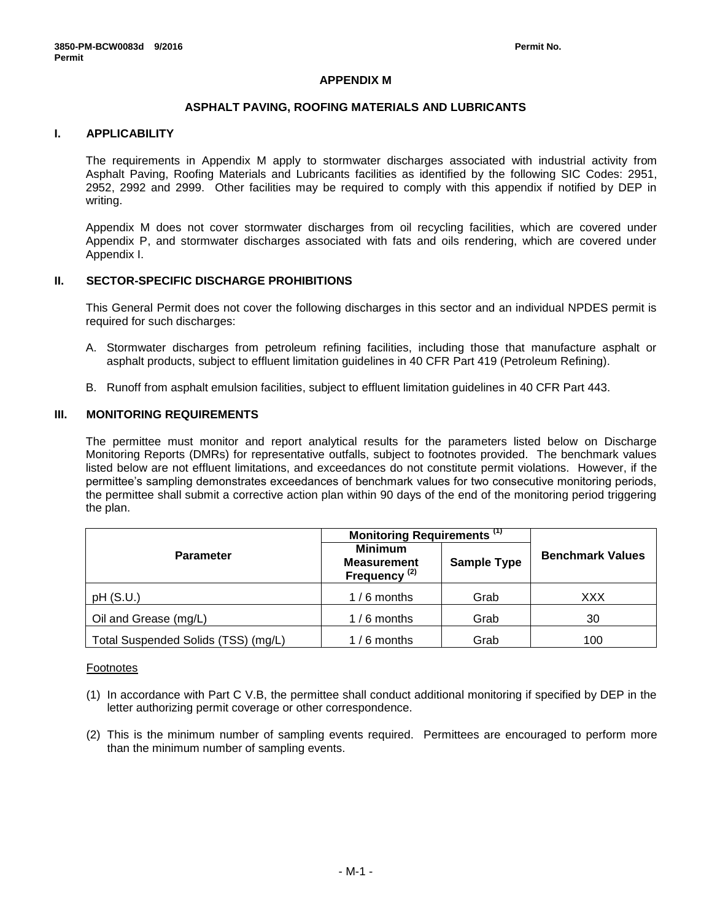# **APPENDIX M**

### **ASPHALT PAVING, ROOFING MATERIALS AND LUBRICANTS**

# **I. APPLICABILITY**

The requirements in Appendix M apply to stormwater discharges associated with industrial activity from Asphalt Paving, Roofing Materials and Lubricants facilities as identified by the following SIC Codes: 2951, 2952, 2992 and 2999. Other facilities may be required to comply with this appendix if notified by DEP in writing.

Appendix M does not cover stormwater discharges from oil recycling facilities, which are covered under Appendix P, and stormwater discharges associated with fats and oils rendering, which are covered under Appendix I.

# **II. SECTOR-SPECIFIC DISCHARGE PROHIBITIONS**

This General Permit does not cover the following discharges in this sector and an individual NPDES permit is required for such discharges:

- A. Stormwater discharges from petroleum refining facilities, including those that manufacture asphalt or asphalt products, subject to effluent limitation guidelines in 40 CFR Part 419 (Petroleum Refining).
- B. Runoff from asphalt emulsion facilities, subject to effluent limitation guidelines in 40 CFR Part 443.

### **III. MONITORING REQUIREMENTS**

The permittee must monitor and report analytical results for the parameters listed below on Discharge Monitoring Reports (DMRs) for representative outfalls, subject to footnotes provided. The benchmark values listed below are not effluent limitations, and exceedances do not constitute permit violations. However, if the permittee's sampling demonstrates exceedances of benchmark values for two consecutive monitoring periods, the permittee shall submit a corrective action plan within 90 days of the end of the monitoring period triggering the plan.

|                                     | Monitoring Requirements <sup>(1)</sup>                           |                    |                         |  |
|-------------------------------------|------------------------------------------------------------------|--------------------|-------------------------|--|
| <b>Parameter</b>                    | <b>Minimum</b><br><b>Measurement</b><br>Frequency <sup>(2)</sup> | <b>Sample Type</b> | <b>Benchmark Values</b> |  |
| pH(S.U.)                            | $1/6$ months                                                     | Grab               | XXX                     |  |
| Oil and Grease (mg/L)               | $1/6$ months                                                     | Grab               | 30                      |  |
| Total Suspended Solids (TSS) (mg/L) | $1/6$ months                                                     | Grab               | 100                     |  |

#### Footnotes

- (1) In accordance with Part C V.B, the permittee shall conduct additional monitoring if specified by DEP in the letter authorizing permit coverage or other correspondence.
- (2) This is the minimum number of sampling events required. Permittees are encouraged to perform more than the minimum number of sampling events.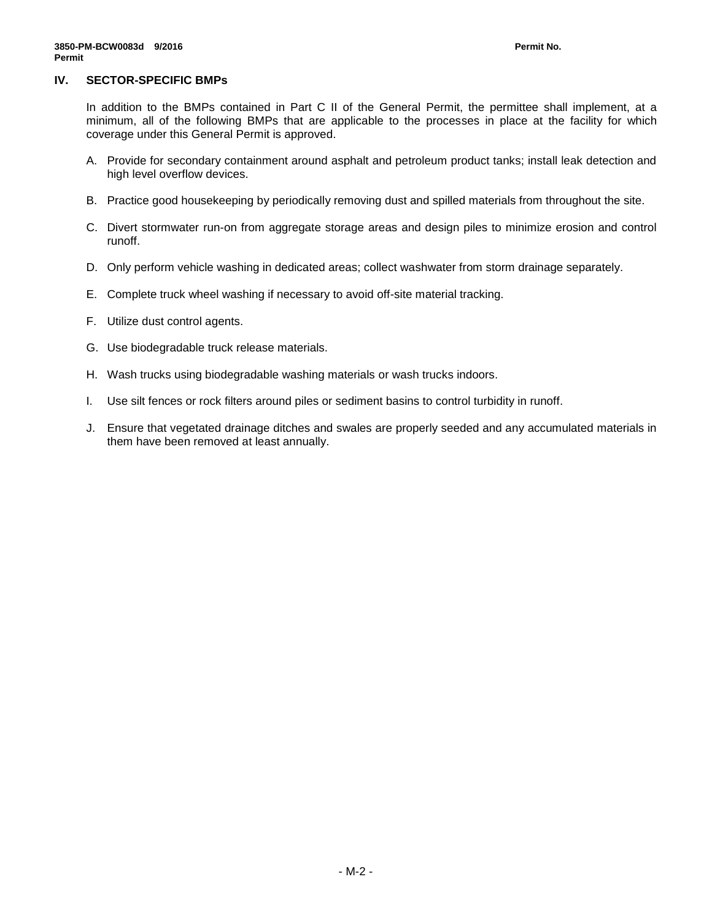### **IV. SECTOR-SPECIFIC BMPs**

In addition to the BMPs contained in Part C II of the General Permit, the permittee shall implement, at a minimum, all of the following BMPs that are applicable to the processes in place at the facility for which coverage under this General Permit is approved.

- A. Provide for secondary containment around asphalt and petroleum product tanks; install leak detection and high level overflow devices.
- B. Practice good housekeeping by periodically removing dust and spilled materials from throughout the site.
- C. Divert stormwater run-on from aggregate storage areas and design piles to minimize erosion and control runoff.
- D. Only perform vehicle washing in dedicated areas; collect washwater from storm drainage separately.
- E. Complete truck wheel washing if necessary to avoid off-site material tracking.
- F. Utilize dust control agents.
- G. Use biodegradable truck release materials.
- H. Wash trucks using biodegradable washing materials or wash trucks indoors.
- I. Use silt fences or rock filters around piles or sediment basins to control turbidity in runoff.
- J. Ensure that vegetated drainage ditches and swales are properly seeded and any accumulated materials in them have been removed at least annually.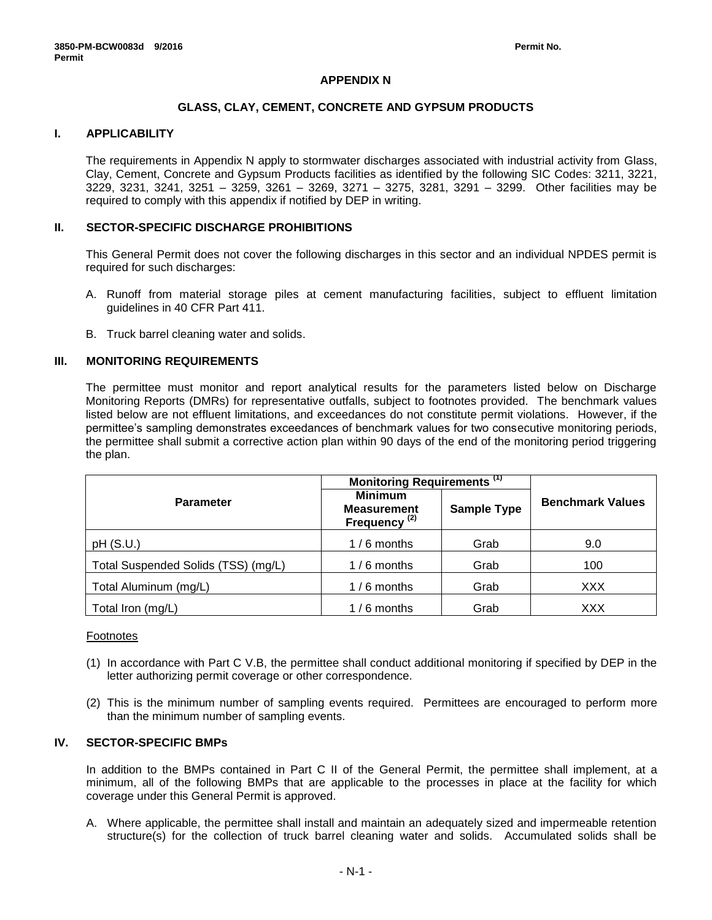### **APPENDIX N**

### **GLASS, CLAY, CEMENT, CONCRETE AND GYPSUM PRODUCTS**

### **I. APPLICABILITY**

The requirements in Appendix N apply to stormwater discharges associated with industrial activity from Glass, Clay, Cement, Concrete and Gypsum Products facilities as identified by the following SIC Codes: 3211, 3221, 3229, 3231, 3241, 3251 – 3259, 3261 – 3269, 3271 – 3275, 3281, 3291 – 3299. Other facilities may be required to comply with this appendix if notified by DEP in writing.

### **II. SECTOR-SPECIFIC DISCHARGE PROHIBITIONS**

This General Permit does not cover the following discharges in this sector and an individual NPDES permit is required for such discharges:

- A. Runoff from material storage piles at cement manufacturing facilities, subject to effluent limitation guidelines in 40 CFR Part 411.
- B. Truck barrel cleaning water and solids.

### **III. MONITORING REQUIREMENTS**

The permittee must monitor and report analytical results for the parameters listed below on Discharge Monitoring Reports (DMRs) for representative outfalls, subject to footnotes provided. The benchmark values listed below are not effluent limitations, and exceedances do not constitute permit violations. However, if the permittee's sampling demonstrates exceedances of benchmark values for two consecutive monitoring periods, the permittee shall submit a corrective action plan within 90 days of the end of the monitoring period triggering the plan.

|                                     | Monitoring Requirements <sup>(1)</sup>                           |                    |                         |
|-------------------------------------|------------------------------------------------------------------|--------------------|-------------------------|
| <b>Parameter</b>                    | <b>Minimum</b><br><b>Measurement</b><br>Frequency <sup>(2)</sup> | <b>Sample Type</b> | <b>Benchmark Values</b> |
| pH(S.U.)                            | $1/6$ months                                                     | Grab               | 9.0                     |
| Total Suspended Solids (TSS) (mg/L) | $1/6$ months                                                     | Grab               | 100                     |
| Total Aluminum (mg/L)               | $1/6$ months                                                     | Grab               | <b>XXX</b>              |
| Total Iron (mg/L)                   | $1/6$ months                                                     | Grab               | XXX                     |

Footnotes

- (1) In accordance with Part C V.B, the permittee shall conduct additional monitoring if specified by DEP in the letter authorizing permit coverage or other correspondence.
- (2) This is the minimum number of sampling events required. Permittees are encouraged to perform more than the minimum number of sampling events.

### **IV. SECTOR-SPECIFIC BMPs**

In addition to the BMPs contained in Part C II of the General Permit, the permittee shall implement, at a minimum, all of the following BMPs that are applicable to the processes in place at the facility for which coverage under this General Permit is approved.

A. Where applicable, the permittee shall install and maintain an adequately sized and impermeable retention structure(s) for the collection of truck barrel cleaning water and solids. Accumulated solids shall be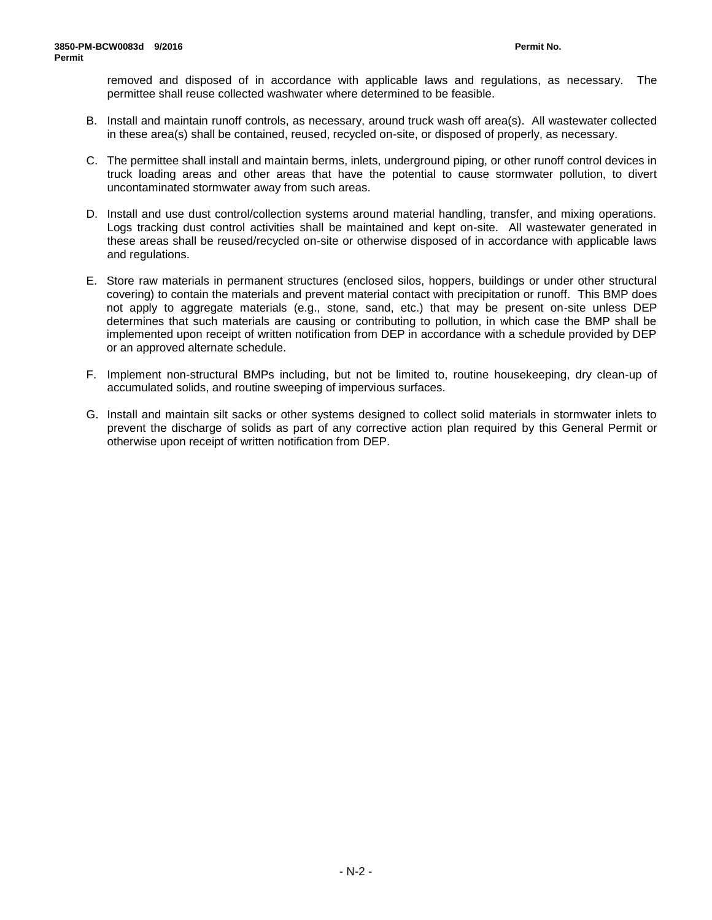removed and disposed of in accordance with applicable laws and regulations, as necessary. The permittee shall reuse collected washwater where determined to be feasible.

- B. Install and maintain runoff controls, as necessary, around truck wash off area(s). All wastewater collected in these area(s) shall be contained, reused, recycled on-site, or disposed of properly, as necessary.
- C. The permittee shall install and maintain berms, inlets, underground piping, or other runoff control devices in truck loading areas and other areas that have the potential to cause stormwater pollution, to divert uncontaminated stormwater away from such areas.
- D. Install and use dust control/collection systems around material handling, transfer, and mixing operations. Logs tracking dust control activities shall be maintained and kept on-site. All wastewater generated in these areas shall be reused/recycled on-site or otherwise disposed of in accordance with applicable laws and regulations.
- E. Store raw materials in permanent structures (enclosed silos, hoppers, buildings or under other structural covering) to contain the materials and prevent material contact with precipitation or runoff. This BMP does not apply to aggregate materials (e.g., stone, sand, etc.) that may be present on-site unless DEP determines that such materials are causing or contributing to pollution, in which case the BMP shall be implemented upon receipt of written notification from DEP in accordance with a schedule provided by DEP or an approved alternate schedule.
- F. Implement non-structural BMPs including, but not be limited to, routine housekeeping, dry clean-up of accumulated solids, and routine sweeping of impervious surfaces.
- G. Install and maintain silt sacks or other systems designed to collect solid materials in stormwater inlets to prevent the discharge of solids as part of any corrective action plan required by this General Permit or otherwise upon receipt of written notification from DEP.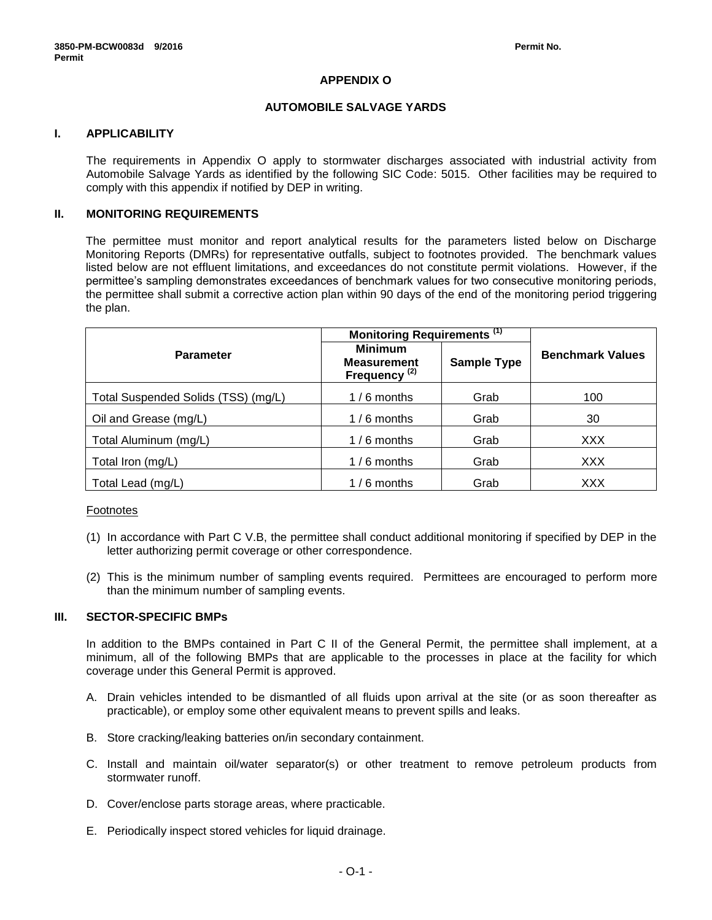# **APPENDIX O**

### **AUTOMOBILE SALVAGE YARDS**

# **I. APPLICABILITY**

The requirements in Appendix O apply to stormwater discharges associated with industrial activity from Automobile Salvage Yards as identified by the following SIC Code: 5015. Other facilities may be required to comply with this appendix if notified by DEP in writing.

# **II. MONITORING REQUIREMENTS**

The permittee must monitor and report analytical results for the parameters listed below on Discharge Monitoring Reports (DMRs) for representative outfalls, subject to footnotes provided. The benchmark values listed below are not effluent limitations, and exceedances do not constitute permit violations. However, if the permittee's sampling demonstrates exceedances of benchmark values for two consecutive monitoring periods, the permittee shall submit a corrective action plan within 90 days of the end of the monitoring period triggering the plan.

|                                     | Monitoring Requirements <sup>(1)</sup>                           |                    |                         |
|-------------------------------------|------------------------------------------------------------------|--------------------|-------------------------|
| <b>Parameter</b>                    | <b>Minimum</b><br><b>Measurement</b><br>Frequency <sup>(2)</sup> | <b>Sample Type</b> | <b>Benchmark Values</b> |
| Total Suspended Solids (TSS) (mg/L) | $1/6$ months                                                     | Grab               | 100                     |
| Oil and Grease (mg/L)               | $1/6$ months                                                     | Grab               | 30                      |
| Total Aluminum (mg/L)               | $1/6$ months                                                     | Grab               | <b>XXX</b>              |
| Total Iron (mg/L)                   | $1/6$ months                                                     | Grab               | <b>XXX</b>              |
| Total Lead (mg/L)                   | $1/6$ months                                                     | Grab               | XXX                     |

### Footnotes

- (1) In accordance with Part C V.B, the permittee shall conduct additional monitoring if specified by DEP in the letter authorizing permit coverage or other correspondence.
- (2) This is the minimum number of sampling events required. Permittees are encouraged to perform more than the minimum number of sampling events.

#### **III. SECTOR-SPECIFIC BMPs**

In addition to the BMPs contained in Part C II of the General Permit, the permittee shall implement, at a minimum, all of the following BMPs that are applicable to the processes in place at the facility for which coverage under this General Permit is approved.

- A. Drain vehicles intended to be dismantled of all fluids upon arrival at the site (or as soon thereafter as practicable), or employ some other equivalent means to prevent spills and leaks.
- B. Store cracking/leaking batteries on/in secondary containment.
- C. Install and maintain oil/water separator(s) or other treatment to remove petroleum products from stormwater runoff.
- D. Cover/enclose parts storage areas, where practicable.
- E. Periodically inspect stored vehicles for liquid drainage.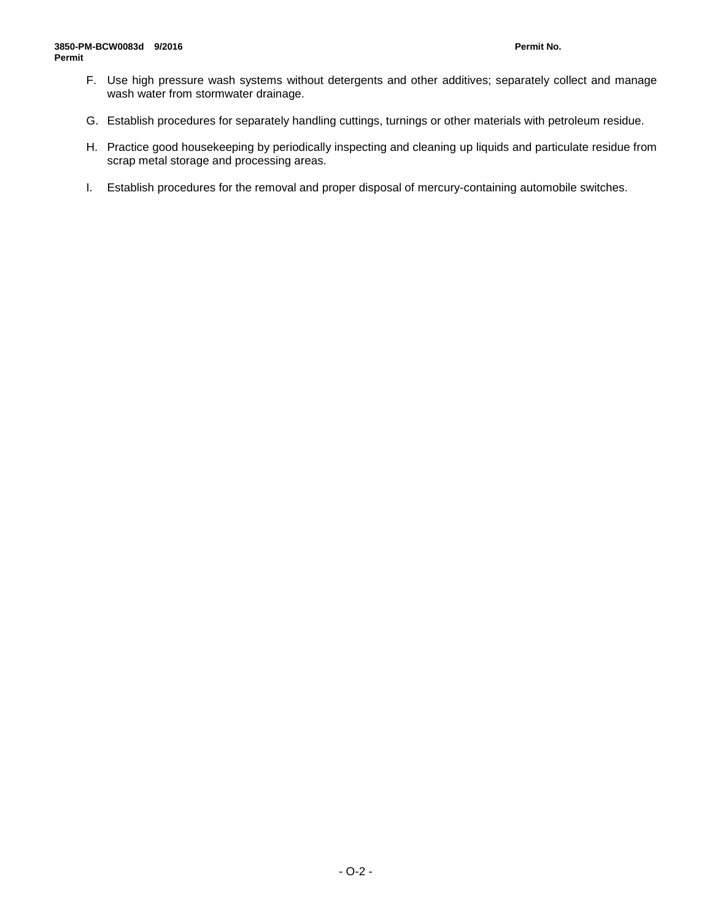- F. Use high pressure wash systems without detergents and other additives; separately collect and manage wash water from stormwater drainage.
- G. Establish procedures for separately handling cuttings, turnings or other materials with petroleum residue.
- H. Practice good housekeeping by periodically inspecting and cleaning up liquids and particulate residue from scrap metal storage and processing areas.
- I. Establish procedures for the removal and proper disposal of mercury-containing automobile switches.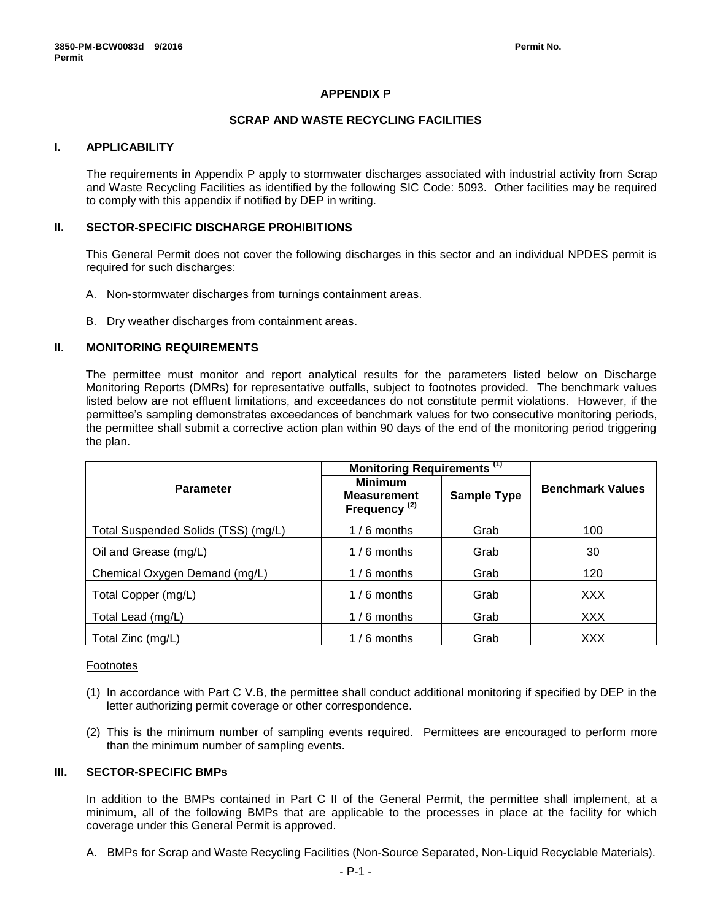### **APPENDIX P**

#### **SCRAP AND WASTE RECYCLING FACILITIES**

#### **I. APPLICABILITY**

The requirements in Appendix P apply to stormwater discharges associated with industrial activity from Scrap and Waste Recycling Facilities as identified by the following SIC Code: 5093. Other facilities may be required to comply with this appendix if notified by DEP in writing.

#### **II. SECTOR-SPECIFIC DISCHARGE PROHIBITIONS**

This General Permit does not cover the following discharges in this sector and an individual NPDES permit is required for such discharges:

- A. Non-stormwater discharges from turnings containment areas.
- B. Dry weather discharges from containment areas.

### **II. MONITORING REQUIREMENTS**

The permittee must monitor and report analytical results for the parameters listed below on Discharge Monitoring Reports (DMRs) for representative outfalls, subject to footnotes provided. The benchmark values listed below are not effluent limitations, and exceedances do not constitute permit violations. However, if the permittee's sampling demonstrates exceedances of benchmark values for two consecutive monitoring periods, the permittee shall submit a corrective action plan within 90 days of the end of the monitoring period triggering the plan.

|                                     | Monitoring Requirements <sup>(1)</sup>                           |                    |                         |
|-------------------------------------|------------------------------------------------------------------|--------------------|-------------------------|
| <b>Parameter</b>                    | <b>Minimum</b><br><b>Measurement</b><br>Frequency <sup>(2)</sup> | <b>Sample Type</b> | <b>Benchmark Values</b> |
| Total Suspended Solids (TSS) (mg/L) | $1/6$ months                                                     | Grab               | 100                     |
| Oil and Grease (mg/L)               | $1/6$ months                                                     | Grab               | 30                      |
| Chemical Oxygen Demand (mg/L)       | $1/6$ months                                                     | Grab               | 120                     |
| Total Copper (mg/L)                 | $1/6$ months                                                     | Grab               | <b>XXX</b>              |
| Total Lead (mg/L)                   | $1/6$ months                                                     | Grab               | <b>XXX</b>              |
| Total Zinc (mg/L)                   | $1/6$ months                                                     | Grab               | <b>XXX</b>              |

#### Footnotes

- (1) In accordance with Part C V.B, the permittee shall conduct additional monitoring if specified by DEP in the letter authorizing permit coverage or other correspondence.
- (2) This is the minimum number of sampling events required. Permittees are encouraged to perform more than the minimum number of sampling events.

#### **III. SECTOR-SPECIFIC BMPs**

In addition to the BMPs contained in Part C II of the General Permit, the permittee shall implement, at a minimum, all of the following BMPs that are applicable to the processes in place at the facility for which coverage under this General Permit is approved.

A. BMPs for Scrap and Waste Recycling Facilities (Non-Source Separated, Non-Liquid Recyclable Materials).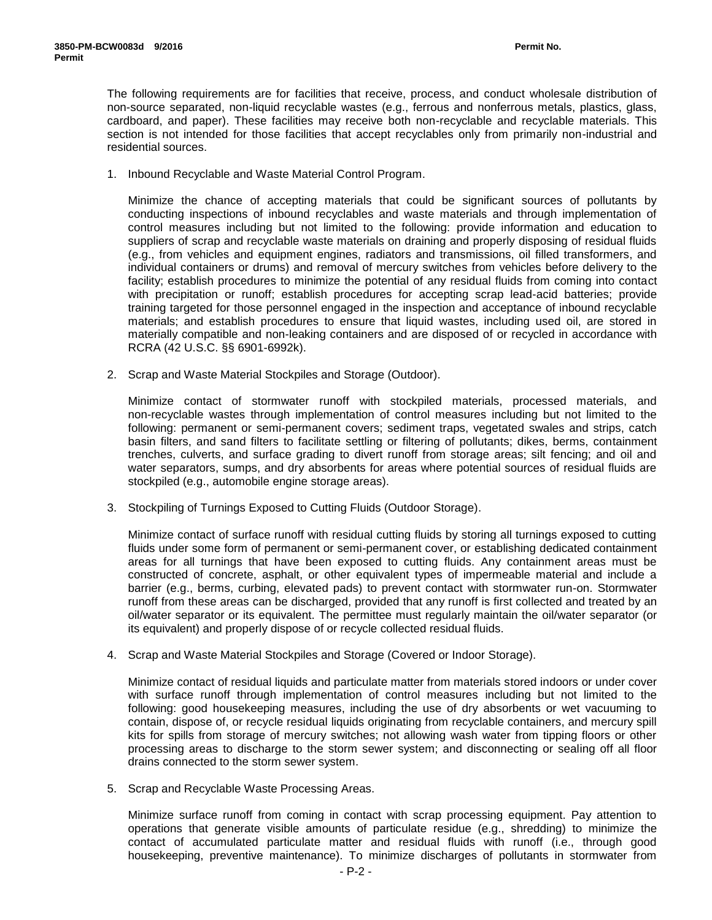The following requirements are for facilities that receive, process, and conduct wholesale distribution of non-source separated, non-liquid recyclable wastes (e.g., ferrous and nonferrous metals, plastics, glass, cardboard, and paper). These facilities may receive both non-recyclable and recyclable materials. This section is not intended for those facilities that accept recyclables only from primarily non-industrial and residential sources.

1. Inbound Recyclable and Waste Material Control Program.

Minimize the chance of accepting materials that could be significant sources of pollutants by conducting inspections of inbound recyclables and waste materials and through implementation of control measures including but not limited to the following: provide information and education to suppliers of scrap and recyclable waste materials on draining and properly disposing of residual fluids (e.g., from vehicles and equipment engines, radiators and transmissions, oil filled transformers, and individual containers or drums) and removal of mercury switches from vehicles before delivery to the facility; establish procedures to minimize the potential of any residual fluids from coming into contact with precipitation or runoff; establish procedures for accepting scrap lead-acid batteries; provide training targeted for those personnel engaged in the inspection and acceptance of inbound recyclable materials; and establish procedures to ensure that liquid wastes, including used oil, are stored in materially compatible and non-leaking containers and are disposed of or recycled in accordance with RCRA (42 U.S.C. §§ 6901-6992k).

2. Scrap and Waste Material Stockpiles and Storage (Outdoor).

Minimize contact of stormwater runoff with stockpiled materials, processed materials, and non-recyclable wastes through implementation of control measures including but not limited to the following: permanent or semi-permanent covers; sediment traps, vegetated swales and strips, catch basin filters, and sand filters to facilitate settling or filtering of pollutants; dikes, berms, containment trenches, culverts, and surface grading to divert runoff from storage areas; silt fencing; and oil and water separators, sumps, and dry absorbents for areas where potential sources of residual fluids are stockpiled (e.g., automobile engine storage areas).

3. Stockpiling of Turnings Exposed to Cutting Fluids (Outdoor Storage).

Minimize contact of surface runoff with residual cutting fluids by storing all turnings exposed to cutting fluids under some form of permanent or semi-permanent cover, or establishing dedicated containment areas for all turnings that have been exposed to cutting fluids. Any containment areas must be constructed of concrete, asphalt, or other equivalent types of impermeable material and include a barrier (e.g., berms, curbing, elevated pads) to prevent contact with stormwater run-on. Stormwater runoff from these areas can be discharged, provided that any runoff is first collected and treated by an oil/water separator or its equivalent. The permittee must regularly maintain the oil/water separator (or its equivalent) and properly dispose of or recycle collected residual fluids.

4. Scrap and Waste Material Stockpiles and Storage (Covered or Indoor Storage).

Minimize contact of residual liquids and particulate matter from materials stored indoors or under cover with surface runoff through implementation of control measures including but not limited to the following: good housekeeping measures, including the use of dry absorbents or wet vacuuming to contain, dispose of, or recycle residual liquids originating from recyclable containers, and mercury spill kits for spills from storage of mercury switches; not allowing wash water from tipping floors or other processing areas to discharge to the storm sewer system; and disconnecting or sealing off all floor drains connected to the storm sewer system.

5. Scrap and Recyclable Waste Processing Areas.

Minimize surface runoff from coming in contact with scrap processing equipment. Pay attention to operations that generate visible amounts of particulate residue (e.g., shredding) to minimize the contact of accumulated particulate matter and residual fluids with runoff (i.e., through good housekeeping, preventive maintenance). To minimize discharges of pollutants in stormwater from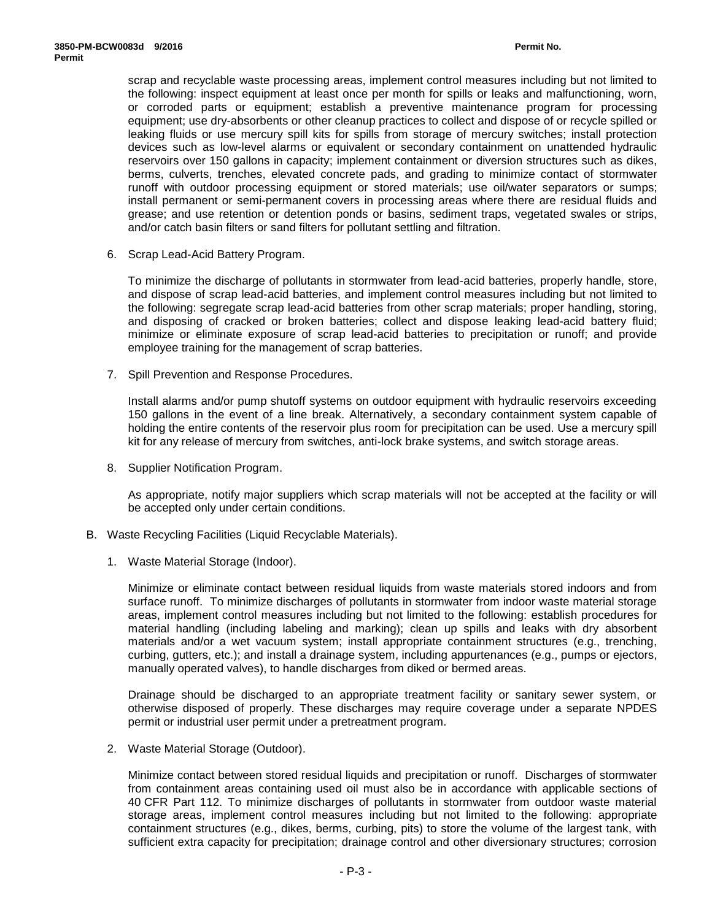scrap and recyclable waste processing areas, implement control measures including but not limited to the following: inspect equipment at least once per month for spills or leaks and malfunctioning, worn, or corroded parts or equipment; establish a preventive maintenance program for processing equipment; use dry-absorbents or other cleanup practices to collect and dispose of or recycle spilled or leaking fluids or use mercury spill kits for spills from storage of mercury switches; install protection devices such as low-level alarms or equivalent or secondary containment on unattended hydraulic reservoirs over 150 gallons in capacity; implement containment or diversion structures such as dikes, berms, culverts, trenches, elevated concrete pads, and grading to minimize contact of stormwater runoff with outdoor processing equipment or stored materials; use oil/water separators or sumps; install permanent or semi-permanent covers in processing areas where there are residual fluids and grease; and use retention or detention ponds or basins, sediment traps, vegetated swales or strips, and/or catch basin filters or sand filters for pollutant settling and filtration.

6. Scrap Lead-Acid Battery Program.

To minimize the discharge of pollutants in stormwater from lead-acid batteries, properly handle, store, and dispose of scrap lead-acid batteries, and implement control measures including but not limited to the following: segregate scrap lead-acid batteries from other scrap materials; proper handling, storing, and disposing of cracked or broken batteries; collect and dispose leaking lead-acid battery fluid; minimize or eliminate exposure of scrap lead-acid batteries to precipitation or runoff; and provide employee training for the management of scrap batteries.

7. Spill Prevention and Response Procedures.

Install alarms and/or pump shutoff systems on outdoor equipment with hydraulic reservoirs exceeding 150 gallons in the event of a line break. Alternatively, a secondary containment system capable of holding the entire contents of the reservoir plus room for precipitation can be used. Use a mercury spill kit for any release of mercury from switches, anti-lock brake systems, and switch storage areas.

8. Supplier Notification Program.

As appropriate, notify major suppliers which scrap materials will not be accepted at the facility or will be accepted only under certain conditions.

- B. Waste Recycling Facilities (Liquid Recyclable Materials).
	- 1. Waste Material Storage (Indoor).

Minimize or eliminate contact between residual liquids from waste materials stored indoors and from surface runoff. To minimize discharges of pollutants in stormwater from indoor waste material storage areas, implement control measures including but not limited to the following: establish procedures for material handling (including labeling and marking); clean up spills and leaks with dry absorbent materials and/or a wet vacuum system; install appropriate containment structures (e.g., trenching, curbing, gutters, etc.); and install a drainage system, including appurtenances (e.g., pumps or ejectors, manually operated valves), to handle discharges from diked or bermed areas.

Drainage should be discharged to an appropriate treatment facility or sanitary sewer system, or otherwise disposed of properly. These discharges may require coverage under a separate NPDES permit or industrial user permit under a pretreatment program.

2. Waste Material Storage (Outdoor).

Minimize contact between stored residual liquids and precipitation or runoff. Discharges of stormwater from containment areas containing used oil must also be in accordance with applicable sections of 40 CFR Part 112. To minimize discharges of pollutants in stormwater from outdoor waste material storage areas, implement control measures including but not limited to the following: appropriate containment structures (e.g., dikes, berms, curbing, pits) to store the volume of the largest tank, with sufficient extra capacity for precipitation; drainage control and other diversionary structures; corrosion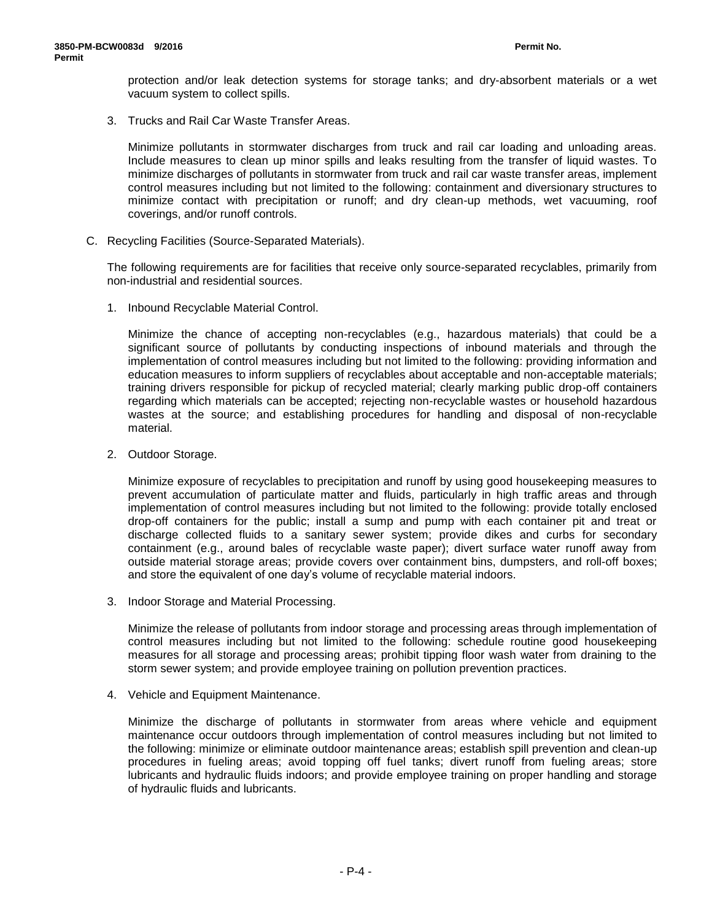protection and/or leak detection systems for storage tanks; and dry-absorbent materials or a wet vacuum system to collect spills.

3. Trucks and Rail Car Waste Transfer Areas.

Minimize pollutants in stormwater discharges from truck and rail car loading and unloading areas. Include measures to clean up minor spills and leaks resulting from the transfer of liquid wastes. To minimize discharges of pollutants in stormwater from truck and rail car waste transfer areas, implement control measures including but not limited to the following: containment and diversionary structures to minimize contact with precipitation or runoff; and dry clean-up methods, wet vacuuming, roof coverings, and/or runoff controls.

C. Recycling Facilities (Source-Separated Materials).

The following requirements are for facilities that receive only source-separated recyclables, primarily from non-industrial and residential sources.

1. Inbound Recyclable Material Control.

Minimize the chance of accepting non-recyclables (e.g., hazardous materials) that could be a significant source of pollutants by conducting inspections of inbound materials and through the implementation of control measures including but not limited to the following: providing information and education measures to inform suppliers of recyclables about acceptable and non-acceptable materials; training drivers responsible for pickup of recycled material; clearly marking public drop-off containers regarding which materials can be accepted; rejecting non-recyclable wastes or household hazardous wastes at the source; and establishing procedures for handling and disposal of non-recyclable material.

2. Outdoor Storage.

Minimize exposure of recyclables to precipitation and runoff by using good housekeeping measures to prevent accumulation of particulate matter and fluids, particularly in high traffic areas and through implementation of control measures including but not limited to the following: provide totally enclosed drop-off containers for the public; install a sump and pump with each container pit and treat or discharge collected fluids to a sanitary sewer system; provide dikes and curbs for secondary containment (e.g., around bales of recyclable waste paper); divert surface water runoff away from outside material storage areas; provide covers over containment bins, dumpsters, and roll-off boxes; and store the equivalent of one day's volume of recyclable material indoors.

3. Indoor Storage and Material Processing.

Minimize the release of pollutants from indoor storage and processing areas through implementation of control measures including but not limited to the following: schedule routine good housekeeping measures for all storage and processing areas; prohibit tipping floor wash water from draining to the storm sewer system; and provide employee training on pollution prevention practices.

4. Vehicle and Equipment Maintenance.

Minimize the discharge of pollutants in stormwater from areas where vehicle and equipment maintenance occur outdoors through implementation of control measures including but not limited to the following: minimize or eliminate outdoor maintenance areas; establish spill prevention and clean-up procedures in fueling areas; avoid topping off fuel tanks; divert runoff from fueling areas; store lubricants and hydraulic fluids indoors; and provide employee training on proper handling and storage of hydraulic fluids and lubricants.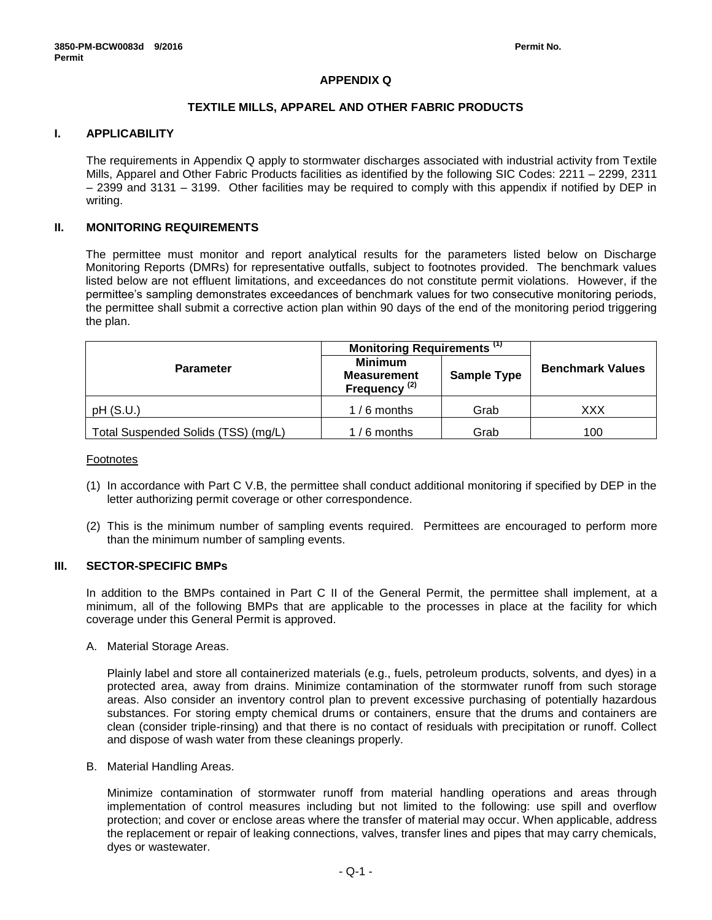# **APPENDIX Q**

### **TEXTILE MILLS, APPAREL AND OTHER FABRIC PRODUCTS**

# **I. APPLICABILITY**

The requirements in Appendix Q apply to stormwater discharges associated with industrial activity from Textile Mills, Apparel and Other Fabric Products facilities as identified by the following SIC Codes: 2211 – 2299, 2311 – 2399 and 3131 – 3199. Other facilities may be required to comply with this appendix if notified by DEP in writing.

### **II. MONITORING REQUIREMENTS**

The permittee must monitor and report analytical results for the parameters listed below on Discharge Monitoring Reports (DMRs) for representative outfalls, subject to footnotes provided. The benchmark values listed below are not effluent limitations, and exceedances do not constitute permit violations. However, if the permittee's sampling demonstrates exceedances of benchmark values for two consecutive monitoring periods, the permittee shall submit a corrective action plan within 90 days of the end of the monitoring period triggering the plan.

|                                     | Monitoring Requirements <sup>(1)</sup>                           |                    |                         |  |
|-------------------------------------|------------------------------------------------------------------|--------------------|-------------------------|--|
| <b>Parameter</b>                    | <b>Minimum</b><br><b>Measurement</b><br>Frequency <sup>(2)</sup> | <b>Sample Type</b> | <b>Benchmark Values</b> |  |
| pH(S.U.)                            | $1/6$ months                                                     | Grab               | XXX                     |  |
| Total Suspended Solids (TSS) (mg/L) | $1/6$ months                                                     | Grab               | 100                     |  |

Footnotes

- (1) In accordance with Part C V.B, the permittee shall conduct additional monitoring if specified by DEP in the letter authorizing permit coverage or other correspondence.
- (2) This is the minimum number of sampling events required. Permittees are encouraged to perform more than the minimum number of sampling events.

### **III. SECTOR-SPECIFIC BMPs**

In addition to the BMPs contained in Part C II of the General Permit, the permittee shall implement, at a minimum, all of the following BMPs that are applicable to the processes in place at the facility for which coverage under this General Permit is approved.

A. Material Storage Areas.

Plainly label and store all containerized materials (e.g., fuels, petroleum products, solvents, and dyes) in a protected area, away from drains. Minimize contamination of the stormwater runoff from such storage areas. Also consider an inventory control plan to prevent excessive purchasing of potentially hazardous substances. For storing empty chemical drums or containers, ensure that the drums and containers are clean (consider triple-rinsing) and that there is no contact of residuals with precipitation or runoff. Collect and dispose of wash water from these cleanings properly.

B. Material Handling Areas.

Minimize contamination of stormwater runoff from material handling operations and areas through implementation of control measures including but not limited to the following: use spill and overflow protection; and cover or enclose areas where the transfer of material may occur. When applicable, address the replacement or repair of leaking connections, valves, transfer lines and pipes that may carry chemicals, dyes or wastewater.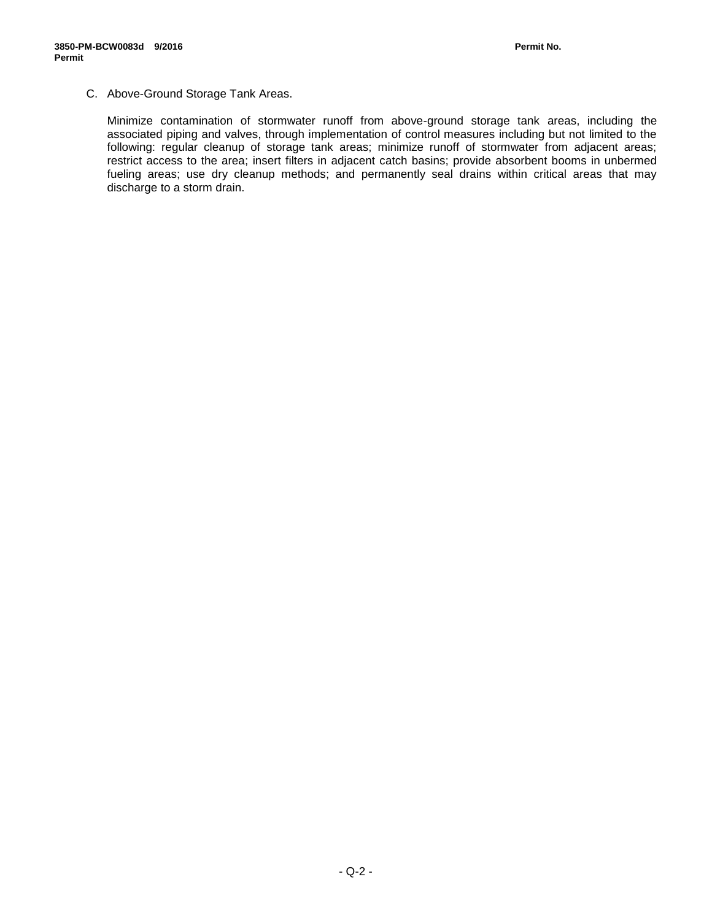C. Above-Ground Storage Tank Areas.

Minimize contamination of stormwater runoff from above-ground storage tank areas, including the associated piping and valves, through implementation of control measures including but not limited to the following: regular cleanup of storage tank areas; minimize runoff of stormwater from adjacent areas; restrict access to the area; insert filters in adjacent catch basins; provide absorbent booms in unbermed fueling areas; use dry cleanup methods; and permanently seal drains within critical areas that may discharge to a storm drain.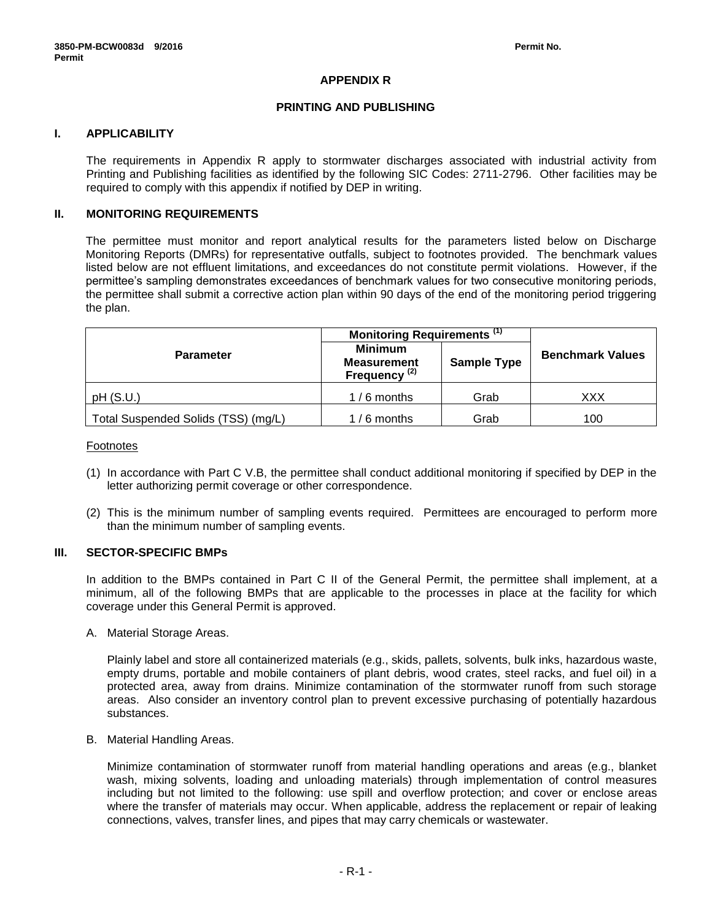# **APPENDIX R**

### **PRINTING AND PUBLISHING**

### **I. APPLICABILITY**

The requirements in Appendix R apply to stormwater discharges associated with industrial activity from Printing and Publishing facilities as identified by the following SIC Codes: 2711-2796. Other facilities may be required to comply with this appendix if notified by DEP in writing.

# **II. MONITORING REQUIREMENTS**

The permittee must monitor and report analytical results for the parameters listed below on Discharge Monitoring Reports (DMRs) for representative outfalls, subject to footnotes provided. The benchmark values listed below are not effluent limitations, and exceedances do not constitute permit violations. However, if the permittee's sampling demonstrates exceedances of benchmark values for two consecutive monitoring periods, the permittee shall submit a corrective action plan within 90 days of the end of the monitoring period triggering the plan.

|                                     | Monitoring Requirements <sup>(1)</sup>                           |                    |                         |
|-------------------------------------|------------------------------------------------------------------|--------------------|-------------------------|
| <b>Parameter</b>                    | <b>Minimum</b><br><b>Measurement</b><br>Frequency <sup>(2)</sup> | <b>Sample Type</b> | <b>Benchmark Values</b> |
| pH(S.U.)                            | $1/6$ months                                                     | Grab               | XXX                     |
| Total Suspended Solids (TSS) (mg/L) | $1/6$ months                                                     | Grab               | 100                     |

#### Footnotes

- (1) In accordance with Part C V.B, the permittee shall conduct additional monitoring if specified by DEP in the letter authorizing permit coverage or other correspondence.
- (2) This is the minimum number of sampling events required. Permittees are encouraged to perform more than the minimum number of sampling events.

#### **III. SECTOR-SPECIFIC BMPs**

In addition to the BMPs contained in Part C II of the General Permit, the permittee shall implement, at a minimum, all of the following BMPs that are applicable to the processes in place at the facility for which coverage under this General Permit is approved.

A. Material Storage Areas.

Plainly label and store all containerized materials (e.g., skids, pallets, solvents, bulk inks, hazardous waste, empty drums, portable and mobile containers of plant debris, wood crates, steel racks, and fuel oil) in a protected area, away from drains. Minimize contamination of the stormwater runoff from such storage areas. Also consider an inventory control plan to prevent excessive purchasing of potentially hazardous substances.

B. Material Handling Areas.

Minimize contamination of stormwater runoff from material handling operations and areas (e.g., blanket wash, mixing solvents, loading and unloading materials) through implementation of control measures including but not limited to the following: use spill and overflow protection; and cover or enclose areas where the transfer of materials may occur. When applicable, address the replacement or repair of leaking connections, valves, transfer lines, and pipes that may carry chemicals or wastewater.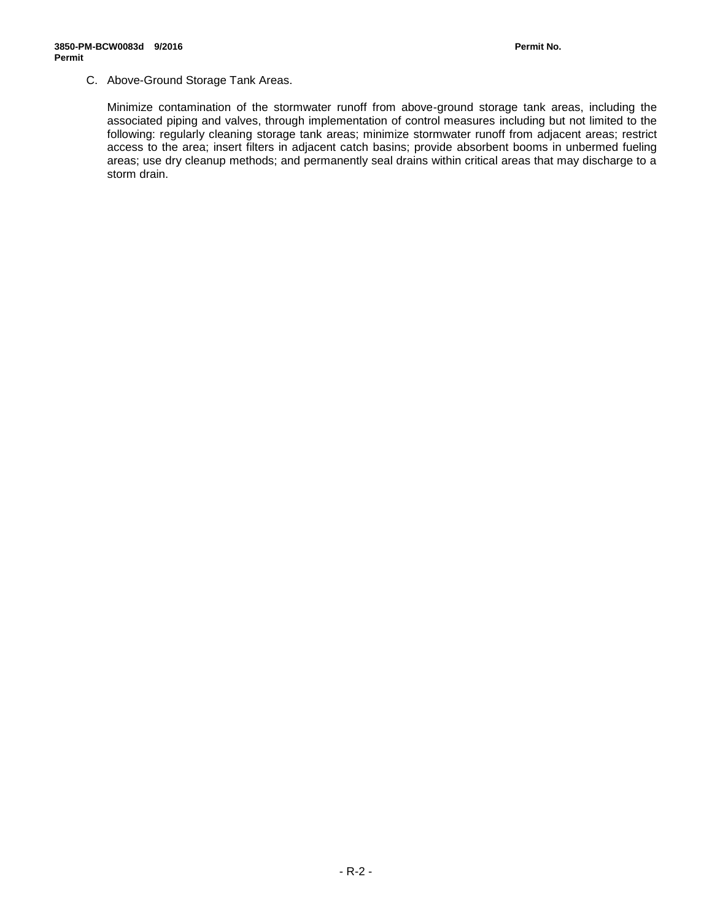# C. Above-Ground Storage Tank Areas.

Minimize contamination of the stormwater runoff from above-ground storage tank areas, including the associated piping and valves, through implementation of control measures including but not limited to the following: regularly cleaning storage tank areas; minimize stormwater runoff from adjacent areas; restrict access to the area; insert filters in adjacent catch basins; provide absorbent booms in unbermed fueling areas; use dry cleanup methods; and permanently seal drains within critical areas that may discharge to a storm drain.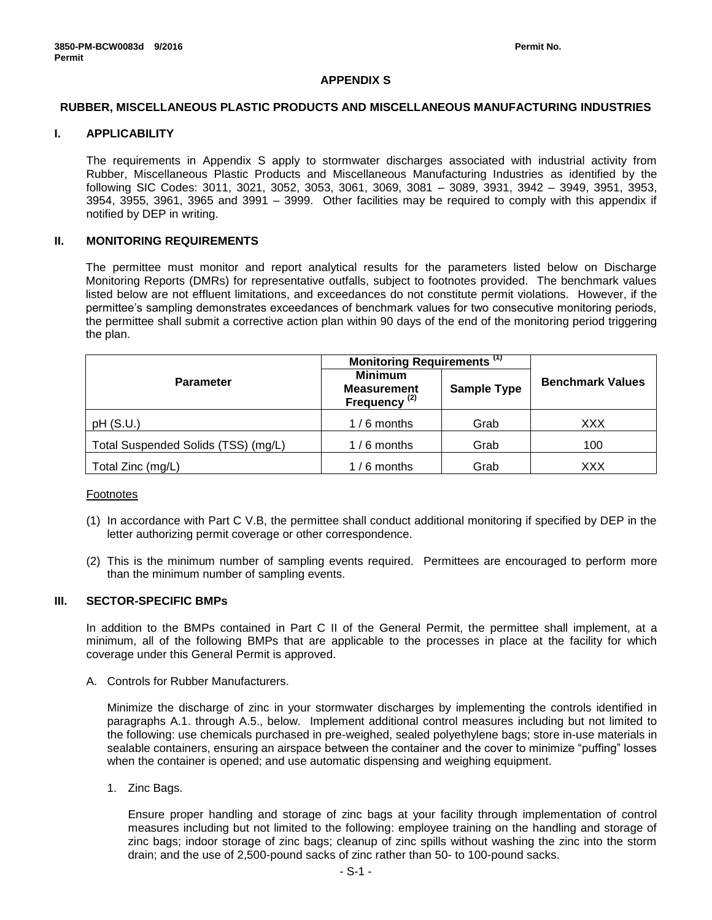### **APPENDIX S**

### **RUBBER, MISCELLANEOUS PLASTIC PRODUCTS AND MISCELLANEOUS MANUFACTURING INDUSTRIES**

# **I. APPLICABILITY**

The requirements in Appendix S apply to stormwater discharges associated with industrial activity from Rubber, Miscellaneous Plastic Products and Miscellaneous Manufacturing Industries as identified by the following SIC Codes: 3011, 3021, 3052, 3053, 3061, 3069, 3081 – 3089, 3931, 3942 – 3949, 3951, 3953, 3954, 3955, 3961, 3965 and 3991 – 3999. Other facilities may be required to comply with this appendix if notified by DEP in writing.

### **II. MONITORING REQUIREMENTS**

The permittee must monitor and report analytical results for the parameters listed below on Discharge Monitoring Reports (DMRs) for representative outfalls, subject to footnotes provided. The benchmark values listed below are not effluent limitations, and exceedances do not constitute permit violations. However, if the permittee's sampling demonstrates exceedances of benchmark values for two consecutive monitoring periods, the permittee shall submit a corrective action plan within 90 days of the end of the monitoring period triggering the plan.

|                                     | Monitoring Requirements <sup>(1)</sup>                           |                    |                         |  |
|-------------------------------------|------------------------------------------------------------------|--------------------|-------------------------|--|
| <b>Parameter</b>                    | <b>Minimum</b><br><b>Measurement</b><br>Frequency <sup>(2)</sup> | <b>Sample Type</b> | <b>Benchmark Values</b> |  |
| pH(S.U.)                            | $1/6$ months                                                     | Grab               | XXX                     |  |
| Total Suspended Solids (TSS) (mg/L) | $1/6$ months                                                     | Grab               | 100                     |  |
| Total Zinc (mg/L)                   | $1/6$ months                                                     | Grab               | XXX                     |  |

#### Footnotes

- (1) In accordance with Part C V.B, the permittee shall conduct additional monitoring if specified by DEP in the letter authorizing permit coverage or other correspondence.
- (2) This is the minimum number of sampling events required. Permittees are encouraged to perform more than the minimum number of sampling events.

### **III. SECTOR-SPECIFIC BMPs**

In addition to the BMPs contained in Part C II of the General Permit, the permittee shall implement, at a minimum, all of the following BMPs that are applicable to the processes in place at the facility for which coverage under this General Permit is approved.

A. Controls for Rubber Manufacturers.

Minimize the discharge of zinc in your stormwater discharges by implementing the controls identified in paragraphs A.1. through A.5., below. Implement additional control measures including but not limited to the following: use chemicals purchased in pre-weighed, sealed polyethylene bags; store in-use materials in sealable containers, ensuring an airspace between the container and the cover to minimize "puffing" losses when the container is opened; and use automatic dispensing and weighing equipment.

1. Zinc Bags.

Ensure proper handling and storage of zinc bags at your facility through implementation of control measures including but not limited to the following: employee training on the handling and storage of zinc bags; indoor storage of zinc bags; cleanup of zinc spills without washing the zinc into the storm drain; and the use of 2,500-pound sacks of zinc rather than 50- to 100-pound sacks.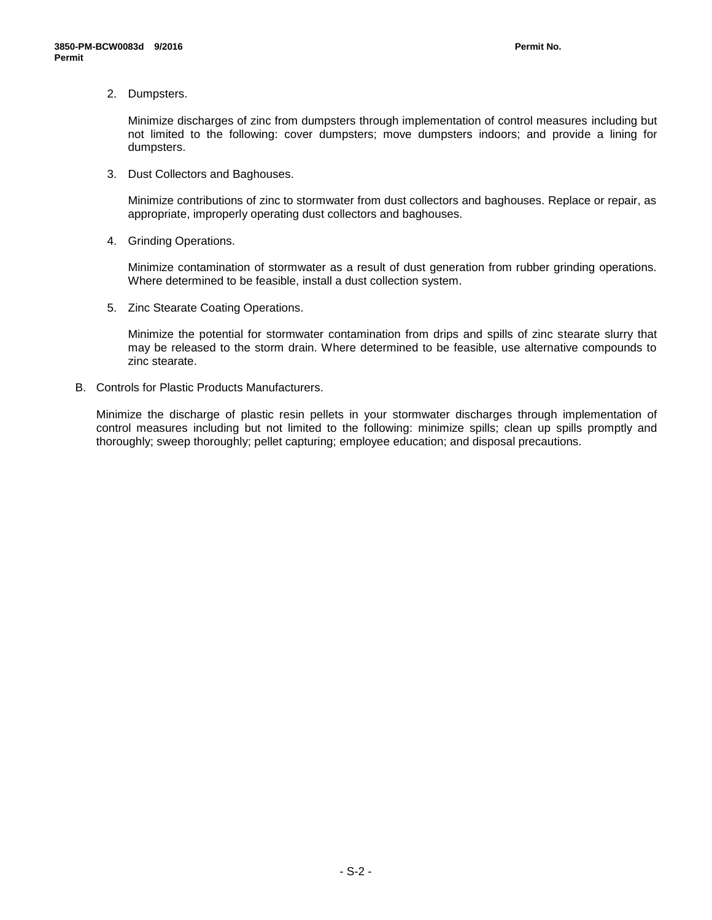2. Dumpsters.

Minimize discharges of zinc from dumpsters through implementation of control measures including but not limited to the following: cover dumpsters; move dumpsters indoors; and provide a lining for dumpsters.

3. Dust Collectors and Baghouses.

Minimize contributions of zinc to stormwater from dust collectors and baghouses. Replace or repair, as appropriate, improperly operating dust collectors and baghouses.

4. Grinding Operations.

Minimize contamination of stormwater as a result of dust generation from rubber grinding operations. Where determined to be feasible, install a dust collection system.

5. Zinc Stearate Coating Operations.

Minimize the potential for stormwater contamination from drips and spills of zinc stearate slurry that may be released to the storm drain. Where determined to be feasible, use alternative compounds to zinc stearate.

B. Controls for Plastic Products Manufacturers.

Minimize the discharge of plastic resin pellets in your stormwater discharges through implementation of control measures including but not limited to the following: minimize spills; clean up spills promptly and thoroughly; sweep thoroughly; pellet capturing; employee education; and disposal precautions.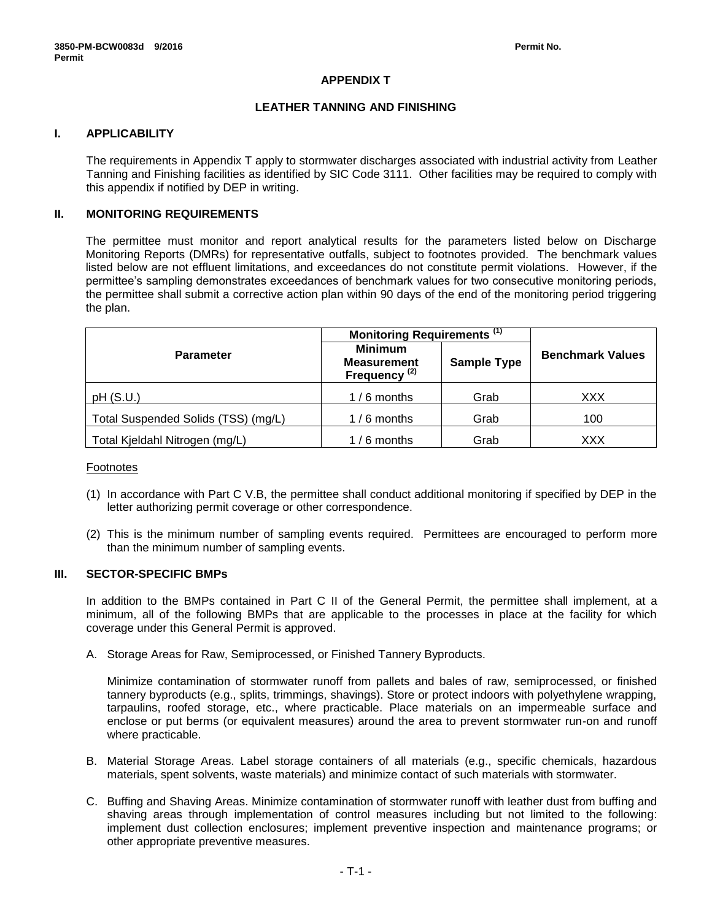# **APPENDIX T**

### **LEATHER TANNING AND FINISHING**

# **I. APPLICABILITY**

The requirements in Appendix T apply to stormwater discharges associated with industrial activity from Leather Tanning and Finishing facilities as identified by SIC Code 3111. Other facilities may be required to comply with this appendix if notified by DEP in writing.

# **II. MONITORING REQUIREMENTS**

The permittee must monitor and report analytical results for the parameters listed below on Discharge Monitoring Reports (DMRs) for representative outfalls, subject to footnotes provided. The benchmark values listed below are not effluent limitations, and exceedances do not constitute permit violations. However, if the permittee's sampling demonstrates exceedances of benchmark values for two consecutive monitoring periods, the permittee shall submit a corrective action plan within 90 days of the end of the monitoring period triggering the plan.

|                                     | Monitoring Requirements <sup>(1)</sup>                           |                    |                         |  |
|-------------------------------------|------------------------------------------------------------------|--------------------|-------------------------|--|
| <b>Parameter</b>                    | <b>Minimum</b><br><b>Measurement</b><br>Frequency <sup>(2)</sup> | <b>Sample Type</b> | <b>Benchmark Values</b> |  |
| pH(S.U.)                            | $1/6$ months                                                     | Grab               | XXX                     |  |
| Total Suspended Solids (TSS) (mg/L) | $1/6$ months                                                     | Grab               | 100                     |  |
| Total Kjeldahl Nitrogen (mg/L)      | $1/6$ months                                                     | Grab               | XXX                     |  |

#### Footnotes

- (1) In accordance with Part C V.B, the permittee shall conduct additional monitoring if specified by DEP in the letter authorizing permit coverage or other correspondence.
- (2) This is the minimum number of sampling events required. Permittees are encouraged to perform more than the minimum number of sampling events.

# **III. SECTOR-SPECIFIC BMPs**

In addition to the BMPs contained in Part C II of the General Permit, the permittee shall implement, at a minimum, all of the following BMPs that are applicable to the processes in place at the facility for which coverage under this General Permit is approved.

A. Storage Areas for Raw, Semiprocessed, or Finished Tannery Byproducts.

Minimize contamination of stormwater runoff from pallets and bales of raw, semiprocessed, or finished tannery byproducts (e.g., splits, trimmings, shavings). Store or protect indoors with polyethylene wrapping, tarpaulins, roofed storage, etc., where practicable. Place materials on an impermeable surface and enclose or put berms (or equivalent measures) around the area to prevent stormwater run-on and runoff where practicable.

- B. Material Storage Areas. Label storage containers of all materials (e.g., specific chemicals, hazardous materials, spent solvents, waste materials) and minimize contact of such materials with stormwater.
- C. Buffing and Shaving Areas. Minimize contamination of stormwater runoff with leather dust from buffing and shaving areas through implementation of control measures including but not limited to the following: implement dust collection enclosures; implement preventive inspection and maintenance programs; or other appropriate preventive measures.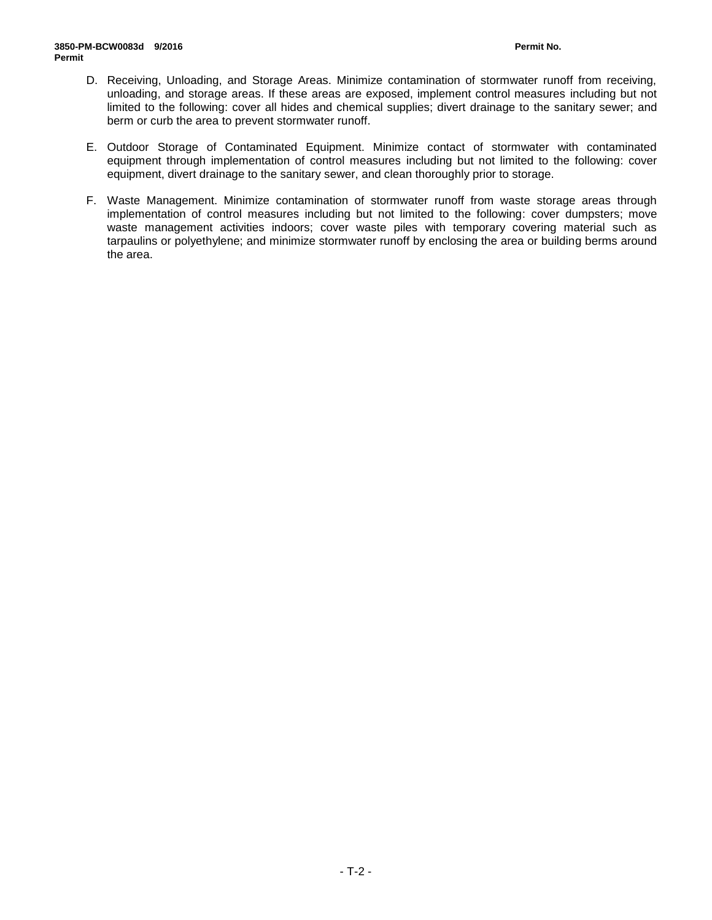- D. Receiving, Unloading, and Storage Areas. Minimize contamination of stormwater runoff from receiving, unloading, and storage areas. If these areas are exposed, implement control measures including but not limited to the following: cover all hides and chemical supplies; divert drainage to the sanitary sewer; and berm or curb the area to prevent stormwater runoff.
- E. Outdoor Storage of Contaminated Equipment. Minimize contact of stormwater with contaminated equipment through implementation of control measures including but not limited to the following: cover equipment, divert drainage to the sanitary sewer, and clean thoroughly prior to storage.
- F. Waste Management. Minimize contamination of stormwater runoff from waste storage areas through implementation of control measures including but not limited to the following: cover dumpsters; move waste management activities indoors; cover waste piles with temporary covering material such as tarpaulins or polyethylene; and minimize stormwater runoff by enclosing the area or building berms around the area.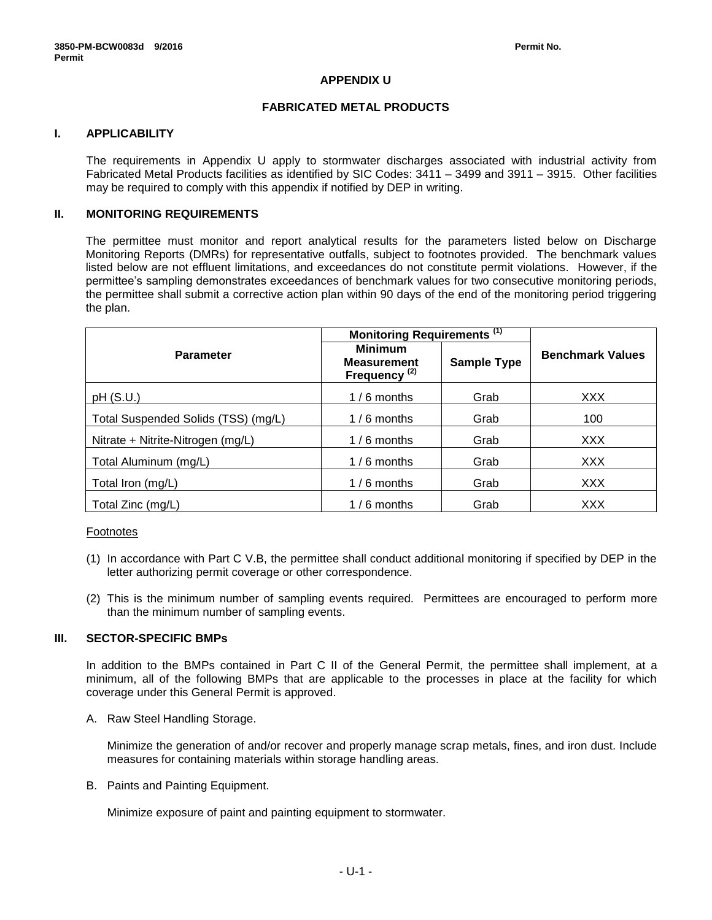# **APPENDIX U**

### **FABRICATED METAL PRODUCTS**

# **I. APPLICABILITY**

The requirements in Appendix U apply to stormwater discharges associated with industrial activity from Fabricated Metal Products facilities as identified by SIC Codes: 3411 – 3499 and 3911 – 3915. Other facilities may be required to comply with this appendix if notified by DEP in writing.

# **II. MONITORING REQUIREMENTS**

The permittee must monitor and report analytical results for the parameters listed below on Discharge Monitoring Reports (DMRs) for representative outfalls, subject to footnotes provided. The benchmark values listed below are not effluent limitations, and exceedances do not constitute permit violations. However, if the permittee's sampling demonstrates exceedances of benchmark values for two consecutive monitoring periods, the permittee shall submit a corrective action plan within 90 days of the end of the monitoring period triggering the plan.

|                                     | Monitoring Requirements <sup>(1)</sup>                           |                    |                         |
|-------------------------------------|------------------------------------------------------------------|--------------------|-------------------------|
| <b>Parameter</b>                    | <b>Minimum</b><br><b>Measurement</b><br>Frequency <sup>(2)</sup> | <b>Sample Type</b> | <b>Benchmark Values</b> |
| pH(S.U.)                            | $1/6$ months                                                     | Grab               | <b>XXX</b>              |
| Total Suspended Solids (TSS) (mg/L) | $1/6$ months                                                     | Grab               | 100                     |
| Nitrate + Nitrite-Nitrogen (mg/L)   | $1/6$ months                                                     | Grab               | <b>XXX</b>              |
| Total Aluminum (mg/L)               | $1/6$ months                                                     | Grab               | <b>XXX</b>              |
| Total Iron (mg/L)                   | $1/6$ months                                                     | Grab               | <b>XXX</b>              |
| Total Zinc (mg/L)                   | $1/6$ months                                                     | Grab               | <b>XXX</b>              |

### Footnotes

- (1) In accordance with Part C V.B, the permittee shall conduct additional monitoring if specified by DEP in the letter authorizing permit coverage or other correspondence.
- (2) This is the minimum number of sampling events required. Permittees are encouraged to perform more than the minimum number of sampling events.

# **III. SECTOR-SPECIFIC BMPs**

In addition to the BMPs contained in Part C II of the General Permit, the permittee shall implement, at a minimum, all of the following BMPs that are applicable to the processes in place at the facility for which coverage under this General Permit is approved.

A. Raw Steel Handling Storage.

Minimize the generation of and/or recover and properly manage scrap metals, fines, and iron dust. Include measures for containing materials within storage handling areas.

B. Paints and Painting Equipment.

Minimize exposure of paint and painting equipment to stormwater.